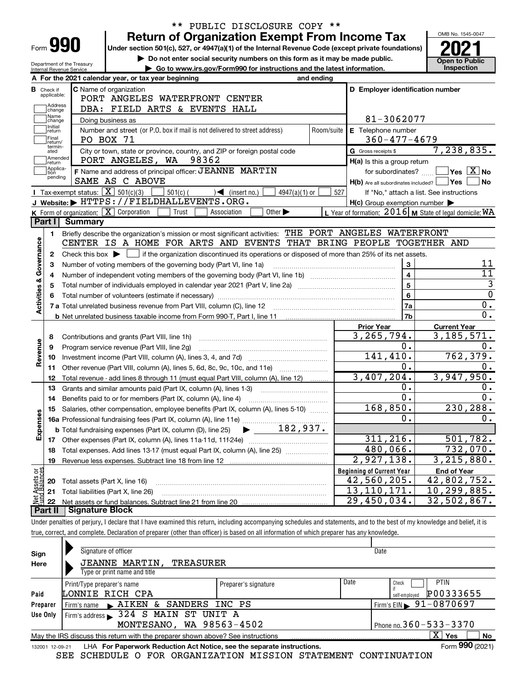| Form |  |
|------|--|

Department of the Treasury Internal Revenue Service

# \*\* PUBLIC DISCLOSURE COPY \*\*

Under section 501(c), 527, or 4947(a)(1) of the Internal Revenue Code (except private foundations) Return of Organization Exempt From Income Tax  $\overline{\text{P}}$   $\overline{\text{P}}$   $\overline{\text{P}}$ 

▶ Do not enter social security numbers on this form as it may be made public. <br>
inspection on the latest information. Inspection ▶ Go to www.irs.gov/Form990 for instructions and the latest information.



|                         |                    | A For the 2021 calendar year, or tax year beginning                                                                     | and ending        |                                                     |                                                           |
|-------------------------|--------------------|-------------------------------------------------------------------------------------------------------------------------|-------------------|-----------------------------------------------------|-----------------------------------------------------------|
|                         | <b>B</b> Check if  | C Name of organization                                                                                                  |                   | D Employer identification number                    |                                                           |
|                         | applicable:        | PORT ANGELES WATERFRONT CENTER                                                                                          |                   |                                                     |                                                           |
|                         | Address<br>change  | DBA: FIELD ARTS & EVENTS HALL                                                                                           |                   |                                                     |                                                           |
|                         | Name<br>change     | Doing business as                                                                                                       |                   | 81-3062077                                          |                                                           |
|                         | Initial<br>return  | Number and street (or P.O. box if mail is not delivered to street address)                                              | Room/suite        | E Telephone number                                  |                                                           |
|                         | Final<br>return/   | PO BOX 71                                                                                                               |                   | $360 - 477 - 4679$                                  |                                                           |
|                         | termin-<br>ated    | City or town, state or province, country, and ZIP or foreign postal code                                                |                   | G Gross receipts \$                                 | 7,238,835.                                                |
|                         | Amended<br>Ireturn | PORT ANGELES, WA<br>98362                                                                                               |                   | $H(a)$ is this a group return                       |                                                           |
|                         | Applica-<br>tion   | F Name and address of principal officer: JEANNE MARTIN                                                                  | for subordinates? | $\sqrt{2}$ Yes $\boxed{\text{X}}$ No                |                                                           |
|                         | pending            | $H(b)$ Are all subordinates included? $\Box$ Yes                                                                        | No                |                                                     |                                                           |
|                         |                    | Tax-exempt status: $\boxed{\mathbf{X}}$ 501(c)(3)<br>$501(c)$ (<br>$\sqrt{\frac{1}{1}}$ (insert no.)<br>$4947(a)(1)$ or | 527               | If "No," attach a list. See instructions            |                                                           |
|                         |                    | J Website: > HTTPS://FIELDHALLEVENTS.ORG.                                                                               |                   | $H(c)$ Group exemption number $\blacktriangleright$ |                                                           |
|                         |                    | <b>K</b> Form of organization: $\boxed{\mathbf{X}}$ Corporation<br>Trust<br>Association<br>Other $\blacktriangleright$  |                   |                                                     | L Year of formation: 2016   M State of legal domicile: WA |
|                         | Part I             | <b>Summary</b>                                                                                                          |                   |                                                     |                                                           |
|                         | 1                  | Briefly describe the organization's mission or most significant activities: THE PORT ANGELES WATERFRONT                 |                   |                                                     |                                                           |
|                         |                    | CENTER IS A HOME FOR ARTS AND EVENTS THAT BRING PEOPLE TOGETHER AND                                                     |                   |                                                     |                                                           |
| Governance              | 2                  |                                                                                                                         |                   |                                                     |                                                           |
|                         | 3                  | Number of voting members of the governing body (Part VI, line 1a)                                                       |                   | 3                                                   | 11                                                        |
|                         | 4                  | Number of independent voting members of the governing body (Part VI, line 1b) [11] [12] [13] [13] [13] [13] [1          | $\overline{4}$    | 11                                                  |                                                           |
|                         | 5                  |                                                                                                                         | $\overline{5}$    | $\mathbf{3}$                                        |                                                           |
|                         | 6                  |                                                                                                                         |                   | 6                                                   | $\overline{0}$                                            |
| <b>Activities &amp;</b> |                    |                                                                                                                         |                   | 7a                                                  | 0.                                                        |
|                         |                    |                                                                                                                         |                   | 7b                                                  | $\overline{0}$ .                                          |
|                         |                    |                                                                                                                         |                   | <b>Prior Year</b>                                   | <b>Current Year</b>                                       |
|                         | 8                  | Contributions and grants (Part VIII, line 1h)                                                                           |                   | 3,265,794.                                          | 3, 185, 571.                                              |
| Revenue                 | 9                  | Program service revenue (Part VIII, line 2g)                                                                            |                   | 0.                                                  | 0.                                                        |
|                         | 10                 |                                                                                                                         |                   | 141, 410.                                           | 762, 379.                                                 |
|                         | 11                 | Other revenue (Part VIII, column (A), lines 5, 6d, 8c, 9c, 10c, and 11e)                                                |                   | О.                                                  | 0.                                                        |
|                         | 12                 | Total revenue - add lines 8 through 11 (must equal Part VIII, column (A), line 12)                                      |                   | 3,407,204.                                          | 3,947,950.                                                |
|                         | 13                 | Grants and similar amounts paid (Part IX, column (A), lines 1-3)                                                        |                   | 0.                                                  | 0.                                                        |
|                         | 14                 | Benefits paid to or for members (Part IX, column (A), line 4)                                                           |                   | $\overline{0}$ .                                    | $\overline{0}$ .                                          |
|                         | 15                 | Salaries, other compensation, employee benefits (Part IX, column (A), lines 5-10)                                       |                   | 168,850.                                            | 230, 288.                                                 |
|                         |                    |                                                                                                                         |                   | 0.                                                  | $0$ .                                                     |
| Expenses                |                    | $\blacktriangleright$ 182,937.<br><b>b</b> Total fundraising expenses (Part IX, column (D), line 25)                    |                   |                                                     |                                                           |
|                         | 17                 |                                                                                                                         |                   | 311, 216.                                           | 501, 782.                                                 |
|                         | 18                 | Total expenses. Add lines 13-17 (must equal Part IX, column (A), line 25) <i>manumum</i>                                |                   | 480,066.                                            | 732,070.                                                  |
|                         | 19                 |                                                                                                                         |                   | 2,927,138.                                          | 3, 215, 880.                                              |
| កម្ព                    |                    |                                                                                                                         |                   | <b>Beginning of Current Year</b>                    | <b>End of Year</b>                                        |
| Assets<br>1 Balanc      | 20                 | Total assets (Part X, line 16)                                                                                          |                   | 42,560,205.                                         | 42,802,752.                                               |
|                         | 21                 | Total liabilities (Part X, line 26)                                                                                     |                   | 13, 110, 171.                                       | 10,299,885.                                               |
|                         | 22                 |                                                                                                                         |                   | $\overline{29}$ , 450, 034.                         | 32,502,867.                                               |
|                         |                    | <b>Part II   Signature Block</b>                                                                                        |                   |                                                     |                                                           |

Under penalties of perjury, I declare that I have examined this return, including accompanying schedules and statements, and to the best of my knowledge and belief, it is true, correct, and complete. Declaration of preparer (other than officer) is based on all information of which preparer has any knowledge.

| Sign                                              | Signature of officer                                                                                           |                      | Date                                       |  |  |  |
|---------------------------------------------------|----------------------------------------------------------------------------------------------------------------|----------------------|--------------------------------------------|--|--|--|
| Here                                              | <b>JEANNE MARTIN,</b><br>TREASURER                                                                             |                      |                                            |  |  |  |
|                                                   | Type or print name and title                                                                                   |                      |                                            |  |  |  |
|                                                   | Print/Type preparer's name                                                                                     | Preparer's signature | Date<br><b>PTIN</b><br>Check               |  |  |  |
| Paid                                              | LONNIE RICH CPA                                                                                                |                      | P00333655<br>self-employed                 |  |  |  |
| Preparer                                          | SANDERS INC PS<br>Firm's name $\blacktriangleright$ AIKEN &                                                    |                      | $1$ Firm's EIN $\triangleright$ 91-0870697 |  |  |  |
| Firm's address > 324 S MAIN ST UNIT A<br>Use Only |                                                                                                                |                      |                                            |  |  |  |
|                                                   | MONTESANO, WA 98563-4502                                                                                       |                      | Phone no. $360 - 533 - 3370$               |  |  |  |
|                                                   | $\mathbf{X}$<br>∣ Yes<br>No<br>May the IRS discuss this return with the preparer shown above? See instructions |                      |                                            |  |  |  |
| 132001 12-09-21                                   | LHA For Paperwork Reduction Act Notice, see the separate instructions.                                         |                      | Form 990 (2021)                            |  |  |  |

SEE SCHEDULE O FOR ORGANIZATION MISSION STATEMENT CONTINUATION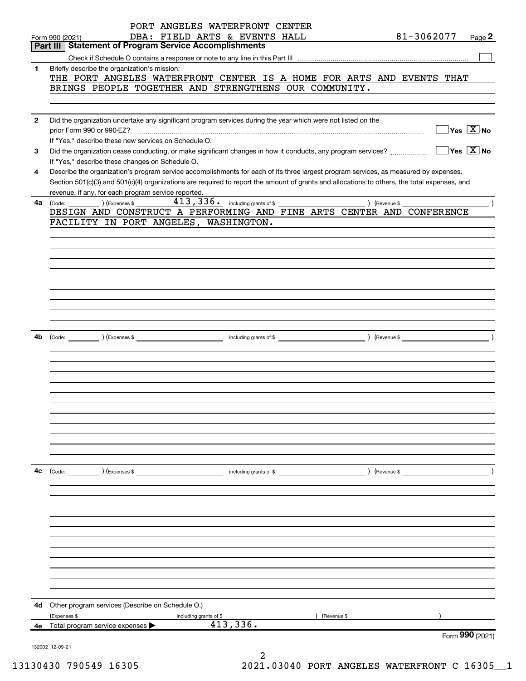|              | PORT ANGELES WATERFRONT CENTER                                                                                                                                                  |
|--------------|---------------------------------------------------------------------------------------------------------------------------------------------------------------------------------|
|              | 81-3062077<br>DBA: FIELD ARTS & EVENTS HALL<br>Page $2$<br>Form 990 (2021)<br>Part III   Statement of Program Service Accomplishments                                           |
|              |                                                                                                                                                                                 |
| 1.           |                                                                                                                                                                                 |
|              | Briefly describe the organization's mission:<br>THE PORT ANGELES WATERFRONT CENTER IS A HOME FOR ARTS AND EVENTS THAT                                                           |
|              | BRINGS PEOPLE TOGETHER AND STRENGTHENS OUR COMMUNITY.                                                                                                                           |
|              |                                                                                                                                                                                 |
|              |                                                                                                                                                                                 |
| $\mathbf{2}$ | Did the organization undertake any significant program services during the year which were not listed on the                                                                    |
|              | $\Box$ Yes $[\overline{\mathrm{X}}]$ No<br>prior Form 990 or 990-EZ?                                                                                                            |
|              | If "Yes," describe these new services on Schedule O.                                                                                                                            |
| 3            | $\boxed{\phantom{1}}$ Yes $\boxed{\text{X}}$ No<br>Did the organization cease conducting, or make significant changes in how it conducts, any program services?                 |
|              | If "Yes," describe these changes on Schedule O.                                                                                                                                 |
| 4            | Describe the organization's program service accomplishments for each of its three largest program services, as measured by expenses.                                            |
|              | Section 501(c)(3) and 501(c)(4) organizations are required to report the amount of grants and allocations to others, the total expenses, and                                    |
|              | revenue, if any, for each program service reported.                                                                                                                             |
| 4a           | $\left(\text{Code:}\ \_\_\_\_\_\_\\right)$ $\left(\text{Expenses $}\ \!\!\!\!\right)$<br>) (Revenue \$<br>DESIGN AND CONSTRUCT A PERFORMING AND FINE ARTS CENTER AND CONFERENCE |
|              | FACILITY IN PORT ANGELES, WASHINGTON.                                                                                                                                           |
|              |                                                                                                                                                                                 |
|              |                                                                                                                                                                                 |
|              |                                                                                                                                                                                 |
|              |                                                                                                                                                                                 |
|              |                                                                                                                                                                                 |
|              |                                                                                                                                                                                 |
|              |                                                                                                                                                                                 |
|              |                                                                                                                                                                                 |
|              |                                                                                                                                                                                 |
|              |                                                                                                                                                                                 |
| 4b           |                                                                                                                                                                                 |
|              |                                                                                                                                                                                 |
|              |                                                                                                                                                                                 |
|              |                                                                                                                                                                                 |
|              |                                                                                                                                                                                 |
|              |                                                                                                                                                                                 |
|              |                                                                                                                                                                                 |
|              |                                                                                                                                                                                 |
|              |                                                                                                                                                                                 |
|              |                                                                                                                                                                                 |
|              |                                                                                                                                                                                 |
|              |                                                                                                                                                                                 |
| 4с           |                                                                                                                                                                                 |
|              | (Code: ) (Expenses \$ (Expenses \$ ) and the state of \$ ) (Revenue \$ ) (Revenue \$                                                                                            |
|              |                                                                                                                                                                                 |
|              |                                                                                                                                                                                 |
|              |                                                                                                                                                                                 |
|              |                                                                                                                                                                                 |
|              |                                                                                                                                                                                 |
|              |                                                                                                                                                                                 |
|              |                                                                                                                                                                                 |
|              |                                                                                                                                                                                 |
|              |                                                                                                                                                                                 |
|              |                                                                                                                                                                                 |
|              |                                                                                                                                                                                 |
| 4d           | Other program services (Describe on Schedule O.)                                                                                                                                |
|              | (Expenses \$<br>(Revenue \$<br>including grants of \$                                                                                                                           |
|              | 413,336.<br>4e Total program service expenses >                                                                                                                                 |
|              | Form 990 (2021)                                                                                                                                                                 |
|              | 132002 12-09-21                                                                                                                                                                 |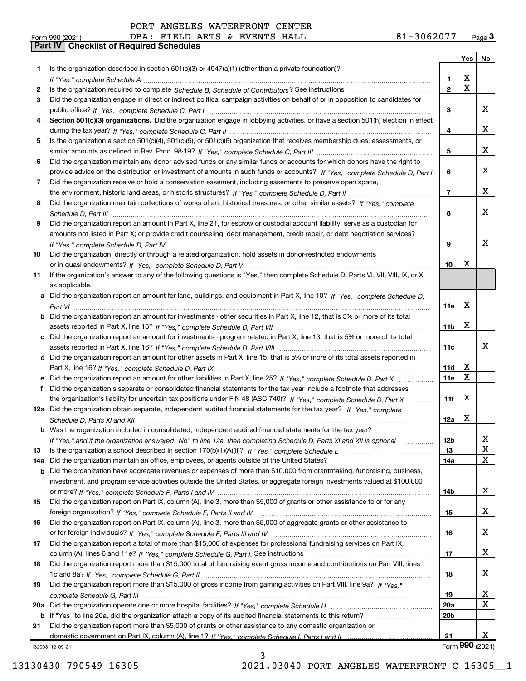| PORT ANGELES WATERFRONT CENTER |
|--------------------------------|
|--------------------------------|

Part IV | Checklist of Required Schedules

|     |                                                                                                                                       |                 | Yes $ $                 | No                |
|-----|---------------------------------------------------------------------------------------------------------------------------------------|-----------------|-------------------------|-------------------|
| 1   | Is the organization described in section $501(c)(3)$ or $4947(a)(1)$ (other than a private foundation)?                               |                 |                         |                   |
|     |                                                                                                                                       | 1               | X                       |                   |
| 2   |                                                                                                                                       | $\overline{2}$  | $\overline{\mathbf{x}}$ |                   |
| З   | Did the organization engage in direct or indirect political campaign activities on behalf of or in opposition to candidates for       |                 |                         |                   |
|     |                                                                                                                                       | 3               |                         | x                 |
| 4   | Section 501(c)(3) organizations. Did the organization engage in lobbying activities, or have a section 501(h) election in effect      |                 |                         |                   |
|     |                                                                                                                                       | 4               |                         | x                 |
| 5   | Is the organization a section 501(c)(4), 501(c)(5), or 501(c)(6) organization that receives membership dues, assessments, or          |                 |                         |                   |
|     |                                                                                                                                       | 5               |                         | X                 |
| 6   | Did the organization maintain any donor advised funds or any similar funds or accounts for which donors have the right to             |                 |                         |                   |
|     | provide advice on the distribution or investment of amounts in such funds or accounts? If "Yes," complete Schedule D, Part I          | 6               |                         | X                 |
| 7   | Did the organization receive or hold a conservation easement, including easements to preserve open space,                             |                 |                         |                   |
|     |                                                                                                                                       | $\overline{7}$  |                         | x                 |
| 8   | Did the organization maintain collections of works of art, historical treasures, or other similar assets? If "Yes," complete          |                 |                         |                   |
|     |                                                                                                                                       | 8               |                         | X                 |
| 9   | Did the organization report an amount in Part X, line 21, for escrow or custodial account liability, serve as a custodian for         |                 |                         |                   |
|     | amounts not listed in Part X; or provide credit counseling, debt management, credit repair, or debt negotiation services?             |                 |                         |                   |
|     |                                                                                                                                       | 9               |                         | x                 |
| 10  | Did the organization, directly or through a related organization, hold assets in donor-restricted endowments                          |                 |                         |                   |
|     |                                                                                                                                       | 10              | х                       |                   |
| 11  | If the organization's answer to any of the following questions is "Yes," then complete Schedule D, Parts VI, VII, VIII, IX, or X,     |                 |                         |                   |
|     | as applicable.                                                                                                                        |                 |                         |                   |
|     | a Did the organization report an amount for land, buildings, and equipment in Part X, line 10? If "Yes," complete Schedule D,         |                 | X                       |                   |
|     |                                                                                                                                       | 11a             |                         |                   |
|     | <b>b</b> Did the organization report an amount for investments - other securities in Part X, line 12, that is 5% or more of its total | 11b             | X                       |                   |
|     | c Did the organization report an amount for investments - program related in Part X, line 13, that is 5% or more of its total         |                 |                         |                   |
|     |                                                                                                                                       | 11c             |                         | x                 |
|     | d Did the organization report an amount for other assets in Part X, line 15, that is 5% or more of its total assets reported in       |                 |                         |                   |
|     |                                                                                                                                       | 11d             | х                       |                   |
|     | Did the organization report an amount for other liabilities in Part X, line 25? If "Yes," complete Schedule D, Part X                 | 11e             | X                       |                   |
| f   | Did the organization's separate or consolidated financial statements for the tax year include a footnote that addresses               |                 |                         |                   |
|     | the organization's liability for uncertain tax positions under FIN 48 (ASC 740)? If "Yes," complete Schedule D, Part X                | 11f             | X                       |                   |
|     | 12a Did the organization obtain separate, independent audited financial statements for the tax year? If "Yes," complete               |                 |                         |                   |
|     |                                                                                                                                       | 12a             | X                       |                   |
|     | <b>b</b> Was the organization included in consolidated, independent audited financial statements for the tax year?                    |                 |                         |                   |
|     | If "Yes," and if the organization answered "No" to line 12a, then completing Schedule D, Parts XI and XII is optional                 | 12 <sub>b</sub> |                         | Χ                 |
| 13  |                                                                                                                                       | 13              |                         | X                 |
| 14a | Did the organization maintain an office, employees, or agents outside of the United States?                                           | <b>14a</b>      |                         | X                 |
|     | <b>b</b> Did the organization have aggregate revenues or expenses of more than \$10,000 from grantmaking, fundraising, business,      |                 |                         |                   |
|     | investment, and program service activities outside the United States, or aggregate foreign investments valued at \$100,000            |                 |                         |                   |
|     |                                                                                                                                       | <b>14b</b>      |                         | X                 |
| 15  | Did the organization report on Part IX, column (A), line 3, more than \$5,000 of grants or other assistance to or for any             |                 |                         |                   |
|     |                                                                                                                                       | 15              |                         | X                 |
| 16  | Did the organization report on Part IX, column (A), line 3, more than \$5,000 of aggregate grants or other assistance to              |                 |                         |                   |
|     |                                                                                                                                       | 16              |                         | X                 |
| 17  | Did the organization report a total of more than \$15,000 of expenses for professional fundraising services on Part IX,               |                 |                         |                   |
|     |                                                                                                                                       | 17              |                         | X                 |
| 18  | Did the organization report more than \$15,000 total of fundraising event gross income and contributions on Part VIII, lines          |                 |                         |                   |
|     |                                                                                                                                       | 18              |                         | X                 |
| 19  | Did the organization report more than \$15,000 of gross income from gaming activities on Part VIII, line 9a? If "Yes."                |                 |                         |                   |
|     |                                                                                                                                       | 19              |                         | х                 |
| 20a |                                                                                                                                       | 20a             |                         | $\mathbf X$       |
|     | b If "Yes" to line 20a, did the organization attach a copy of its audited financial statements to this return?                        | 20 <sub>b</sub> |                         |                   |
| 21  | Did the organization report more than \$5,000 of grants or other assistance to any domestic organization or                           |                 |                         |                   |
|     |                                                                                                                                       | 21              |                         | x                 |
|     | 132003 12-09-21                                                                                                                       |                 |                         | Form $990$ (2021) |

3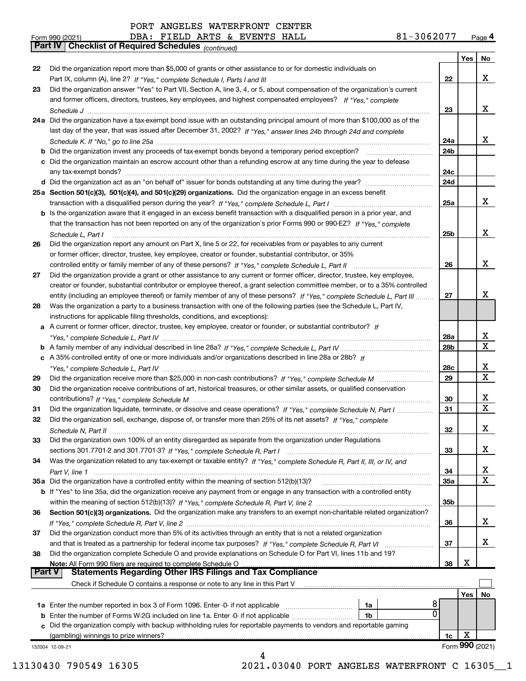Did the organization report more than \$5,000 of grants or other assistance to or for domestic individuals on

If "Yes," complete Schedule I, Parts I and III Part IX, column (A), line 2? ~~~~~~~~~~~~~~~~~~~~~~~~~~

Did the organization answer "Yes" to Part VII, Section A, line 3, 4, or 5, about compensation of the organization's current

|  | the contract of the contract of the contract of the contract of the contract of the contract of the contract of |  |
|--|-----------------------------------------------------------------------------------------------------------------|--|
|  |                                                                                                                 |  |
|  | the contract of the contract of the contract of the contract of the contract of the contract of the contract of |  |

|      | Check if Schedule O contains a response or note to any line in this Part V<br>8<br>1a Enter the number reported in box 3 of Form 1096. Enter -0- if not applicable<br>1a<br>0<br>1b<br>Did the organization comply with backup withholding rules for reportable payments to vendors and reportable gaming<br>(gambling) winnings to prize winners?<br>132004 12-09-21 | 1c  | Yes  <br>Х<br>Form 990 (2021) | No          |
|------|-----------------------------------------------------------------------------------------------------------------------------------------------------------------------------------------------------------------------------------------------------------------------------------------------------------------------------------------------------------------------|-----|-------------------------------|-------------|
|      |                                                                                                                                                                                                                                                                                                                                                                       |     |                               |             |
|      |                                                                                                                                                                                                                                                                                                                                                                       |     |                               |             |
|      |                                                                                                                                                                                                                                                                                                                                                                       |     |                               |             |
|      |                                                                                                                                                                                                                                                                                                                                                                       |     |                               |             |
|      |                                                                                                                                                                                                                                                                                                                                                                       |     |                               |             |
|      |                                                                                                                                                                                                                                                                                                                                                                       |     |                               |             |
|      | Part V<br><b>Statements Regarding Other IRS Filings and Tax Compliance</b>                                                                                                                                                                                                                                                                                            |     |                               |             |
|      | Note: All Form 990 filers are required to complete Schedule O                                                                                                                                                                                                                                                                                                         | 38  | X                             |             |
| 38   | Did the organization complete Schedule O and provide explanations on Schedule O for Part VI, lines 11b and 19?                                                                                                                                                                                                                                                        |     |                               |             |
|      | and that is treated as a partnership for federal income tax purposes? If "Yes," complete Schedule R, Part VI                                                                                                                                                                                                                                                          | 37  |                               | Х           |
| 37   | Did the organization conduct more than 5% of its activities through an entity that is not a related organization                                                                                                                                                                                                                                                      |     |                               |             |
|      |                                                                                                                                                                                                                                                                                                                                                                       | 36  |                               | x           |
| 36   | Section 501(c)(3) organizations. Did the organization make any transfers to an exempt non-charitable related organization?                                                                                                                                                                                                                                            |     |                               |             |
|      |                                                                                                                                                                                                                                                                                                                                                                       | 35b |                               |             |
|      | <b>b</b> If "Yes" to line 35a, did the organization receive any payment from or engage in any transaction with a controlled entity                                                                                                                                                                                                                                    |     |                               |             |
| 35 a | Did the organization have a controlled entity within the meaning of section 512(b)(13)?                                                                                                                                                                                                                                                                               | 35a |                               |             |
|      | Part V, line 1                                                                                                                                                                                                                                                                                                                                                        | 34  |                               | х<br>X      |
| 34   | Was the organization related to any tax-exempt or taxable entity? If "Yes," complete Schedule R, Part II, III, or IV, and                                                                                                                                                                                                                                             |     |                               |             |
|      |                                                                                                                                                                                                                                                                                                                                                                       | 33  |                               | x           |
| 33   | Did the organization own 100% of an entity disregarded as separate from the organization under Regulations                                                                                                                                                                                                                                                            |     |                               |             |
|      |                                                                                                                                                                                                                                                                                                                                                                       | 32  |                               | X           |
| 32   | Did the organization sell, exchange, dispose of, or transfer more than 25% of its net assets? If "Yes," complete                                                                                                                                                                                                                                                      |     |                               |             |
| 31   | Did the organization liquidate, terminate, or dissolve and cease operations? If "Yes," complete Schedule N, Part I                                                                                                                                                                                                                                                    | 31  |                               | $\mathbf X$ |
|      |                                                                                                                                                                                                                                                                                                                                                                       | 30  |                               | х           |
| 30   | Did the organization receive contributions of art, historical treasures, or other similar assets, or qualified conservation                                                                                                                                                                                                                                           |     |                               |             |
| 29   |                                                                                                                                                                                                                                                                                                                                                                       | 29  |                               | $\mathbf X$ |
|      |                                                                                                                                                                                                                                                                                                                                                                       | 28c |                               | х           |
|      | c A 35% controlled entity of one or more individuals and/or organizations described in line 28a or 28b? If                                                                                                                                                                                                                                                            |     |                               |             |
|      |                                                                                                                                                                                                                                                                                                                                                                       | 28b |                               | $\mathbf X$ |
|      |                                                                                                                                                                                                                                                                                                                                                                       | 28a |                               | X           |
|      | a A current or former officer, director, trustee, key employee, creator or founder, or substantial contributor? If                                                                                                                                                                                                                                                    |     |                               |             |
|      | instructions for applicable filing thresholds, conditions, and exceptions):                                                                                                                                                                                                                                                                                           |     |                               |             |
| 28   | Was the organization a party to a business transaction with one of the following parties (see the Schedule L, Part IV,                                                                                                                                                                                                                                                |     |                               |             |
|      | entity (including an employee thereof) or family member of any of these persons? If "Yes," complete Schedule L, Part III                                                                                                                                                                                                                                              | 27  |                               |             |
|      | creator or founder, substantial contributor or employee thereof, a grant selection committee member, or to a 35% controlled                                                                                                                                                                                                                                           |     |                               | X           |
| 27   | Did the organization provide a grant or other assistance to any current or former officer, director, trustee, key employee,                                                                                                                                                                                                                                           |     |                               |             |
|      |                                                                                                                                                                                                                                                                                                                                                                       | 26  |                               |             |
|      | or former officer, director, trustee, key employee, creator or founder, substantial contributor, or 35%                                                                                                                                                                                                                                                               |     |                               | x           |
| 26   | Did the organization report any amount on Part X, line 5 or 22, for receivables from or payables to any current                                                                                                                                                                                                                                                       |     |                               |             |
|      | Schedule L, Part I                                                                                                                                                                                                                                                                                                                                                    | 25b |                               |             |
|      | that the transaction has not been reported on any of the organization's prior Forms 990 or 990-EZ? If "Yes," complete                                                                                                                                                                                                                                                 |     |                               | x           |
|      | b Is the organization aware that it engaged in an excess benefit transaction with a disqualified person in a prior year, and                                                                                                                                                                                                                                          |     |                               |             |
|      |                                                                                                                                                                                                                                                                                                                                                                       |     |                               |             |
|      |                                                                                                                                                                                                                                                                                                                                                                       | 25a |                               | x           |
|      | 25a Section 501(c)(3), 501(c)(4), and 501(c)(29) organizations. Did the organization engage in an excess benefit                                                                                                                                                                                                                                                      |     |                               |             |
|      | any tax-exempt bonds?                                                                                                                                                                                                                                                                                                                                                 | 24d |                               |             |
|      | c Did the organization maintain an escrow account other than a refunding escrow at any time during the year to defease                                                                                                                                                                                                                                                | 24c |                               |             |
|      | <b>b</b> Did the organization invest any proceeds of tax-exempt bonds beyond a temporary period exception?                                                                                                                                                                                                                                                            | 24b |                               |             |
|      |                                                                                                                                                                                                                                                                                                                                                                       | 24a |                               | x           |
|      | last day of the year, that was issued after December 31, 2002? If "Yes," answer lines 24b through 24d and complete                                                                                                                                                                                                                                                    |     |                               |             |
|      | 24a Did the organization have a tax-exempt bond issue with an outstanding principal amount of more than \$100,000 as of the                                                                                                                                                                                                                                           |     |                               |             |
|      |                                                                                                                                                                                                                                                                                                                                                                       | 23  |                               | x           |
|      | and former officers, directors, trustees, key employees, and highest compensated employees? If "Yes," complete                                                                                                                                                                                                                                                        |     |                               |             |

13130430 790549 16305 2021.03040 PORT ANGELES WATERFRONT C 16305\_\_1

22

Yes | No

X

Part IV Checklist of Required Schedules (continued)

|  | m 000 (2021) |  |
|--|--------------|--|

22

23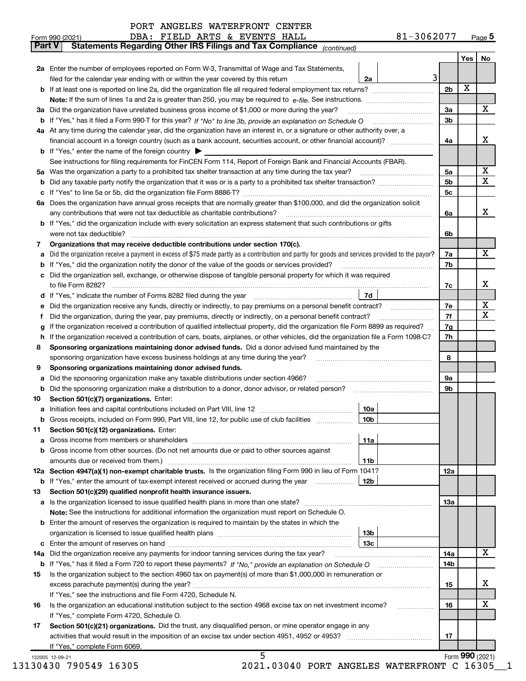|  |  | PORT ANGELES WATERFRONT CENTER |  |
|--|--|--------------------------------|--|
|--|--|--------------------------------|--|

| <b>Part V</b> | Statements Regarding Other IRS Filings and Tax Compliance (continued)                                                                                        |                |     |                 |
|---------------|--------------------------------------------------------------------------------------------------------------------------------------------------------------|----------------|-----|-----------------|
|               |                                                                                                                                                              |                | Yes | No              |
|               | 2a Enter the number of employees reported on Form W-3, Transmittal of Wage and Tax Statements,                                                               |                |     |                 |
|               | $\overline{3}$<br>filed for the calendar year ending with or within the year covered by this return <i>manumumumum</i><br>2a                                 |                |     |                 |
|               |                                                                                                                                                              | 2 <sub>b</sub> | X   |                 |
|               |                                                                                                                                                              |                |     |                 |
|               | 3a Did the organization have unrelated business gross income of \$1,000 or more during the year?                                                             | 3a             |     | х               |
|               |                                                                                                                                                              | 3 <sub>b</sub> |     |                 |
| b             |                                                                                                                                                              |                |     |                 |
|               | 4a At any time during the calendar year, did the organization have an interest in, or a signature or other authority over, a                                 |                |     |                 |
|               | financial account in a foreign country (such as a bank account, securities account, or other financial account)?                                             | 4a             |     | х               |
|               | <b>b</b> If "Yes," enter the name of the foreign country $\blacktriangleright$                                                                               |                |     |                 |
|               | See instructions for filing requirements for FinCEN Form 114, Report of Foreign Bank and Financial Accounts (FBAR).                                          |                |     |                 |
|               |                                                                                                                                                              | 5a             |     | X               |
| b             |                                                                                                                                                              | 5 <sub>b</sub> |     | х               |
| с             |                                                                                                                                                              | 5c             |     |                 |
| 6а            | Does the organization have annual gross receipts that are normally greater than \$100,000, and did the organization solicit                                  |                |     |                 |
|               | any contributions that were not tax deductible as charitable contributions?                                                                                  | 6a             |     | x               |
| b             | If "Yes," did the organization include with every solicitation an express statement that such contributions or gifts                                         |                |     |                 |
|               | were not tax deductible?                                                                                                                                     | 6b             |     |                 |
| 7             | Organizations that may receive deductible contributions under section 170(c).                                                                                |                |     |                 |
| а             | Did the organization receive a payment in excess of \$75 made partly as a contribution and partly for goods and services provided to the payor?              | 7a             |     | x               |
|               | If "Yes," did the organization notify the donor of the value of the goods or services provided?                                                              | 7b             |     |                 |
| b             | Did the organization sell, exchange, or otherwise dispose of tangible personal property for which it was required                                            |                |     |                 |
| c             |                                                                                                                                                              |                |     | х               |
|               |                                                                                                                                                              | 7c             |     |                 |
|               | 7d<br>d If "Yes," indicate the number of Forms 8282 filed during the year manufactured in the second of the New York                                         |                |     |                 |
| е             | Did the organization receive any funds, directly or indirectly, to pay premiums on a personal benefit contract?                                              | 7e             |     | X               |
| Ť             | Did the organization, during the year, pay premiums, directly or indirectly, on a personal benefit contract?                                                 | 7f             |     | Χ               |
| g             | If the organization received a contribution of qualified intellectual property, did the organization file Form 8899 as required?                             | 7g             |     |                 |
| h             | If the organization received a contribution of cars, boats, airplanes, or other vehicles, did the organization file a Form 1098-C?                           | 7h             |     |                 |
| 8             | Sponsoring organizations maintaining donor advised funds. Did a donor advised fund maintained by the                                                         |                |     |                 |
|               | sponsoring organization have excess business holdings at any time during the year?                                                                           | 8              |     |                 |
| 9             | Sponsoring organizations maintaining donor advised funds.                                                                                                    |                |     |                 |
| а             | Did the sponsoring organization make any taxable distributions under section 4966?                                                                           | 9a             |     |                 |
| b             | Did the sponsoring organization make a distribution to a donor, donor advisor, or related person?                                                            | 9b             |     |                 |
| 10            | Section 501(c)(7) organizations. Enter:                                                                                                                      |                |     |                 |
| а             | 10a                                                                                                                                                          |                |     |                 |
| b             | 10 <sub>b</sub><br>Gross receipts, included on Form 990, Part VIII, line 12, for public use of club facilities                                               |                |     |                 |
| 11            | Section 501(c)(12) organizations. Enter:                                                                                                                     |                |     |                 |
| а             | 11a<br>Gross income from members or shareholders                                                                                                             |                |     |                 |
| b             | Gross income from other sources. (Do not net amounts due or paid to other sources against                                                                    |                |     |                 |
|               |                                                                                                                                                              |                |     |                 |
|               | amounts due or received from them.)<br>11b<br>12a Section 4947(a)(1) non-exempt charitable trusts. Is the organization filing Form 990 in lieu of Form 1041? |                |     |                 |
|               |                                                                                                                                                              | 12a            |     |                 |
| b             | If "Yes," enter the amount of tax-exempt interest received or accrued during the year<br>12b                                                                 |                |     |                 |
| 13            | Section 501(c)(29) qualified nonprofit health insurance issuers.                                                                                             |                |     |                 |
|               | a Is the organization licensed to issue qualified health plans in more than one state?                                                                       | 13a            |     |                 |
|               | Note: See the instructions for additional information the organization must report on Schedule O.                                                            |                |     |                 |
|               | <b>b</b> Enter the amount of reserves the organization is required to maintain by the states in which the                                                    |                |     |                 |
|               | 13 <sub>b</sub>                                                                                                                                              |                |     |                 |
| c             | 13 <sub>c</sub>                                                                                                                                              |                |     |                 |
| 14a           | Did the organization receive any payments for indoor tanning services during the tax year?                                                                   | 14a            |     | х               |
| b             |                                                                                                                                                              | 14b            |     |                 |
| 15            | Is the organization subject to the section 4960 tax on payment(s) of more than \$1,000,000 in remuneration or                                                |                |     |                 |
|               |                                                                                                                                                              | 15             |     | х               |
|               | If "Yes," see the instructions and file Form 4720, Schedule N.                                                                                               |                |     |                 |
| 16            | Is the organization an educational institution subject to the section 4968 excise tax on net investment income?                                              | 16             |     | х               |
|               | If "Yes," complete Form 4720, Schedule O.                                                                                                                    |                |     |                 |
| 17            | Section 501(c)(21) organizations. Did the trust, any disqualified person, or mine operator engage in any                                                     |                |     |                 |
|               |                                                                                                                                                              | 17             |     |                 |
|               | If "Yes," complete Form 6069.                                                                                                                                |                |     |                 |
|               | 5                                                                                                                                                            |                |     | Form 990 (2021) |
|               | 132005 12-09-21                                                                                                                                              |                |     |                 |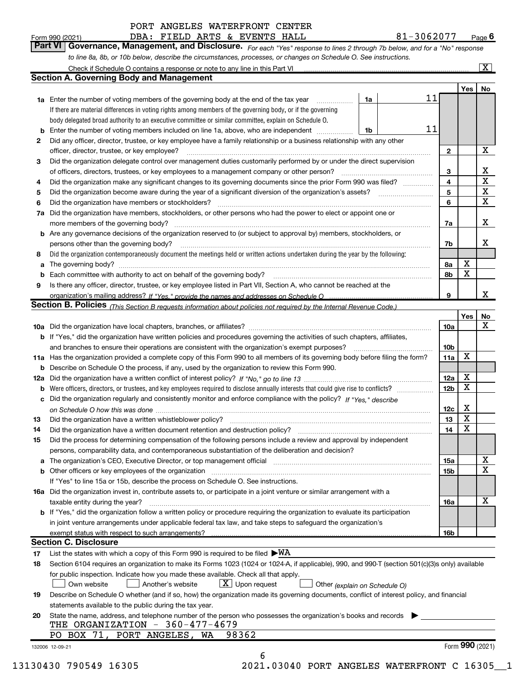| PORT ANGELES WATERFRONT CENTER |  |  |  |  |
|--------------------------------|--|--|--|--|
|--------------------------------|--|--|--|--|

| Form 990 (2021)                                                                                                  |  |  |  |  | DBA: FIELD ARTS & EVENTS HALL |  | 81-3062077                                                                                                                            | Page $\theta$ |
|------------------------------------------------------------------------------------------------------------------|--|--|--|--|-------------------------------|--|---------------------------------------------------------------------------------------------------------------------------------------|---------------|
|                                                                                                                  |  |  |  |  |                               |  | <b>Part VI   Governance, Management, and Disclosure.</b> For each "Yes" response to lines 2 through 7b below, and for a "No" response |               |
| to line 8a, 8b, or 10b below, describe the circumstances, processes, or changes on Schedule O. See instructions. |  |  |  |  |                               |  |                                                                                                                                       |               |
| Check if Schedule O contains a response or note to any line in this Part VI                                      |  |  |  |  |                               |  |                                                                                                                                       |               |

|     | <b>Section A. Governing Body and Management</b>                                                                                                          |    |    |                 | Yes             | No          |
|-----|----------------------------------------------------------------------------------------------------------------------------------------------------------|----|----|-----------------|-----------------|-------------|
|     | 1a Enter the number of voting members of the governing body at the end of the tax year                                                                   | 1a | 11 |                 |                 |             |
|     | If there are material differences in voting rights among members of the governing body, or if the governing                                              |    |    |                 |                 |             |
|     | body delegated broad authority to an executive committee or similar committee, explain on Schedule O.                                                    |    |    |                 |                 |             |
| b   | Enter the number of voting members included on line 1a, above, who are independent                                                                       | 1b | 11 |                 |                 |             |
| 2   | Did any officer, director, trustee, or key employee have a family relationship or a business relationship with any other                                 |    |    |                 |                 |             |
|     | officer, director, trustee, or key employee?                                                                                                             |    |    | 2               |                 | $\mathbf X$ |
| 3   | Did the organization delegate control over management duties customarily performed by or under the direct supervision                                    |    |    |                 |                 |             |
|     | of officers, directors, trustees, or key employees to a management company or other person?                                                              |    |    | 3               |                 | х           |
| 4   | Did the organization make any significant changes to its governing documents since the prior Form 990 was filed?                                         |    |    | 4               |                 | $\mathbf X$ |
| 5   |                                                                                                                                                          |    |    | 5               |                 | X           |
| 6   | Did the organization have members or stockholders?                                                                                                       |    |    | 6               |                 | X           |
| 7а  | Did the organization have members, stockholders, or other persons who had the power to elect or appoint one or                                           |    |    |                 |                 |             |
|     | more members of the governing body?                                                                                                                      |    |    | 7a              |                 | x           |
|     | <b>b</b> Are any governance decisions of the organization reserved to (or subject to approval by) members, stockholders, or                              |    |    |                 |                 |             |
|     | persons other than the governing body?                                                                                                                   |    |    | 7b              |                 | X           |
| 8   | Did the organization contemporaneously document the meetings held or written actions undertaken during the year by the following:                        |    |    |                 |                 |             |
| a   |                                                                                                                                                          |    |    | 8a              | X               |             |
| b   | Each committee with authority to act on behalf of the governing body?                                                                                    |    |    | 8b              | X               |             |
| 9   | Is there any officer, director, trustee, or key employee listed in Part VII, Section A, who cannot be reached at the                                     |    |    |                 |                 |             |
|     | organization's mailing address? If "Yes." provide the names and addresses on Schedule O                                                                  |    |    | 9               |                 | X           |
|     | <b>Section B. Policies</b> (This Section B requests information about policies not required by the Internal Revenue Code.)                               |    |    |                 |                 |             |
|     |                                                                                                                                                          |    |    |                 | Yes             | No          |
|     |                                                                                                                                                          |    |    | 10a             |                 | X           |
|     | <b>b</b> If "Yes," did the organization have written policies and procedures governing the activities of such chapters, affiliates,                      |    |    |                 |                 |             |
|     | and branches to ensure their operations are consistent with the organization's exempt purposes?                                                          |    |    | 10 <sub>b</sub> |                 |             |
|     | 11a Has the organization provided a complete copy of this Form 990 to all members of its governing body before filing the form?                          |    |    | 11a             | X               |             |
| b   | Describe on Schedule O the process, if any, used by the organization to review this Form 990.                                                            |    |    |                 |                 |             |
| 12a |                                                                                                                                                          |    |    | 12a             | X               |             |
| b   | Were officers, directors, or trustees, and key employees required to disclose annually interests that could give rise to conflicts?                      |    |    | 12b             | X               |             |
| с   | Did the organization regularly and consistently monitor and enforce compliance with the policy? If "Yes," describe                                       |    |    |                 |                 |             |
|     |                                                                                                                                                          |    |    | 12c             | X               |             |
| 13  | Did the organization have a written whistleblower policy?                                                                                                |    |    | 13              | X               |             |
| 14  | Did the organization have a written document retention and destruction policy?                                                                           |    |    | 14              | X               |             |
| 15  | Did the process for determining compensation of the following persons include a review and approval by independent                                       |    |    |                 |                 |             |
|     | persons, comparability data, and contemporaneous substantiation of the deliberation and decision?                                                        |    |    |                 |                 |             |
|     | The organization's CEO, Executive Director, or top management official [111] [11] The organization's CEO, Executive Director, or top management official |    |    | 15a             |                 | X           |
|     | <b>b</b> Other officers or key employees of the organization                                                                                             |    |    | 15b             |                 | X           |
|     | If "Yes" to line 15a or 15b, describe the process on Schedule O. See instructions.                                                                       |    |    |                 |                 |             |
|     | 16a Did the organization invest in, contribute assets to, or participate in a joint venture or similar arrangement with a                                |    |    |                 |                 |             |
|     | taxable entity during the year?                                                                                                                          |    |    | 16a             |                 | X           |
|     | b If "Yes," did the organization follow a written policy or procedure requiring the organization to evaluate its participation                           |    |    |                 |                 |             |
|     | in joint venture arrangements under applicable federal tax law, and take steps to safeguard the organization's                                           |    |    |                 |                 |             |
|     | exempt status with respect to such arrangements?                                                                                                         |    |    | 16b             |                 |             |
|     | <b>Section C. Disclosure</b>                                                                                                                             |    |    |                 |                 |             |
|     | List the states with which a copy of this Form 990 is required to be filed $\blacktriangleright$ WA                                                      |    |    |                 |                 |             |
| 17  | Section 6104 requires an organization to make its Forms 1023 (1024 or 1024-A, if applicable), 990, and 990-T (section 501(c)(3)s only) available         |    |    |                 |                 |             |
| 18  |                                                                                                                                                          |    |    |                 |                 |             |
|     | for public inspection. Indicate how you made these available. Check all that apply.                                                                      |    |    |                 |                 |             |
|     | $X$ Upon request<br>Own website<br>Another's website<br>Other (explain on Schedule O)                                                                    |    |    |                 |                 |             |
| 19  | Describe on Schedule O whether (and if so, how) the organization made its governing documents, conflict of interest policy, and financial                |    |    |                 |                 |             |
|     | statements available to the public during the tax year.                                                                                                  |    |    |                 |                 |             |
| 20  | State the name, address, and telephone number of the person who possesses the organization's books and records                                           |    |    |                 |                 |             |
|     | THE ORGANIZATION - 360-477-4679                                                                                                                          |    |    |                 |                 |             |
|     | 98362<br>PO BOX 71, PORT ANGELES,<br>WA                                                                                                                  |    |    |                 | Form 990 (2021) |             |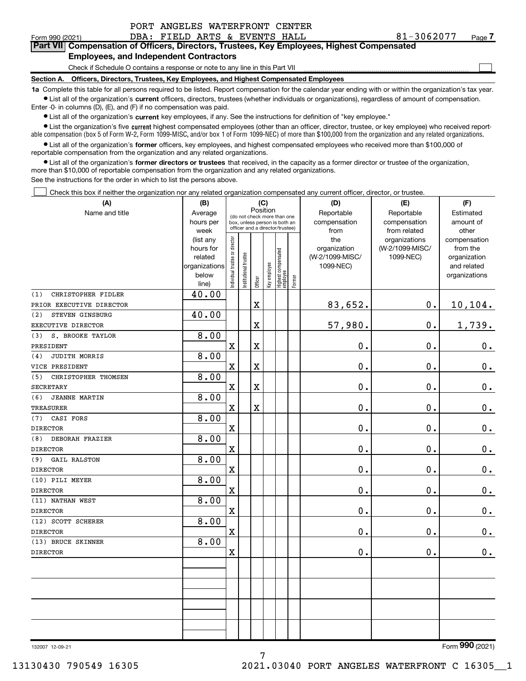| PORT ANGELES WATERFRONT CENTER |
|--------------------------------|
|--------------------------------|

 $\Box$ 

#### Form 990 (2021) **DBA: FIELD ARTS & EVENTS HALL**  $81-3062077$  Page Part VII Compensation of Officers, Directors, Trustees, Key Employees, Highest Compensated Employees, and Independent Contractors

# Check if Schedule O contains a response or note to any line in this Part VII

Section A. Officers, Directors, Trustees, Key Employees, and Highest Compensated Employees

1a Complete this table for all persons required to be listed. Report compensation for the calendar year ending with or within the organization's tax year. Ist all of the organization's current officers, directors, trustees (whether individuals or organizations), regardless of amount of compensation.

Enter -0- in columns (D), (E), and (F) if no compensation was paid.

**•** List all of the organization's current key employees, if any. See the instructions for definition of "key employee."

● List the organization's five current highest compensated employees (other than an officer, director, trustee, or key employee) who received reportable compensation (box 5 of Form W-2, Form 1099-MISC, and/or box 1 of Form 1099-NEC) of more than \$100,000 from the organization and any related organizations.

List all of the organization's former officers, key employees, and highest compensated employees who received more than \$100,000 of reportable compensation from the organization and any related organizations.

• List all of the organization's former directors or trustees that received, in the capacity as a former director or trustee of the organization, more than \$10,000 of reportable compensation from the organization and any related organizations.

See the instructions for the order in which to list the persons above.

Check this box if neither the organization nor any related organization compensated any current officer, director, or trustee.  $\Box$ 

| (A)                        | (B)                  | (C)<br>Position               |                       |                                                                  |              | (D)                             | (E)    | (F)                             |                              |                             |  |  |
|----------------------------|----------------------|-------------------------------|-----------------------|------------------------------------------------------------------|--------------|---------------------------------|--------|---------------------------------|------------------------------|-----------------------------|--|--|
| Name and title             | Average              |                               |                       | (do not check more than one                                      |              |                                 |        | Reportable                      | Reportable                   | Estimated                   |  |  |
|                            | hours per            |                               |                       | box, unless person is both an<br>officer and a director/trustee) |              |                                 |        | compensation                    | compensation                 | amount of                   |  |  |
|                            | week                 |                               |                       |                                                                  |              |                                 |        | from                            | from related                 | other                       |  |  |
|                            | (list any            |                               |                       |                                                                  |              |                                 |        | the                             | organizations                | compensation                |  |  |
|                            | hours for<br>related |                               |                       |                                                                  |              |                                 |        | organization<br>(W-2/1099-MISC/ | (W-2/1099-MISC/<br>1099-NEC) | from the                    |  |  |
|                            | organizations        |                               |                       |                                                                  |              |                                 |        | 1099-NEC)                       |                              | organization<br>and related |  |  |
|                            | below                |                               |                       |                                                                  |              |                                 |        |                                 |                              | organizations               |  |  |
|                            | line)                | ndividual trustee or director | Institutional trustee | Officer                                                          | Key employee | Highest compensated<br>employee | Former |                                 |                              |                             |  |  |
| (1)<br>CHRISTOPHER FIDLER  | 40.00                |                               |                       |                                                                  |              |                                 |        |                                 |                              |                             |  |  |
| PRIOR EXECUTIVE DIRECTOR   |                      |                               |                       | $\mathbf X$                                                      |              |                                 |        | 83,652.                         | 0.                           | 10,104.                     |  |  |
| STEVEN GINSBURG<br>(2)     | 40.00                |                               |                       |                                                                  |              |                                 |        |                                 |                              |                             |  |  |
| EXECUTIVE DIRECTOR         |                      |                               |                       | X                                                                |              |                                 |        | 57,980.                         | 0.                           | 1,739.                      |  |  |
| S. BROOKE TAYLOR<br>(3)    | 8.00                 |                               |                       |                                                                  |              |                                 |        |                                 |                              |                             |  |  |
| PRESIDENT                  |                      | $\mathbf X$                   |                       | $\rm X$                                                          |              |                                 |        | 0.                              | 0.                           | $0_{.}$                     |  |  |
| JUDITH MORRIS<br>(4)       | 8.00                 |                               |                       |                                                                  |              |                                 |        |                                 |                              |                             |  |  |
| VICE PRESIDENT             |                      | $\mathbf X$                   |                       | $\overline{\textbf{X}}$                                          |              |                                 |        | 0.                              | 0.                           | $\mathbf 0$ .               |  |  |
| CHRISTOPHER THOMSEN<br>(5) | 8.00                 |                               |                       |                                                                  |              |                                 |        |                                 |                              |                             |  |  |
| <b>SECRETARY</b>           |                      | $\mathbf X$                   |                       | $\rm X$                                                          |              |                                 |        | 0.                              | 0.                           | 0.                          |  |  |
| (6)<br>JEANNE MARTIN       | 8.00                 |                               |                       |                                                                  |              |                                 |        |                                 |                              |                             |  |  |
| <b>TREASURER</b>           |                      | $\mathbf X$                   |                       | $\rm X$                                                          |              |                                 |        | 0.                              | 0.                           | $\mathbf 0$ .               |  |  |
| (7)<br>CASI FORS           | 8.00                 |                               |                       |                                                                  |              |                                 |        |                                 |                              |                             |  |  |
| <b>DIRECTOR</b>            |                      | $\mathbf X$                   |                       |                                                                  |              |                                 |        | 0.                              | 0.                           | 0.                          |  |  |
| DEBORAH FRAZIER<br>(8)     | 8.00                 |                               |                       |                                                                  |              |                                 |        |                                 |                              |                             |  |  |
| <b>DIRECTOR</b>            |                      | $\mathbf X$                   |                       |                                                                  |              |                                 |        | 0.                              | 0.                           | $\mathbf 0$ .               |  |  |
| <b>GAIL RALSTON</b><br>(9) | 8.00                 |                               |                       |                                                                  |              |                                 |        |                                 |                              |                             |  |  |
| <b>DIRECTOR</b>            |                      | $\mathbf X$                   |                       |                                                                  |              |                                 |        | 0.                              | 0.                           | 0.                          |  |  |
| (10) PILI MEYER            | 8.00                 |                               |                       |                                                                  |              |                                 |        |                                 |                              |                             |  |  |
| <b>DIRECTOR</b>            |                      | $\mathbf X$                   |                       |                                                                  |              |                                 |        | 0.                              | $\mathbf 0$ .                | $0_{.}$                     |  |  |
| (11) NATHAN WEST           | 8.00                 |                               |                       |                                                                  |              |                                 |        |                                 |                              |                             |  |  |
| <b>DIRECTOR</b>            |                      | $\mathbf X$                   |                       |                                                                  |              |                                 |        | 0.                              | $\mathbf 0$ .                | $\mathbf 0$ .               |  |  |
| (12) SCOTT SCHERER         | 8.00                 |                               |                       |                                                                  |              |                                 |        |                                 |                              |                             |  |  |
| <b>DIRECTOR</b>            |                      | $\mathbf X$                   |                       |                                                                  |              |                                 |        | 0.                              | 0.                           | $0_{.}$                     |  |  |
| (13) BRUCE SKINNER         | 8.00                 |                               |                       |                                                                  |              |                                 |        |                                 |                              |                             |  |  |
| <b>DIRECTOR</b>            |                      | $\mathbf X$                   |                       |                                                                  |              |                                 |        | 0.                              | 0.                           | 0.                          |  |  |
|                            |                      |                               |                       |                                                                  |              |                                 |        |                                 |                              |                             |  |  |
|                            |                      |                               |                       |                                                                  |              |                                 |        |                                 |                              |                             |  |  |
|                            |                      |                               |                       |                                                                  |              |                                 |        |                                 |                              |                             |  |  |
|                            |                      |                               |                       |                                                                  |              |                                 |        |                                 |                              |                             |  |  |
|                            |                      |                               |                       |                                                                  |              |                                 |        |                                 |                              |                             |  |  |
|                            |                      |                               |                       |                                                                  |              |                                 |        |                                 |                              |                             |  |  |
|                            |                      |                               |                       |                                                                  |              |                                 |        |                                 |                              |                             |  |  |
|                            |                      |                               |                       |                                                                  |              |                                 |        |                                 |                              |                             |  |  |

132007 12-09-21

Form **990** (2021)

7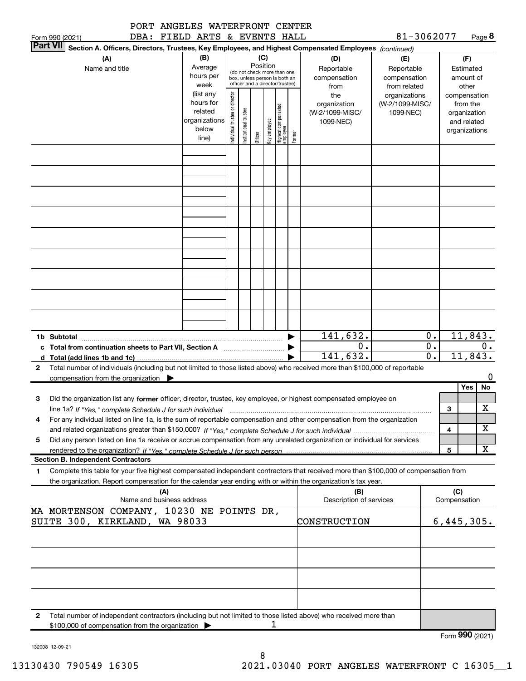|     |  | PORT ANGELES WATERFRONT CENTER |  |
|-----|--|--------------------------------|--|
| --- |  |                                |  |

81-3062077 Page 8

|                 | Form 990 (2021) |                                                                             |                           | DBA: FIELD ARTS & EVENTS HALL |                               |                                 |          |              |                                  |        |                                                                                                                                      | 81-3062077      |                  |              | Page $8$          |  |
|-----------------|-----------------|-----------------------------------------------------------------------------|---------------------------|-------------------------------|-------------------------------|---------------------------------|----------|--------------|----------------------------------|--------|--------------------------------------------------------------------------------------------------------------------------------------|-----------------|------------------|--------------|-------------------|--|
| <b>Part VII</b> |                 |                                                                             |                           |                               |                               |                                 |          |              |                                  |        | Section A. Officers, Directors, Trustees, Key Employees, and Highest Compensated Employees (continued)                               |                 |                  |              |                   |  |
|                 |                 | (A)                                                                         |                           | (B)                           |                               |                                 | (C)      |              |                                  |        | (D)                                                                                                                                  | (E)             |                  |              | (F)               |  |
|                 |                 | Name and title                                                              |                           | Average                       |                               | (do not check more than one     | Position |              |                                  |        | Reportable                                                                                                                           | Reportable      |                  |              | Estimated         |  |
|                 |                 |                                                                             |                           | hours per                     |                               | box, unless person is both an   |          |              |                                  |        | compensation                                                                                                                         | compensation    |                  |              | amount of         |  |
|                 |                 |                                                                             |                           | week                          |                               | officer and a director/trustee) |          |              |                                  |        | from                                                                                                                                 | from related    |                  |              | other             |  |
|                 |                 |                                                                             |                           | (list any                     |                               |                                 |          |              |                                  |        | the                                                                                                                                  | organizations   |                  |              | compensation      |  |
|                 |                 |                                                                             |                           | hours for                     |                               |                                 |          |              |                                  |        | organization                                                                                                                         | (W-2/1099-MISC/ |                  |              | from the          |  |
|                 |                 |                                                                             |                           | related                       |                               |                                 |          |              |                                  |        | (W-2/1099-MISC/                                                                                                                      | 1099-NEC)       |                  |              | organization      |  |
|                 |                 |                                                                             |                           | organizations<br>below        |                               |                                 |          |              |                                  |        | 1099-NEC)                                                                                                                            |                 |                  |              | and related       |  |
|                 |                 |                                                                             |                           | line)                         | ndividual trustee or director | Institutional trustee           | Officer  | Key employee | Highest compensated<br> employee | Former |                                                                                                                                      |                 |                  |              | organizations     |  |
|                 |                 |                                                                             |                           |                               |                               |                                 |          |              |                                  |        |                                                                                                                                      |                 |                  |              |                   |  |
|                 |                 |                                                                             |                           |                               |                               |                                 |          |              |                                  |        |                                                                                                                                      |                 |                  |              |                   |  |
|                 |                 |                                                                             |                           |                               |                               |                                 |          |              |                                  |        |                                                                                                                                      |                 |                  |              |                   |  |
|                 |                 |                                                                             |                           |                               |                               |                                 |          |              |                                  |        |                                                                                                                                      |                 |                  |              |                   |  |
|                 |                 |                                                                             |                           |                               |                               |                                 |          |              |                                  |        |                                                                                                                                      |                 |                  |              |                   |  |
|                 |                 |                                                                             |                           |                               |                               |                                 |          |              |                                  |        |                                                                                                                                      |                 |                  |              |                   |  |
|                 |                 |                                                                             |                           |                               |                               |                                 |          |              |                                  |        |                                                                                                                                      |                 |                  |              |                   |  |
|                 |                 |                                                                             |                           |                               |                               |                                 |          |              |                                  |        |                                                                                                                                      |                 |                  |              |                   |  |
|                 |                 |                                                                             |                           |                               |                               |                                 |          |              |                                  |        |                                                                                                                                      |                 |                  |              |                   |  |
|                 |                 |                                                                             |                           |                               |                               |                                 |          |              |                                  |        |                                                                                                                                      |                 |                  |              |                   |  |
|                 |                 |                                                                             |                           |                               |                               |                                 |          |              |                                  |        |                                                                                                                                      |                 |                  |              |                   |  |
|                 |                 |                                                                             |                           |                               |                               |                                 |          |              |                                  |        |                                                                                                                                      |                 |                  |              |                   |  |
|                 |                 |                                                                             |                           |                               |                               |                                 |          |              |                                  |        |                                                                                                                                      |                 |                  |              |                   |  |
|                 |                 |                                                                             |                           |                               |                               |                                 |          |              |                                  |        |                                                                                                                                      |                 |                  |              |                   |  |
|                 |                 |                                                                             |                           |                               |                               |                                 |          |              |                                  |        |                                                                                                                                      |                 |                  |              |                   |  |
|                 |                 |                                                                             |                           |                               |                               |                                 |          |              |                                  |        |                                                                                                                                      |                 |                  |              |                   |  |
|                 |                 |                                                                             |                           |                               |                               |                                 |          |              |                                  |        |                                                                                                                                      |                 |                  |              |                   |  |
|                 |                 |                                                                             |                           |                               |                               |                                 |          |              |                                  |        |                                                                                                                                      |                 |                  |              |                   |  |
|                 |                 |                                                                             |                           |                               |                               |                                 |          |              |                                  |        |                                                                                                                                      |                 |                  |              |                   |  |
|                 |                 |                                                                             |                           |                               |                               |                                 |          |              |                                  |        | 141,632.                                                                                                                             |                 | $\mathbf 0$ .    |              | 11,843.           |  |
|                 |                 |                                                                             |                           |                               |                               |                                 |          |              |                                  |        | 0.                                                                                                                                   |                 | $\overline{0}$ . |              | О.                |  |
|                 |                 | c Total from continuation sheets to Part VII, Section A manufactured by     |                           |                               |                               |                                 |          |              |                                  |        | 141,632.                                                                                                                             |                 | $\overline{0}$ . |              | 11,843.           |  |
|                 |                 |                                                                             |                           |                               |                               |                                 |          |              |                                  |        |                                                                                                                                      |                 |                  |              |                   |  |
| 2               |                 |                                                                             |                           |                               |                               |                                 |          |              |                                  |        | Total number of individuals (including but not limited to those listed above) who received more than \$100,000 of reportable         |                 |                  |              | 0                 |  |
|                 |                 | compensation from the organization $\blacktriangleright$                    |                           |                               |                               |                                 |          |              |                                  |        |                                                                                                                                      |                 |                  |              | Yes<br>No         |  |
|                 |                 |                                                                             |                           |                               |                               |                                 |          |              |                                  |        |                                                                                                                                      |                 |                  |              |                   |  |
| 3               |                 |                                                                             |                           |                               |                               |                                 |          |              |                                  |        | Did the organization list any former officer, director, trustee, key employee, or highest compensated employee on                    |                 |                  |              |                   |  |
|                 |                 |                                                                             |                           |                               |                               |                                 |          |              |                                  |        | line 1a? If "Yes," complete Schedule J for such individual manumental content content from the complete schedu                       |                 |                  | 3            | Х                 |  |
|                 |                 |                                                                             |                           |                               |                               |                                 |          |              |                                  |        | For any individual listed on line 1a, is the sum of reportable compensation and other compensation from the organization             |                 |                  |              |                   |  |
|                 |                 |                                                                             |                           |                               |                               |                                 |          |              |                                  |        |                                                                                                                                      |                 |                  | 4            | X                 |  |
| 5               |                 |                                                                             |                           |                               |                               |                                 |          |              |                                  |        | Did any person listed on line 1a receive or accrue compensation from any unrelated organization or individual for services           |                 |                  |              |                   |  |
|                 |                 | rendered to the organization? If "Yes." complete Schedule J for such person |                           |                               |                               |                                 |          |              |                                  |        |                                                                                                                                      |                 |                  | 5            | X                 |  |
|                 |                 | <b>Section B. Independent Contractors</b>                                   |                           |                               |                               |                                 |          |              |                                  |        |                                                                                                                                      |                 |                  |              |                   |  |
| 1.              |                 |                                                                             |                           |                               |                               |                                 |          |              |                                  |        | Complete this table for your five highest compensated independent contractors that received more than \$100,000 of compensation from |                 |                  |              |                   |  |
|                 |                 |                                                                             |                           |                               |                               |                                 |          |              |                                  |        | the organization. Report compensation for the calendar year ending with or within the organization's tax year.                       |                 |                  |              |                   |  |
|                 |                 |                                                                             | (A)                       |                               |                               |                                 |          |              |                                  |        | (B)                                                                                                                                  |                 |                  | (C)          |                   |  |
|                 |                 |                                                                             | Name and business address |                               |                               |                                 |          |              |                                  |        | Description of services                                                                                                              |                 |                  | Compensation |                   |  |
|                 |                 | MA MORTENSON COMPANY, 10230 NE POINTS DR,                                   |                           |                               |                               |                                 |          |              |                                  |        |                                                                                                                                      |                 |                  |              |                   |  |
|                 |                 | SUITE 300, KIRKLAND, WA 98033                                               |                           |                               |                               |                                 |          |              |                                  |        | CONSTRUCTION                                                                                                                         |                 |                  |              | 6,445,305.        |  |
|                 |                 |                                                                             |                           |                               |                               |                                 |          |              |                                  |        |                                                                                                                                      |                 |                  |              |                   |  |
|                 |                 |                                                                             |                           |                               |                               |                                 |          |              |                                  |        |                                                                                                                                      |                 |                  |              |                   |  |
|                 |                 |                                                                             |                           |                               |                               |                                 |          |              |                                  |        |                                                                                                                                      |                 |                  |              |                   |  |
|                 |                 |                                                                             |                           |                               |                               |                                 |          |              |                                  |        |                                                                                                                                      |                 |                  |              |                   |  |
|                 |                 |                                                                             |                           |                               |                               |                                 |          |              |                                  |        |                                                                                                                                      |                 |                  |              |                   |  |
|                 |                 |                                                                             |                           |                               |                               |                                 |          |              |                                  |        |                                                                                                                                      |                 |                  |              |                   |  |
|                 |                 |                                                                             |                           |                               |                               |                                 |          |              |                                  |        |                                                                                                                                      |                 |                  |              |                   |  |
|                 |                 |                                                                             |                           |                               |                               |                                 |          |              |                                  |        |                                                                                                                                      |                 |                  |              |                   |  |
|                 |                 |                                                                             |                           |                               |                               |                                 |          |              |                                  |        | Total number of independent contractors (including but not limited to those listed above) who received more than                     |                 |                  |              |                   |  |
| 2               |                 |                                                                             |                           |                               |                               |                                 |          | 1            |                                  |        |                                                                                                                                      |                 |                  |              |                   |  |
|                 |                 | \$100,000 of compensation from the organization                             |                           |                               |                               |                                 |          |              |                                  |        |                                                                                                                                      |                 |                  |              | Form $990$ (2021) |  |
|                 |                 |                                                                             |                           |                               |                               |                                 |          |              |                                  |        |                                                                                                                                      |                 |                  |              |                   |  |

132008 12-09-21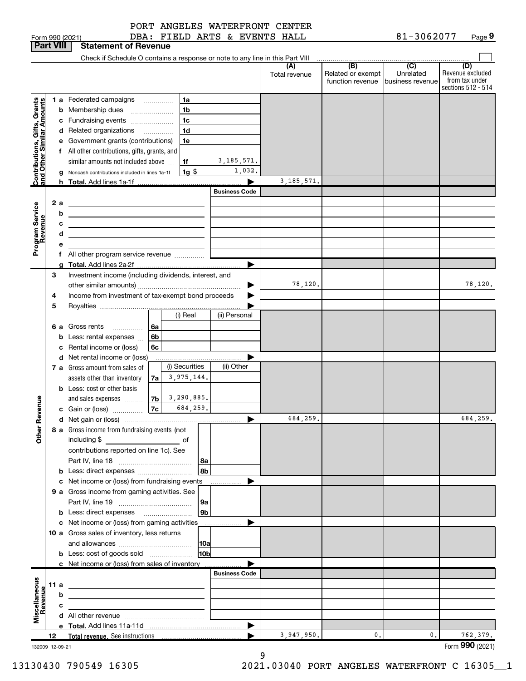|  |  | PORT ANGELES WATERFRONT CENTER |  |
|--|--|--------------------------------|--|
|--|--|--------------------------------|--|

|                                               | <b>Part VIII</b> |   | <b>Statement of Revenue</b>                                                                                          |                      |               |                                       |                                |                         |
|-----------------------------------------------|------------------|---|----------------------------------------------------------------------------------------------------------------------|----------------------|---------------|---------------------------------------|--------------------------------|-------------------------|
|                                               |                  |   | Check if Schedule O contains a response or note to any line in this Part VIII                                        |                      |               |                                       |                                |                         |
|                                               |                  |   |                                                                                                                      |                      | (A)           | (B)                                   | $\overline{C}$                 | (D)<br>Revenue excluded |
|                                               |                  |   |                                                                                                                      |                      | Total revenue | Related or exempt<br>function revenue | Unrelated<br> business revenue | from tax under          |
|                                               |                  |   |                                                                                                                      |                      |               |                                       |                                | sections 512 - 514      |
|                                               |                  |   | 1a<br>1 a Federated campaigns                                                                                        |                      |               |                                       |                                |                         |
|                                               |                  |   | 1 <sub>b</sub><br><b>b</b> Membership dues<br>$\overline{\phantom{a}}$                                               |                      |               |                                       |                                |                         |
| s, Grants<br>Imounts                          |                  |   | 1 <sub>c</sub><br>c Fundraising events                                                                               |                      |               |                                       |                                |                         |
|                                               |                  |   | 1 <sub>d</sub><br>d Related organizations<br>.                                                                       |                      |               |                                       |                                |                         |
|                                               |                  |   | 1e<br>e Government grants (contributions)                                                                            |                      |               |                                       |                                |                         |
| Contributions, Gifts,<br>and Other Similar An |                  |   | f All other contributions, gifts, grants, and                                                                        |                      |               |                                       |                                |                         |
|                                               |                  |   | 1f<br>similar amounts not included above                                                                             | 3, 185, 571.         |               |                                       |                                |                         |
|                                               |                  |   |                                                                                                                      | 1,032.               |               |                                       |                                |                         |
|                                               |                  |   | $1g$ $\frac{1}{3}$<br>g Noncash contributions included in lines 1a-1f                                                |                      | 3, 185, 571.  |                                       |                                |                         |
|                                               |                  |   | h Total. Add lines 1a-1f                                                                                             |                      |               |                                       |                                |                         |
|                                               |                  |   |                                                                                                                      | <b>Business Code</b> |               |                                       |                                |                         |
|                                               | 2a               |   | <u> 1980 - Johann Barn, mars ann an t-Amhain Aonaich an t-Aonaich an t-Aonaich ann an t-Aonaich ann an t-Aonaich</u> |                      |               |                                       |                                |                         |
|                                               |                  | b | <u> 1999 - Johann Barbara, martin amerikan basar dan berasal dalam basa dalam basar dalam basar dalam basa dalam</u> |                      |               |                                       |                                |                         |
|                                               |                  | с | <u> Albanya (Albanya Albanya) albanyi di sebagai sebagai sebagai sebagai sebagai sebagai sebagai sebagai sebagai</u> |                      |               |                                       |                                |                         |
|                                               |                  | d | <u> 1989 - Johann Stein, marwolaethau a bhann an t-Amhair an t-Amhair an t-Amhair an t-Amhair an t-Amhair an t-A</u> |                      |               |                                       |                                |                         |
| Program Service<br>Revenue                    |                  | е |                                                                                                                      |                      |               |                                       |                                |                         |
|                                               |                  |   |                                                                                                                      |                      |               |                                       |                                |                         |
|                                               |                  |   | g Total. Add lines 2a-2f                                                                                             |                      |               |                                       |                                |                         |
|                                               | 3                |   | Investment income (including dividends, interest, and                                                                |                      |               |                                       |                                |                         |
|                                               |                  |   |                                                                                                                      |                      | 78,120.       |                                       |                                | 78,120.                 |
|                                               | 4                |   | Income from investment of tax-exempt bond proceeds                                                                   |                      |               |                                       |                                |                         |
|                                               | 5                |   |                                                                                                                      |                      |               |                                       |                                |                         |
|                                               |                  |   | (i) Real                                                                                                             | (ii) Personal        |               |                                       |                                |                         |
|                                               | 6а               |   | Gross rents<br>l 6a                                                                                                  |                      |               |                                       |                                |                         |
|                                               |                  | b | Less: rental expenses<br>6 <sub>b</sub>                                                                              |                      |               |                                       |                                |                         |
|                                               |                  |   | c Rental income or (loss)<br>6c                                                                                      |                      |               |                                       |                                |                         |
|                                               |                  |   | d Net rental income or (loss)                                                                                        |                      |               |                                       |                                |                         |
|                                               |                  |   | (i) Securities<br>7 a Gross amount from sales of                                                                     | (ii) Other           |               |                                       |                                |                         |
|                                               |                  |   | 3,975,144.<br>assets other than inventory<br>7a                                                                      |                      |               |                                       |                                |                         |
|                                               |                  |   | <b>b</b> Less: cost or other basis                                                                                   |                      |               |                                       |                                |                         |
|                                               |                  |   | 3,290,885.<br><b>7b</b><br>and sales expenses                                                                        |                      |               |                                       |                                |                         |
|                                               |                  |   | 684,259.<br>7c<br>c Gain or (loss)                                                                                   |                      |               |                                       |                                |                         |
| Revenue                                       |                  |   |                                                                                                                      | ▶                    | 684,259.      |                                       |                                | 684,259.                |
|                                               |                  |   | 8 a Gross income from fundraising events (not                                                                        |                      |               |                                       |                                |                         |
| Other                                         |                  |   | including \$                                                                                                         |                      |               |                                       |                                |                         |
|                                               |                  |   | contributions reported on line 1c). See                                                                              |                      |               |                                       |                                |                         |
|                                               |                  |   | 8a                                                                                                                   |                      |               |                                       |                                |                         |
|                                               |                  |   | 8b                                                                                                                   |                      |               |                                       |                                |                         |
|                                               |                  |   | c Net income or (loss) from fundraising events                                                                       |                      |               |                                       |                                |                         |
|                                               |                  |   | 9 a Gross income from gaming activities. See                                                                         |                      |               |                                       |                                |                         |
|                                               |                  |   | 9a                                                                                                                   |                      |               |                                       |                                |                         |
|                                               |                  |   | 9 <sub>b</sub>                                                                                                       |                      |               |                                       |                                |                         |
|                                               |                  |   |                                                                                                                      |                      |               |                                       |                                |                         |
|                                               |                  |   | c Net income or (loss) from gaming activities                                                                        |                      |               |                                       |                                |                         |
|                                               |                  |   | 10 a Gross sales of inventory, less returns                                                                          |                      |               |                                       |                                |                         |
|                                               |                  |   | 10a                                                                                                                  |                      |               |                                       |                                |                         |
|                                               |                  |   | 10 <sub>b</sub><br><b>b</b> Less: cost of goods sold                                                                 |                      |               |                                       |                                |                         |
|                                               |                  |   | c Net income or (loss) from sales of inventory                                                                       |                      |               |                                       |                                |                         |
|                                               |                  |   |                                                                                                                      | <b>Business Code</b> |               |                                       |                                |                         |
|                                               | 11 a             |   | <u> 1989 - Johann Barbara, martin amerikan basar dan berasal dalam basa dalam basar dalam basar dalam basar dala</u> |                      |               |                                       |                                |                         |
|                                               |                  | b |                                                                                                                      |                      |               |                                       |                                |                         |
|                                               |                  | c |                                                                                                                      |                      |               |                                       |                                |                         |
| Miscellaneous<br>Revenue                      |                  |   |                                                                                                                      |                      |               |                                       |                                |                         |
|                                               |                  |   |                                                                                                                      | ▶                    |               |                                       |                                |                         |
|                                               | 12               |   |                                                                                                                      |                      | 3,947,950.    | 0.                                    | 0.                             | 762,379.                |
| 132009 12-09-21                               |                  |   |                                                                                                                      |                      |               |                                       |                                | Form 990 (2021)         |

9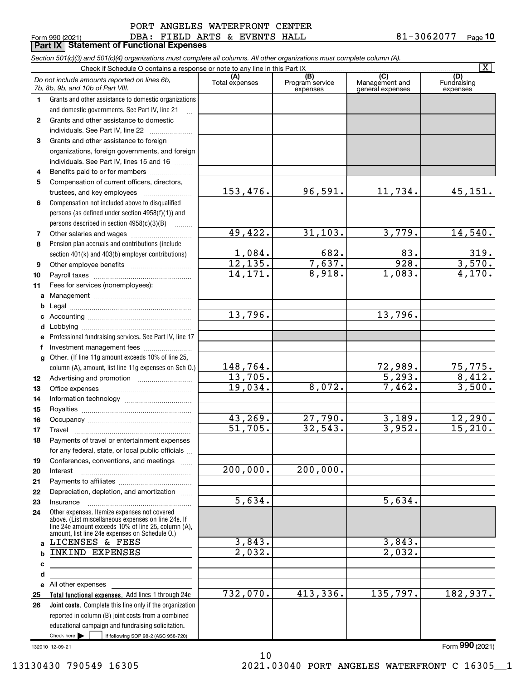### DBA: FIELD ARTS & EVENTS HALL 81-3062077 PORT ANGELES WATERFRONT CENTER

|              | Form 990 (2021)<br>DBA: FIELD ARTS & EVENTS HALL<br><b>Part IX   Statement of Functional Expenses</b>                                                                                                        |                        |                                    |                                           | 81-3062077<br>Page 10           |
|--------------|--------------------------------------------------------------------------------------------------------------------------------------------------------------------------------------------------------------|------------------------|------------------------------------|-------------------------------------------|---------------------------------|
|              | Section 501(c)(3) and 501(c)(4) organizations must complete all columns. All other organizations must complete column (A).                                                                                   |                        |                                    |                                           |                                 |
|              | Check if Schedule O contains a response or note to any line in this Part IX                                                                                                                                  |                        |                                    |                                           | $\overline{\mathbf{x}}$         |
|              | Do not include amounts reported on lines 6b,<br>7b, 8b, 9b, and 10b of Part VIII.                                                                                                                            | (A)<br>Total expenses  | (B)<br>Program service<br>expenses | (C)<br>Management and<br>general expenses | (D)<br>Fundraising<br>expenses  |
| 1.           | Grants and other assistance to domestic organizations                                                                                                                                                        |                        |                                    |                                           |                                 |
|              | and domestic governments. See Part IV, line 21                                                                                                                                                               |                        |                                    |                                           |                                 |
| $\mathbf{2}$ | Grants and other assistance to domestic                                                                                                                                                                      |                        |                                    |                                           |                                 |
|              | individuals. See Part IV, line 22                                                                                                                                                                            |                        |                                    |                                           |                                 |
| 3            | Grants and other assistance to foreign                                                                                                                                                                       |                        |                                    |                                           |                                 |
|              | organizations, foreign governments, and foreign                                                                                                                                                              |                        |                                    |                                           |                                 |
|              | individuals. See Part IV, lines 15 and 16                                                                                                                                                                    |                        |                                    |                                           |                                 |
| 4            | Benefits paid to or for members                                                                                                                                                                              |                        |                                    |                                           |                                 |
| 5            | Compensation of current officers, directors,                                                                                                                                                                 |                        |                                    |                                           |                                 |
|              | trustees, and key employees                                                                                                                                                                                  | 153,476.               | 96,591.                            | 11,734.                                   | 45, 151.                        |
| 6            | Compensation not included above to disqualified                                                                                                                                                              |                        |                                    |                                           |                                 |
|              | persons (as defined under section 4958(f)(1)) and                                                                                                                                                            |                        |                                    |                                           |                                 |
|              | persons described in section 4958(c)(3)(B)<br>$\overline{\phantom{a}}$                                                                                                                                       |                        |                                    |                                           |                                 |
| 7            | Other salaries and wages                                                                                                                                                                                     | 49,422.                | 31, 103.                           | 3,779.                                    | 14,540.                         |
| 8            | Pension plan accruals and contributions (include                                                                                                                                                             |                        |                                    |                                           |                                 |
|              | section 401(k) and 403(b) employer contributions)                                                                                                                                                            | $\frac{1,084}{12,135}$ | $\frac{682}{7,637}$ .              | 83.<br>928.                               |                                 |
| 9            |                                                                                                                                                                                                              | 14.171.                | 8,918.                             | 1,083.                                    | $\frac{319}{3,570}$ .<br>4,170. |
| 10           |                                                                                                                                                                                                              |                        |                                    |                                           |                                 |
| 11           | Fees for services (nonemployees):                                                                                                                                                                            |                        |                                    |                                           |                                 |
| a            |                                                                                                                                                                                                              |                        |                                    |                                           |                                 |
| b<br>с       |                                                                                                                                                                                                              | 13,796.                |                                    | 13,796.                                   |                                 |
| d            |                                                                                                                                                                                                              |                        |                                    |                                           |                                 |
| е            | Professional fundraising services. See Part IV, line 17                                                                                                                                                      |                        |                                    |                                           |                                 |
| f            | Investment management fees                                                                                                                                                                                   |                        |                                    |                                           |                                 |
| g            | Other. (If line 11g amount exceeds 10% of line 25,                                                                                                                                                           |                        |                                    |                                           |                                 |
|              | column (A), amount, list line 11g expenses on Sch O.)                                                                                                                                                        | <u>148,764.</u>        |                                    |                                           |                                 |
| 12           |                                                                                                                                                                                                              | 13,705.                |                                    | $\frac{72,989}{5,293}$ .                  | $\frac{75,775.}{8,412.}$        |
| 13           |                                                                                                                                                                                                              | 19,034.                | 8,072.                             | 7,462.                                    | 3,500.                          |
| 14           |                                                                                                                                                                                                              |                        |                                    |                                           |                                 |
| 15           |                                                                                                                                                                                                              |                        |                                    |                                           |                                 |
| 16           | Occupancy                                                                                                                                                                                                    | 43,269.                | 27,790.                            | 3,189.                                    | 12,290.                         |
| 17           | Travel                                                                                                                                                                                                       | $\overline{51}$ , 705. | 32,543.                            | 3,952.                                    | 15, 210.                        |
| 18           | Payments of travel or entertainment expenses                                                                                                                                                                 |                        |                                    |                                           |                                 |
|              | for any federal, state, or local public officials                                                                                                                                                            |                        |                                    |                                           |                                 |
| 19           | Conferences, conventions, and meetings                                                                                                                                                                       |                        |                                    |                                           |                                 |
| 20           | Interest                                                                                                                                                                                                     | 200,000.               | 200,000.                           |                                           |                                 |
| 21           |                                                                                                                                                                                                              |                        |                                    |                                           |                                 |
| 22           | Depreciation, depletion, and amortization                                                                                                                                                                    |                        |                                    |                                           |                                 |
| 23           | Insurance                                                                                                                                                                                                    | 5,634.                 |                                    | 5,634.                                    |                                 |
| 24           | Other expenses. Itemize expenses not covered<br>above. (List miscellaneous expenses on line 24e. If<br>line 24e amount exceeds 10% of line 25, column (A),<br>amount, list line 24e expenses on Schedule O.) |                        |                                    |                                           |                                 |
| a            | LICENSES & FEES                                                                                                                                                                                              | 3,843.                 |                                    | 3,843.                                    |                                 |
| b            | INKIND EXPENSES                                                                                                                                                                                              | $\overline{2,032}$ .   |                                    | $\overline{2,032}$ .                      |                                 |
| c            |                                                                                                                                                                                                              |                        |                                    |                                           |                                 |
| d            |                                                                                                                                                                                                              |                        |                                    |                                           |                                 |
|              | e All other expenses                                                                                                                                                                                         |                        |                                    |                                           |                                 |
| 25           | Total functional expenses. Add lines 1 through 24e                                                                                                                                                           | 732,070.               | 413,336.                           | 135,797.                                  | 182,937.                        |
| 26           | Joint costs. Complete this line only if the organization                                                                                                                                                     |                        |                                    |                                           |                                 |
|              | reported in column (B) joint costs from a combined                                                                                                                                                           |                        |                                    |                                           |                                 |
|              | educational campaign and fundraising solicitation.<br>Check here $\blacktriangleright$<br>if following SOP 98-2 (ASC 958-720)                                                                                |                        |                                    |                                           |                                 |
|              |                                                                                                                                                                                                              |                        |                                    |                                           |                                 |

10

132010 12-09-21

Form **990** (2021)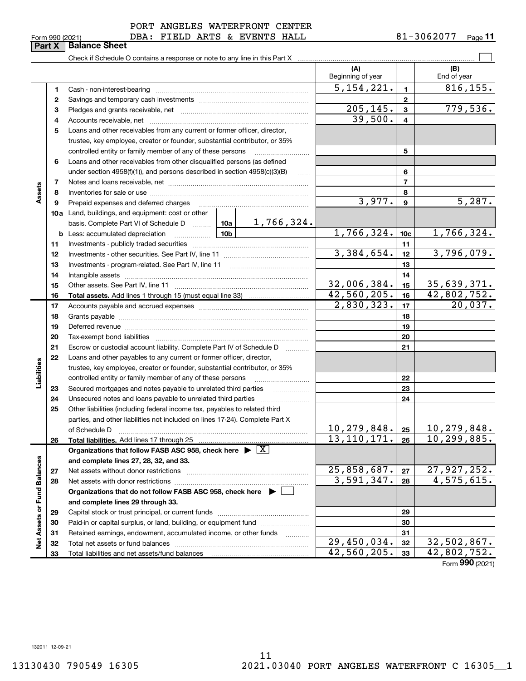|  | Form 990 (2021) |
|--|-----------------|
|  |                 |

Form 990 (2021) **DBA: FIELD ARTS & EVENTS HALL**  $81-3062077$  Page

|                             |                         | <b>Part X   Balance Sheet</b>                                                                                                                                                                                                  |                             |                 |                    |
|-----------------------------|-------------------------|--------------------------------------------------------------------------------------------------------------------------------------------------------------------------------------------------------------------------------|-----------------------------|-----------------|--------------------|
|                             |                         |                                                                                                                                                                                                                                |                             |                 |                    |
|                             |                         |                                                                                                                                                                                                                                | (A)<br>Beginning of year    |                 | (B)<br>End of year |
|                             | 1                       |                                                                                                                                                                                                                                | 5,154,221.                  | $\mathbf{1}$    | 816, 155.          |
|                             | 2                       |                                                                                                                                                                                                                                |                             | $\mathbf{2}$    |                    |
|                             | 3                       |                                                                                                                                                                                                                                | 205, 145.                   | $\mathbf{3}$    | 779,536.           |
|                             | 4                       |                                                                                                                                                                                                                                | 39,500.                     | 4               |                    |
|                             | 5                       | Loans and other receivables from any current or former officer, director,                                                                                                                                                      |                             |                 |                    |
|                             |                         | trustee, key employee, creator or founder, substantial contributor, or 35%                                                                                                                                                     |                             |                 |                    |
|                             |                         | controlled entity or family member of any of these persons                                                                                                                                                                     |                             | 5               |                    |
|                             | 6                       | Loans and other receivables from other disqualified persons (as defined                                                                                                                                                        |                             |                 |                    |
|                             |                         | under section $4958(f)(1)$ , and persons described in section $4958(c)(3)(B)$<br>$\ldots$                                                                                                                                      |                             | 6               |                    |
|                             | $\overline{\mathbf{r}}$ |                                                                                                                                                                                                                                |                             | 7               |                    |
| Assets                      | 8                       |                                                                                                                                                                                                                                |                             | 8               |                    |
|                             | 9                       | Prepaid expenses and deferred charges [11] [11] prepaid expenses and deferred charges [11] [11] minimum materials                                                                                                              | 3,977.                      | 9               | 5,287.             |
|                             |                         | <b>10a</b> Land, buildings, and equipment: cost or other                                                                                                                                                                       |                             |                 |                    |
|                             |                         | <u>1,766,324.</u><br>basis. Complete Part VI of Schedule D  10a                                                                                                                                                                |                             |                 |                    |
|                             |                         |                                                                                                                                                                                                                                | 1,766,324.                  | 10 <sub>c</sub> | 1,766,324.         |
|                             | 11                      |                                                                                                                                                                                                                                |                             | 11              |                    |
|                             | 12                      |                                                                                                                                                                                                                                | 3,384,654.                  | 12              | 3,796,079.         |
|                             | 13                      |                                                                                                                                                                                                                                |                             | 13              |                    |
|                             | 14                      |                                                                                                                                                                                                                                |                             | 14              |                    |
|                             | 15                      |                                                                                                                                                                                                                                | 32,006,384.                 | 15              | 35,639,371.        |
|                             | 16                      |                                                                                                                                                                                                                                | $\overline{42,560,205}$ .   | 16              | 42,802,752.        |
|                             | 17                      |                                                                                                                                                                                                                                | 2,830,323.                  | 17              | 20,037.            |
|                             | 18                      |                                                                                                                                                                                                                                |                             | 18              |                    |
|                             | 19                      | Deferred revenue manual contracts and contracts are contracted and contract and contract are contracted and contract are contracted and contract are contracted and contract are contracted and contract are contracted and co |                             | 19              |                    |
|                             | 20                      |                                                                                                                                                                                                                                |                             | 20              |                    |
|                             | 21                      | Escrow or custodial account liability. Complete Part IV of Schedule D                                                                                                                                                          |                             | 21              |                    |
|                             | 22                      | Loans and other payables to any current or former officer, director,                                                                                                                                                           |                             |                 |                    |
|                             |                         | trustee, key employee, creator or founder, substantial contributor, or 35%                                                                                                                                                     |                             |                 |                    |
| Liabilities                 |                         | controlled entity or family member of any of these persons                                                                                                                                                                     |                             | 22              |                    |
|                             | 23                      | Secured mortgages and notes payable to unrelated third parties                                                                                                                                                                 |                             | 23              |                    |
|                             | 24                      |                                                                                                                                                                                                                                |                             | 24              |                    |
|                             | 25                      | Other liabilities (including federal income tax, payables to related third                                                                                                                                                     |                             |                 |                    |
|                             |                         | parties, and other liabilities not included on lines 17-24). Complete Part X                                                                                                                                                   | 10, 279, 848.               | 25              | 10,279,848.        |
|                             | 26                      | of Schedule D<br>Total liabilities. Add lines 17 through 25                                                                                                                                                                    | $\overline{13}$ , 110, 171. | 26              | 10, 299, 885.      |
|                             |                         | Organizations that follow FASB ASC 958, check here $\blacktriangleright \boxed{X}$                                                                                                                                             |                             |                 |                    |
|                             |                         | and complete lines 27, 28, 32, and 33.                                                                                                                                                                                         |                             |                 |                    |
|                             | 27                      |                                                                                                                                                                                                                                | 25,858,687.                 | 27              | 27,927,252.        |
|                             | 28                      |                                                                                                                                                                                                                                | 3,591,347.                  | 28              | 4,575,615.         |
|                             |                         | Organizations that do not follow FASB ASC 958, check here $\blacktriangleright$                                                                                                                                                |                             |                 |                    |
|                             |                         | and complete lines 29 through 33.                                                                                                                                                                                              |                             |                 |                    |
|                             | 29                      |                                                                                                                                                                                                                                |                             | 29              |                    |
|                             | 30                      | Paid-in or capital surplus, or land, building, or equipment fund                                                                                                                                                               |                             | 30              |                    |
| Net Assets or Fund Balances | 31                      | Retained earnings, endowment, accumulated income, or other funds                                                                                                                                                               |                             | 31              |                    |
|                             | 32                      |                                                                                                                                                                                                                                | 29,450,034.                 | 32              | 32,502,867.        |
|                             | 33                      | Total liabilities and net assets/fund balances                                                                                                                                                                                 | 42,560,205.                 | 33              | 42,802,752.        |

Form **990** (2021)

132011 12-09-21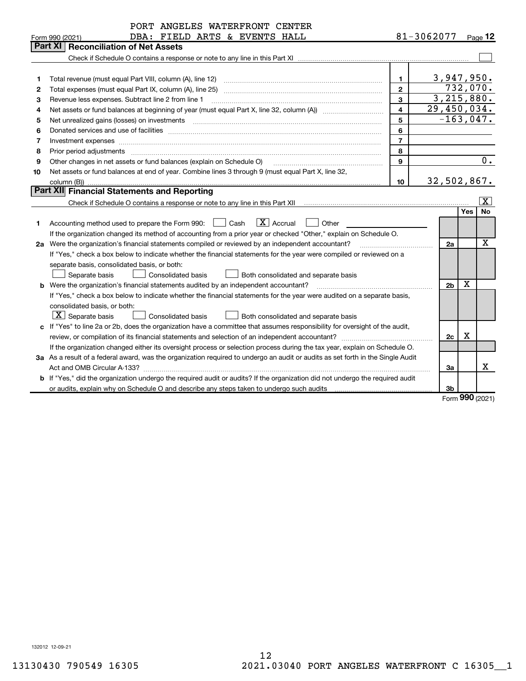|    | PORT ANGELES WATERFRONT CENTER                                                                                                                                                                                                 |                         |                                 |     |                         |
|----|--------------------------------------------------------------------------------------------------------------------------------------------------------------------------------------------------------------------------------|-------------------------|---------------------------------|-----|-------------------------|
|    | DBA: FIELD ARTS & EVENTS HALL<br>Form 990 (2021)                                                                                                                                                                               | 81-3062077              |                                 |     | Page 12                 |
|    | Part XI   Reconciliation of Net Assets                                                                                                                                                                                         |                         |                                 |     |                         |
|    |                                                                                                                                                                                                                                |                         |                                 |     |                         |
|    |                                                                                                                                                                                                                                |                         |                                 |     |                         |
| 1  | Total revenue (must equal Part VIII, column (A), line 12)                                                                                                                                                                      | 1.                      | 3,947,950.                      |     |                         |
| 2  | Total expenses (must equal Part IX, column (A), line 25)                                                                                                                                                                       | $\mathbf{2}$            | 732,070.                        |     |                         |
| 3  | Revenue less expenses. Subtract line 2 from line 1                                                                                                                                                                             | 3                       | 3,215,880.                      |     |                         |
| 4  |                                                                                                                                                                                                                                | $\overline{\mathbf{4}}$ | 29,450,034.                     |     |                         |
| 5  | Net unrealized gains (losses) on investments [11] matter contracts and the state of the state of the state of the state of the state of the state of the state of the state of the state of the state of the state of the stat | 5                       | $-163,047.$                     |     |                         |
| 6  |                                                                                                                                                                                                                                | 6                       |                                 |     |                         |
| 7  | Investment expenses www.communication.com/www.communication.com/www.communication.com/www.com                                                                                                                                  | $\overline{7}$          |                                 |     |                         |
| 8  | Prior period adjustments                                                                                                                                                                                                       | 8                       |                                 |     |                         |
| 9  | Other changes in net assets or fund balances (explain on Schedule O)                                                                                                                                                           | 9                       |                                 |     | 0.                      |
| 10 | Net assets or fund balances at end of year. Combine lines 3 through 9 (must equal Part X, line 32,                                                                                                                             |                         |                                 |     |                         |
|    | column (B))                                                                                                                                                                                                                    | 10                      | 32,502,867.                     |     |                         |
|    | <b>Part XII</b> Financial Statements and Reporting                                                                                                                                                                             |                         |                                 |     |                         |
|    |                                                                                                                                                                                                                                |                         |                                 |     | $\overline{\mathbf{x}}$ |
|    |                                                                                                                                                                                                                                |                         |                                 | Yes | No                      |
| 1  | $\boxed{\mathbf{X}}$ Accrual<br>Cash<br>Other<br>Accounting method used to prepare the Form 990:                                                                                                                               |                         |                                 |     |                         |
|    | If the organization changed its method of accounting from a prior year or checked "Other," explain on Schedule O.                                                                                                              |                         |                                 |     |                         |
|    | 2a Were the organization's financial statements compiled or reviewed by an independent accountant?                                                                                                                             |                         | 2a                              |     | X                       |
|    | If "Yes," check a box below to indicate whether the financial statements for the year were compiled or reviewed on a                                                                                                           |                         |                                 |     |                         |
|    | separate basis, consolidated basis, or both:                                                                                                                                                                                   |                         |                                 |     |                         |
|    | Separate basis<br><b>Consolidated basis</b><br>Both consolidated and separate basis                                                                                                                                            |                         |                                 |     |                         |
|    | <b>b</b> Were the organization's financial statements audited by an independent accountant?                                                                                                                                    |                         | 2 <sub>b</sub>                  | X   |                         |
|    | If "Yes," check a box below to indicate whether the financial statements for the year were audited on a separate basis,                                                                                                        |                         |                                 |     |                         |
|    | consolidated basis, or both:                                                                                                                                                                                                   |                         |                                 |     |                         |
|    | $ \mathbf{X} $ Separate basis<br><b>Consolidated basis</b><br>Both consolidated and separate basis                                                                                                                             |                         |                                 |     |                         |
|    | c If "Yes" to line 2a or 2b, does the organization have a committee that assumes responsibility for oversight of the audit,                                                                                                    |                         |                                 |     |                         |
|    | review, or compilation of its financial statements and selection of an independent accountant?                                                                                                                                 |                         | 2c                              | X   |                         |
|    | If the organization changed either its oversight process or selection process during the tax year, explain on Schedule O.                                                                                                      |                         |                                 |     |                         |
|    | 3a As a result of a federal award, was the organization required to undergo an audit or audits as set forth in the Single Audit                                                                                                |                         |                                 |     |                         |
|    |                                                                                                                                                                                                                                |                         | Зa                              |     | x                       |
|    | <b>b</b> If "Yes," did the organization undergo the required audit or audits? If the organization did not undergo the required audit                                                                                           |                         |                                 |     |                         |
|    | or audits, explain why on Schedule O and describe any steps taken to undergo such audits                                                                                                                                       |                         | 3b<br>$F_{\text{Orm}}990(2021)$ |     |                         |
|    |                                                                                                                                                                                                                                |                         |                                 |     |                         |

Form **990** (2021)

132012 12-09-21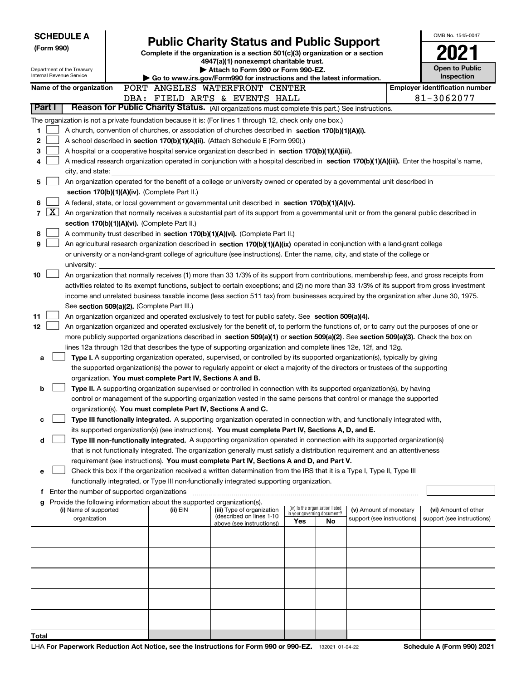| <b>SCHEDULE A</b><br>(Form 990)<br>Department of the Treasury<br>Internal Revenue Service |                                                                                                  |  | <b>Public Charity Status and Public Support</b><br>Complete if the organization is a section 501(c)(3) organization or a section<br>4947(a)(1) nonexempt charitable trust.<br>Attach to Form 990 or Form 990-EZ.<br>▶ Go to www.irs.gov/Form990 for instructions and the latest information. | OMB No. 1545-0047<br>Open to Public<br>Inspection                                                                                            |                                    |    |                            |  |                                       |  |  |
|-------------------------------------------------------------------------------------------|--------------------------------------------------------------------------------------------------|--|----------------------------------------------------------------------------------------------------------------------------------------------------------------------------------------------------------------------------------------------------------------------------------------------|----------------------------------------------------------------------------------------------------------------------------------------------|------------------------------------|----|----------------------------|--|---------------------------------------|--|--|
|                                                                                           | Name of the organization                                                                         |  |                                                                                                                                                                                                                                                                                              | PORT ANGELES WATERFRONT CENTER                                                                                                               |                                    |    |                            |  | <b>Employer identification number</b> |  |  |
|                                                                                           |                                                                                                  |  |                                                                                                                                                                                                                                                                                              | DBA: FIELD ARTS & EVENTS HALL                                                                                                                |                                    |    |                            |  | 81-3062077                            |  |  |
| Part I                                                                                    | Reason for Public Charity Status. (All organizations must complete this part.) See instructions. |  |                                                                                                                                                                                                                                                                                              |                                                                                                                                              |                                    |    |                            |  |                                       |  |  |
|                                                                                           |                                                                                                  |  |                                                                                                                                                                                                                                                                                              | The organization is not a private foundation because it is: (For lines 1 through 12, check only one box.)                                    |                                    |    |                            |  |                                       |  |  |
| 1                                                                                         |                                                                                                  |  |                                                                                                                                                                                                                                                                                              | A church, convention of churches, or association of churches described in section 170(b)(1)(A)(i).                                           |                                    |    |                            |  |                                       |  |  |
| 2                                                                                         |                                                                                                  |  |                                                                                                                                                                                                                                                                                              | A school described in section 170(b)(1)(A)(ii). (Attach Schedule E (Form 990).)                                                              |                                    |    |                            |  |                                       |  |  |
| 3                                                                                         |                                                                                                  |  |                                                                                                                                                                                                                                                                                              | A hospital or a cooperative hospital service organization described in section 170(b)(1)(A)(iii).                                            |                                    |    |                            |  |                                       |  |  |
| 4                                                                                         |                                                                                                  |  |                                                                                                                                                                                                                                                                                              | A medical research organization operated in conjunction with a hospital described in section 170(b)(1)(A)(iii). Enter the hospital's name,   |                                    |    |                            |  |                                       |  |  |
|                                                                                           | city, and state:                                                                                 |  |                                                                                                                                                                                                                                                                                              |                                                                                                                                              |                                    |    |                            |  |                                       |  |  |
| 5                                                                                         |                                                                                                  |  |                                                                                                                                                                                                                                                                                              | An organization operated for the benefit of a college or university owned or operated by a governmental unit described in                    |                                    |    |                            |  |                                       |  |  |
|                                                                                           |                                                                                                  |  | section 170(b)(1)(A)(iv). (Complete Part II.)                                                                                                                                                                                                                                                |                                                                                                                                              |                                    |    |                            |  |                                       |  |  |
| 6                                                                                         |                                                                                                  |  |                                                                                                                                                                                                                                                                                              | A federal, state, or local government or governmental unit described in section 170(b)(1)(A)(v).                                             |                                    |    |                            |  |                                       |  |  |
| $\vert$ X $\vert$<br>$\overline{\phantom{a}}$                                             |                                                                                                  |  |                                                                                                                                                                                                                                                                                              | An organization that normally receives a substantial part of its support from a governmental unit or from the general public described in    |                                    |    |                            |  |                                       |  |  |
|                                                                                           |                                                                                                  |  | section 170(b)(1)(A)(vi). (Complete Part II.)                                                                                                                                                                                                                                                |                                                                                                                                              |                                    |    |                            |  |                                       |  |  |
| 8                                                                                         |                                                                                                  |  |                                                                                                                                                                                                                                                                                              | A community trust described in section 170(b)(1)(A)(vi). (Complete Part II.)                                                                 |                                    |    |                            |  |                                       |  |  |
| 9                                                                                         |                                                                                                  |  |                                                                                                                                                                                                                                                                                              | An agricultural research organization described in section 170(b)(1)(A)(ix) operated in conjunction with a land-grant college                |                                    |    |                            |  |                                       |  |  |
|                                                                                           | university:                                                                                      |  |                                                                                                                                                                                                                                                                                              | or university or a non-land-grant college of agriculture (see instructions). Enter the name, city, and state of the college or               |                                    |    |                            |  |                                       |  |  |
| 10                                                                                        |                                                                                                  |  |                                                                                                                                                                                                                                                                                              | An organization that normally receives (1) more than 33 1/3% of its support from contributions, membership fees, and gross receipts from     |                                    |    |                            |  |                                       |  |  |
|                                                                                           |                                                                                                  |  |                                                                                                                                                                                                                                                                                              | activities related to its exempt functions, subject to certain exceptions; and (2) no more than 33 1/3% of its support from gross investment |                                    |    |                            |  |                                       |  |  |
|                                                                                           |                                                                                                  |  |                                                                                                                                                                                                                                                                                              | income and unrelated business taxable income (less section 511 tax) from businesses acquired by the organization after June 30, 1975.        |                                    |    |                            |  |                                       |  |  |
|                                                                                           |                                                                                                  |  | See section 509(a)(2). (Complete Part III.)                                                                                                                                                                                                                                                  |                                                                                                                                              |                                    |    |                            |  |                                       |  |  |
| 11                                                                                        |                                                                                                  |  |                                                                                                                                                                                                                                                                                              | An organization organized and operated exclusively to test for public safety. See section 509(a)(4).                                         |                                    |    |                            |  |                                       |  |  |
| 12                                                                                        |                                                                                                  |  |                                                                                                                                                                                                                                                                                              | An organization organized and operated exclusively for the benefit of, to perform the functions of, or to carry out the purposes of one or   |                                    |    |                            |  |                                       |  |  |
|                                                                                           |                                                                                                  |  |                                                                                                                                                                                                                                                                                              | more publicly supported organizations described in section 509(a)(1) or section 509(a)(2). See section 509(a)(3). Check the box on           |                                    |    |                            |  |                                       |  |  |
|                                                                                           |                                                                                                  |  |                                                                                                                                                                                                                                                                                              | lines 12a through 12d that describes the type of supporting organization and complete lines 12e, 12f, and 12g.                               |                                    |    |                            |  |                                       |  |  |
| a                                                                                         |                                                                                                  |  |                                                                                                                                                                                                                                                                                              | Type I. A supporting organization operated, supervised, or controlled by its supported organization(s), typically by giving                  |                                    |    |                            |  |                                       |  |  |
|                                                                                           |                                                                                                  |  |                                                                                                                                                                                                                                                                                              | the supported organization(s) the power to regularly appoint or elect a majority of the directors or trustees of the supporting              |                                    |    |                            |  |                                       |  |  |
| b                                                                                         |                                                                                                  |  | organization. You must complete Part IV, Sections A and B.                                                                                                                                                                                                                                   | Type II. A supporting organization supervised or controlled in connection with its supported organization(s), by having                      |                                    |    |                            |  |                                       |  |  |
|                                                                                           |                                                                                                  |  |                                                                                                                                                                                                                                                                                              | control or management of the supporting organization vested in the same persons that control or manage the supported                         |                                    |    |                            |  |                                       |  |  |
|                                                                                           |                                                                                                  |  | organization(s). You must complete Part IV, Sections A and C.                                                                                                                                                                                                                                |                                                                                                                                              |                                    |    |                            |  |                                       |  |  |
|                                                                                           |                                                                                                  |  |                                                                                                                                                                                                                                                                                              | Type III functionally integrated. A supporting organization operated in connection with, and functionally integrated with,                   |                                    |    |                            |  |                                       |  |  |
|                                                                                           |                                                                                                  |  |                                                                                                                                                                                                                                                                                              | its supported organization(s) (see instructions). You must complete Part IV, Sections A, D, and E.                                           |                                    |    |                            |  |                                       |  |  |
| d                                                                                         |                                                                                                  |  |                                                                                                                                                                                                                                                                                              | Type III non-functionally integrated. A supporting organization operated in connection with its supported organization(s)                    |                                    |    |                            |  |                                       |  |  |
|                                                                                           |                                                                                                  |  |                                                                                                                                                                                                                                                                                              | that is not functionally integrated. The organization generally must satisfy a distribution requirement and an attentiveness                 |                                    |    |                            |  |                                       |  |  |
|                                                                                           |                                                                                                  |  |                                                                                                                                                                                                                                                                                              | requirement (see instructions). You must complete Part IV, Sections A and D, and Part V.                                                     |                                    |    |                            |  |                                       |  |  |
| е                                                                                         |                                                                                                  |  |                                                                                                                                                                                                                                                                                              | Check this box if the organization received a written determination from the IRS that it is a Type I, Type II, Type III                      |                                    |    |                            |  |                                       |  |  |
|                                                                                           |                                                                                                  |  |                                                                                                                                                                                                                                                                                              | functionally integrated, or Type III non-functionally integrated supporting organization.                                                    |                                    |    |                            |  |                                       |  |  |
|                                                                                           | <b>f</b> Enter the number of supported organizations                                             |  |                                                                                                                                                                                                                                                                                              |                                                                                                                                              |                                    |    |                            |  |                                       |  |  |
|                                                                                           | (i) Name of supported                                                                            |  | Provide the following information about the supported organization(s).<br>(ii) EIN                                                                                                                                                                                                           | (iii) Type of organization                                                                                                                   | (iv) Is the organization listed    |    | (v) Amount of monetary     |  | (vi) Amount of other                  |  |  |
|                                                                                           | organization                                                                                     |  |                                                                                                                                                                                                                                                                                              | (described on lines 1-10)                                                                                                                    | in your governing document?<br>Yes | No | support (see instructions) |  | support (see instructions)            |  |  |
|                                                                                           |                                                                                                  |  |                                                                                                                                                                                                                                                                                              | above (see instructions))                                                                                                                    |                                    |    |                            |  |                                       |  |  |
|                                                                                           |                                                                                                  |  |                                                                                                                                                                                                                                                                                              |                                                                                                                                              |                                    |    |                            |  |                                       |  |  |
|                                                                                           |                                                                                                  |  |                                                                                                                                                                                                                                                                                              |                                                                                                                                              |                                    |    |                            |  |                                       |  |  |
|                                                                                           |                                                                                                  |  |                                                                                                                                                                                                                                                                                              |                                                                                                                                              |                                    |    |                            |  |                                       |  |  |
|                                                                                           |                                                                                                  |  |                                                                                                                                                                                                                                                                                              |                                                                                                                                              |                                    |    |                            |  |                                       |  |  |
|                                                                                           |                                                                                                  |  |                                                                                                                                                                                                                                                                                              |                                                                                                                                              |                                    |    |                            |  |                                       |  |  |
|                                                                                           |                                                                                                  |  |                                                                                                                                                                                                                                                                                              |                                                                                                                                              |                                    |    |                            |  |                                       |  |  |
|                                                                                           |                                                                                                  |  |                                                                                                                                                                                                                                                                                              |                                                                                                                                              |                                    |    |                            |  |                                       |  |  |
| Total                                                                                     |                                                                                                  |  |                                                                                                                                                                                                                                                                                              |                                                                                                                                              |                                    |    |                            |  |                                       |  |  |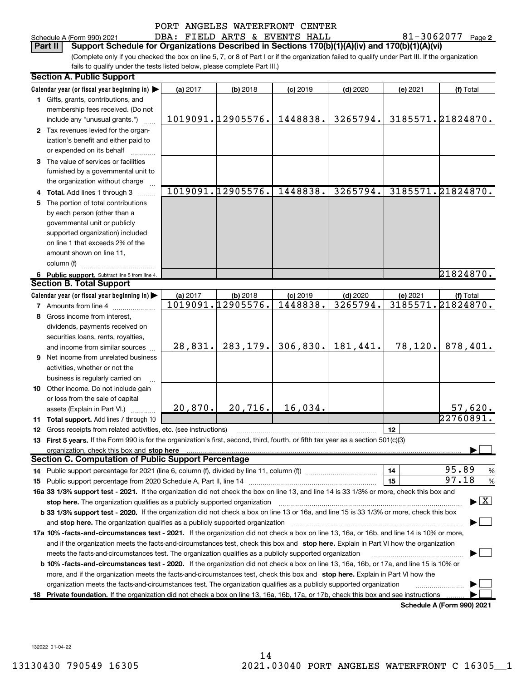|  | PORT ANGELES WATERFRONT CENTER |  |
|--|--------------------------------|--|
|  |                                |  |

|    | Schedule A (Form 990) 2021                                                                                                                                                                                                    |          | DBA: FIELD ARTS & EVENTS HALL |            |                       |          | 81-3062077 | Page 2                                      |
|----|-------------------------------------------------------------------------------------------------------------------------------------------------------------------------------------------------------------------------------|----------|-------------------------------|------------|-----------------------|----------|------------|---------------------------------------------|
|    | Support Schedule for Organizations Described in Sections 170(b)(1)(A)(iv) and 170(b)(1)(A)(vi)<br>Part II                                                                                                                     |          |                               |            |                       |          |            |                                             |
|    | (Complete only if you checked the box on line 5, 7, or 8 of Part I or if the organization failed to qualify under Part III. If the organization<br>fails to qualify under the tests listed below, please complete Part III.)  |          |                               |            |                       |          |            |                                             |
|    | <b>Section A. Public Support</b>                                                                                                                                                                                              |          |                               |            |                       |          |            |                                             |
|    |                                                                                                                                                                                                                               |          |                               |            |                       |          |            |                                             |
|    | Calendar year (or fiscal year beginning in) $\blacktriangleright$<br>1 Gifts, grants, contributions, and                                                                                                                      | (a) 2017 | (b) 2018                      | $(c)$ 2019 | $(d)$ 2020            | (e) 2021 |            | (f) Total                                   |
|    | membership fees received. (Do not                                                                                                                                                                                             |          |                               |            |                       |          |            |                                             |
|    | include any "unusual grants.")                                                                                                                                                                                                |          | 1019091.12905576.             | 1448838.   | 3265794.              |          |            | 3185571.21824870.                           |
|    | 2 Tax revenues levied for the organ-                                                                                                                                                                                          |          |                               |            |                       |          |            |                                             |
|    | ization's benefit and either paid to                                                                                                                                                                                          |          |                               |            |                       |          |            |                                             |
|    | or expended on its behalf                                                                                                                                                                                                     |          |                               |            |                       |          |            |                                             |
|    | 3 The value of services or facilities                                                                                                                                                                                         |          |                               |            |                       |          |            |                                             |
|    | furnished by a governmental unit to                                                                                                                                                                                           |          |                               |            |                       |          |            |                                             |
|    | the organization without charge                                                                                                                                                                                               |          |                               |            |                       |          |            |                                             |
| 4  | Total. Add lines 1 through 3                                                                                                                                                                                                  |          | 1019091.12905576.             | 1448838.   | 3265794.              |          |            | 3185571.21824870.                           |
| 5  | The portion of total contributions                                                                                                                                                                                            |          |                               |            |                       |          |            |                                             |
|    | by each person (other than a                                                                                                                                                                                                  |          |                               |            |                       |          |            |                                             |
|    | governmental unit or publicly                                                                                                                                                                                                 |          |                               |            |                       |          |            |                                             |
|    | supported organization) included                                                                                                                                                                                              |          |                               |            |                       |          |            |                                             |
|    | on line 1 that exceeds 2% of the                                                                                                                                                                                              |          |                               |            |                       |          |            |                                             |
|    | amount shown on line 11,                                                                                                                                                                                                      |          |                               |            |                       |          |            |                                             |
|    | column (f)                                                                                                                                                                                                                    |          |                               |            |                       |          |            |                                             |
|    | 6 Public support. Subtract line 5 from line 4.                                                                                                                                                                                |          |                               |            |                       |          |            | 21824870.                                   |
|    | <b>Section B. Total Support</b>                                                                                                                                                                                               |          |                               |            |                       |          |            |                                             |
|    | Calendar year (or fiscal year beginning in)                                                                                                                                                                                   | (a) 2017 | $(b)$ 2018                    | $(c)$ 2019 | $(d)$ 2020            | (e) 2021 |            | (f) Total                                   |
|    | 7 Amounts from line 4                                                                                                                                                                                                         |          | 1019091.12905576.             | 1448838.   | 3265794.              |          |            | 3185571.21824870.                           |
| 8  | Gross income from interest,                                                                                                                                                                                                   |          |                               |            |                       |          |            |                                             |
|    | dividends, payments received on                                                                                                                                                                                               |          |                               |            |                       |          |            |                                             |
|    | securities loans, rents, royalties,                                                                                                                                                                                           |          | 283, 179.                     |            | $306,830.$   181,441. | 78, 120. |            | 878,401.                                    |
|    | and income from similar sources                                                                                                                                                                                               | 28,831.  |                               |            |                       |          |            |                                             |
| 9  | Net income from unrelated business                                                                                                                                                                                            |          |                               |            |                       |          |            |                                             |
|    | activities, whether or not the                                                                                                                                                                                                |          |                               |            |                       |          |            |                                             |
|    | business is regularly carried on<br>10 Other income. Do not include gain                                                                                                                                                      |          |                               |            |                       |          |            |                                             |
|    | or loss from the sale of capital                                                                                                                                                                                              |          |                               |            |                       |          |            |                                             |
|    | assets (Explain in Part VI.)                                                                                                                                                                                                  | 20,870.  | 20,716.                       | 16,034.    |                       |          |            | 57,620.                                     |
|    | <b>11 Total support.</b> Add lines 7 through 10                                                                                                                                                                               |          |                               |            |                       |          |            | 22760891.                                   |
| 12 | Gross receipts from related activities, etc. (see instructions)                                                                                                                                                               |          |                               |            |                       | 12       |            |                                             |
| 13 | First 5 years. If the Form 990 is for the organization's first, second, third, fourth, or fifth tax year as a section 501(c)(3)                                                                                               |          |                               |            |                       |          |            |                                             |
|    | organization, check this box and stop here                                                                                                                                                                                    |          |                               |            |                       |          |            |                                             |
|    | <b>Section C. Computation of Public Support Percentage</b>                                                                                                                                                                    |          |                               |            |                       |          |            |                                             |
| 14 |                                                                                                                                                                                                                               |          |                               |            |                       | 14       |            | 95.89<br>%                                  |
| 15 |                                                                                                                                                                                                                               |          |                               |            |                       | 15       |            | 97.18<br>%                                  |
|    | 16a 33 1/3% support test - 2021. If the organization did not check the box on line 13, and line 14 is 33 1/3% or more, check this box and                                                                                     |          |                               |            |                       |          |            |                                             |
|    |                                                                                                                                                                                                                               |          |                               |            |                       |          |            | $\blacktriangleright$ $\lfloor$ X $\rfloor$ |
|    | b 33 1/3% support test - 2020. If the organization did not check a box on line 13 or 16a, and line 15 is 33 1/3% or more, check this box                                                                                      |          |                               |            |                       |          |            |                                             |
|    | and stop here. The organization qualifies as a publicly supported organization manufaction manufacture or the organization manufacture or and a state of the organization of the organization of the organization manufacture |          |                               |            |                       |          |            |                                             |
|    | 17a 10% -facts-and-circumstances test - 2021. If the organization did not check a box on line 13, 16a, or 16b, and line 14 is 10% or more,                                                                                    |          |                               |            |                       |          |            |                                             |
|    | and if the organization meets the facts-and-circumstances test, check this box and stop here. Explain in Part VI how the organization                                                                                         |          |                               |            |                       |          |            |                                             |
|    | meets the facts-and-circumstances test. The organization qualifies as a publicly supported organization                                                                                                                       |          |                               |            |                       |          |            |                                             |
|    | b 10% -facts-and-circumstances test - 2020. If the organization did not check a box on line 13, 16a, 16b, or 17a, and line 15 is 10% or                                                                                       |          |                               |            |                       |          |            |                                             |

more, and if the organization meets the facts-and-circumstances test, check this box and stop here. Explain in Part VI how the organization meets the facts-and-circumstances test. The organization qualifies as a publicly supported organization  $^{(1)}$ 

18 Private foundation. If the organization did not check a box on line 13, 16a, 16b, 17a, or 17b, check this box and see instructions .........

Schedule A (Form 990) 2021

 $\vdash$  $\cdot$   $\Box$ 

132022 01-04-22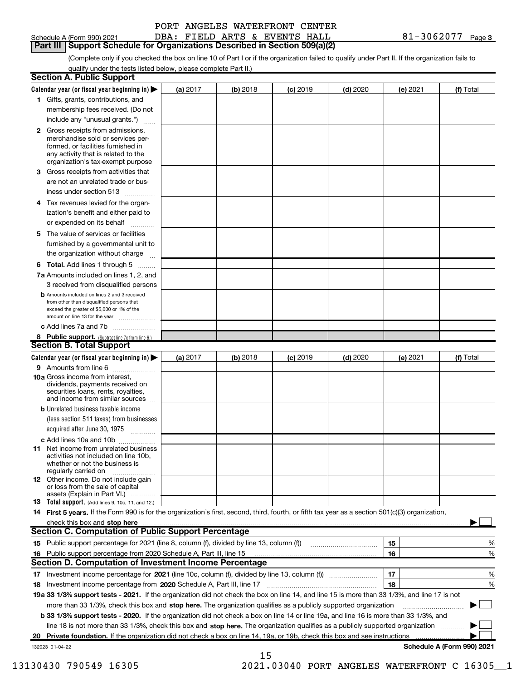| chedule A (Form 990) 2021 |  |  |
|---------------------------|--|--|

# **Part III | Support Schedule for Organizations Described in Section 509(a)(2)**

(Complete only if you checked the box on line 10 of Part I or if the organization failed to qualify under Part II. If the organization fails to qualify under the tests listed below, please complete Part II.)

|    | <b>Section A. Public Support</b>                                                                                                                 |          |          |            |            |          |                            |
|----|--------------------------------------------------------------------------------------------------------------------------------------------------|----------|----------|------------|------------|----------|----------------------------|
|    | Calendar year (or fiscal year beginning in) $\blacktriangleright$                                                                                | (a) 2017 | (b) 2018 | $(c)$ 2019 | $(d)$ 2020 | (e) 2021 | (f) Total                  |
|    | 1 Gifts, grants, contributions, and                                                                                                              |          |          |            |            |          |                            |
|    | membership fees received. (Do not                                                                                                                |          |          |            |            |          |                            |
|    | include any "unusual grants.")                                                                                                                   |          |          |            |            |          |                            |
|    | 2 Gross receipts from admissions,                                                                                                                |          |          |            |            |          |                            |
|    | merchandise sold or services per-                                                                                                                |          |          |            |            |          |                            |
|    | formed, or facilities furnished in                                                                                                               |          |          |            |            |          |                            |
|    | any activity that is related to the<br>organization's tax-exempt purpose                                                                         |          |          |            |            |          |                            |
|    | 3 Gross receipts from activities that                                                                                                            |          |          |            |            |          |                            |
|    | are not an unrelated trade or bus-                                                                                                               |          |          |            |            |          |                            |
|    | iness under section 513                                                                                                                          |          |          |            |            |          |                            |
|    | 4 Tax revenues levied for the organ-                                                                                                             |          |          |            |            |          |                            |
|    | ization's benefit and either paid to                                                                                                             |          |          |            |            |          |                            |
|    | or expended on its behalf                                                                                                                        |          |          |            |            |          |                            |
|    |                                                                                                                                                  |          |          |            |            |          |                            |
| 5. | The value of services or facilities                                                                                                              |          |          |            |            |          |                            |
|    | furnished by a governmental unit to                                                                                                              |          |          |            |            |          |                            |
|    | the organization without charge                                                                                                                  |          |          |            |            |          |                            |
|    | <b>6 Total.</b> Add lines 1 through 5 $\dots$                                                                                                    |          |          |            |            |          |                            |
|    | 7a Amounts included on lines 1, 2, and                                                                                                           |          |          |            |            |          |                            |
|    | 3 received from disqualified persons                                                                                                             |          |          |            |            |          |                            |
|    | <b>b</b> Amounts included on lines 2 and 3 received<br>from other than disqualified persons that                                                 |          |          |            |            |          |                            |
|    | exceed the greater of \$5,000 or 1% of the                                                                                                       |          |          |            |            |          |                            |
|    | amount on line 13 for the year                                                                                                                   |          |          |            |            |          |                            |
|    | c Add lines 7a and 7b                                                                                                                            |          |          |            |            |          |                            |
|    | 8 Public support. (Subtract line 7c from line 6.)                                                                                                |          |          |            |            |          |                            |
|    | <b>Section B. Total Support</b>                                                                                                                  |          |          |            |            |          |                            |
|    | Calendar year (or fiscal year beginning in)                                                                                                      | (a) 2017 | (b) 2018 | $(c)$ 2019 | $(d)$ 2020 | (e) 2021 | (f) Total                  |
|    | 9 Amounts from line 6                                                                                                                            |          |          |            |            |          |                            |
|    | <b>10a</b> Gross income from interest,<br>dividends, payments received on                                                                        |          |          |            |            |          |                            |
|    | securities loans, rents, royalties,                                                                                                              |          |          |            |            |          |                            |
|    | and income from similar sources                                                                                                                  |          |          |            |            |          |                            |
|    | <b>b</b> Unrelated business taxable income                                                                                                       |          |          |            |            |          |                            |
|    | (less section 511 taxes) from businesses                                                                                                         |          |          |            |            |          |                            |
|    | acquired after June 30, 1975                                                                                                                     |          |          |            |            |          |                            |
|    | c Add lines 10a and 10b                                                                                                                          |          |          |            |            |          |                            |
|    | <b>11</b> Net income from unrelated business<br>activities not included on line 10b.                                                             |          |          |            |            |          |                            |
|    | whether or not the business is                                                                                                                   |          |          |            |            |          |                            |
|    | regularly carried on                                                                                                                             |          |          |            |            |          |                            |
|    | 12 Other income. Do not include gain                                                                                                             |          |          |            |            |          |                            |
|    | or loss from the sale of capital<br>assets (Explain in Part VI.)                                                                                 |          |          |            |            |          |                            |
|    | 13 Total support. (Add lines 9, 10c, 11, and 12.)                                                                                                |          |          |            |            |          |                            |
|    | 14 First 5 years. If the Form 990 is for the organization's first, second, third, fourth, or fifth tax year as a section 501(c)(3) organization, |          |          |            |            |          |                            |
|    | check this box and stop here                                                                                                                     |          |          |            |            |          |                            |
|    | <b>Section C. Computation of Public Support Percentage</b>                                                                                       |          |          |            |            |          |                            |
|    | 15 Public support percentage for 2021 (line 8, column (f), divided by line 13, column (f))                                                       |          |          |            |            | 15       | %                          |
|    | 16 Public support percentage from 2020 Schedule A, Part III, line 15                                                                             |          |          |            |            | 16       | %                          |
|    | <b>Section D. Computation of Investment Income Percentage</b>                                                                                    |          |          |            |            |          |                            |
| 17 | Investment income percentage for 2021 (line 10c, column (f), divided by line 13, column (f) <i></i>                                              |          |          |            |            | 17       | %                          |
| 18 | Investment income percentage from 2020 Schedule A, Part III, line 17                                                                             |          |          |            |            | 18       | %                          |
|    | 19a 33 1/3% support tests - 2021. If the organization did not check the box on line 14, and line 15 is more than 33 1/3%, and line 17 is not     |          |          |            |            |          |                            |
|    | more than 33 1/3%, check this box and stop here. The organization qualifies as a publicly supported organization                                 |          |          |            |            |          |                            |
|    | b 33 1/3% support tests - 2020. If the organization did not check a box on line 14 or line 19a, and line 16 is more than 33 1/3%, and            |          |          |            |            |          |                            |
|    | line 18 is not more than 33 1/3%, check this box and stop here. The organization qualifies as a publicly supported organization                  |          |          |            |            |          |                            |
|    | Private foundation. If the organization did not check a box on line 14, 19a, or 19b, check this box and see instructions                         |          |          |            |            |          |                            |
|    | 132023 01-04-22                                                                                                                                  |          |          |            |            |          | Schedule A (Form 990) 2021 |

15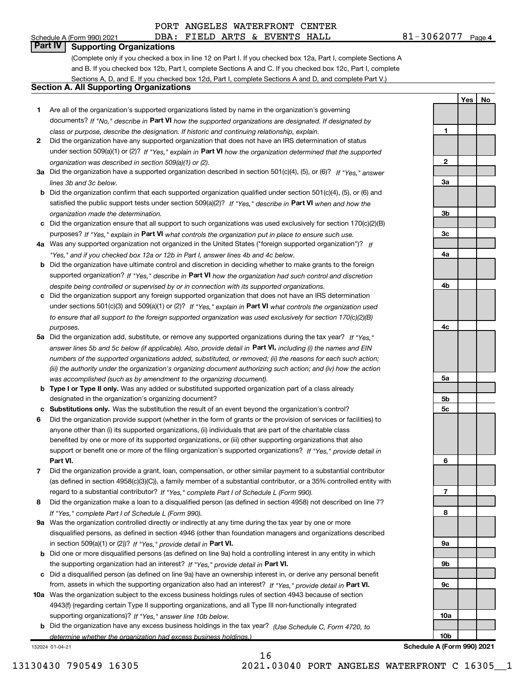Yes | No

## Part IV | Supporting Organizations

(Complete only if you checked a box in line 12 on Part I. If you checked box 12a, Part I, complete Sections A and B. If you checked box 12b, Part I, complete Sections A and C. If you checked box 12c, Part I, complete Sections A, D, and E. If you checked box 12d, Part I, complete Sections A and D, and complete Part V.)

### Section A. All Supporting Organizations

- 1 Are all of the organization's supported organizations listed by name in the organization's governing documents? If "No," describe in Part VI how the supported organizations are designated. If designated by class or purpose, describe the designation. If historic and continuing relationship, explain.
- 2 Did the organization have any supported organization that does not have an IRS determination of status under section 509(a)(1) or (2)? If "Yes," explain in Part VI how the organization determined that the supported organization was described in section 509(a)(1) or (2).
- 3a Did the organization have a supported organization described in section 501(c)(4), (5), or (6)? If "Yes," answer lines 3b and 3c below.
- b Did the organization confirm that each supported organization qualified under section 501(c)(4), (5), or (6) and satisfied the public support tests under section 509(a)(2)? If "Yes," describe in Part VI when and how the organization made the determination.
- c Did the organization ensure that all support to such organizations was used exclusively for section 170(c)(2)(B) purposes? If "Yes," explain in Part VI what controls the organization put in place to ensure such use.
- 4a Was any supported organization not organized in the United States ("foreign supported organization")? If "Yes," and if you checked box 12a or 12b in Part I, answer lines 4b and 4c below.
- b Did the organization have ultimate control and discretion in deciding whether to make grants to the foreign supported organization? If "Yes," describe in Part VI how the organization had such control and discretion despite being controlled or supervised by or in connection with its supported organizations.
- c Did the organization support any foreign supported organization that does not have an IRS determination under sections 501(c)(3) and 509(a)(1) or (2)? If "Yes," explain in Part VI what controls the organization used to ensure that all support to the foreign supported organization was used exclusively for section 170(c)(2)(B) purposes.
- 5a Did the organization add, substitute, or remove any supported organizations during the tax year? If "Yes," answer lines 5b and 5c below (if applicable). Also, provide detail in **Part VI,** including (i) the names and EIN numbers of the supported organizations added, substituted, or removed; (ii) the reasons for each such action; (iii) the authority under the organization's organizing document authorizing such action; and (iv) how the action was accomplished (such as by amendment to the organizing document).
- **b Type I or Type II only.** Was any added or substituted supported organization part of a class already designated in the organization's organizing document?
- c Substitutions only. Was the substitution the result of an event beyond the organization's control?
- 6 Did the organization provide support (whether in the form of grants or the provision of services or facilities) to Part VI. support or benefit one or more of the filing organization's supported organizations? If "Yes," provide detail in anyone other than (i) its supported organizations, (ii) individuals that are part of the charitable class benefited by one or more of its supported organizations, or (iii) other supporting organizations that also
- 7 Did the organization provide a grant, loan, compensation, or other similar payment to a substantial contributor regard to a substantial contributor? If "Yes," complete Part I of Schedule L (Form 990). (as defined in section 4958(c)(3)(C)), a family member of a substantial contributor, or a 35% controlled entity with
- 8 Did the organization make a loan to a disqualified person (as defined in section 4958) not described on line 7? If "Yes," complete Part I of Schedule L (Form 990).
- **9a** Was the organization controlled directly or indirectly at any time during the tax year by one or more in section 509(a)(1) or (2))? If "Yes," provide detail in Part VI. disqualified persons, as defined in section 4946 (other than foundation managers and organizations described
- b Did one or more disqualified persons (as defined on line 9a) hold a controlling interest in any entity in which the supporting organization had an interest? If "Yes," provide detail in Part VI.
- c Did a disqualified person (as defined on line 9a) have an ownership interest in, or derive any personal benefit from, assets in which the supporting organization also had an interest? If "Yes," provide detail in Part VI.
- 10a Was the organization subject to the excess business holdings rules of section 4943 because of section supporting organizations)? If "Yes," answer line 10b below. 4943(f) (regarding certain Type II supporting organizations, and all Type III non-functionally integrated
- **b** Did the organization have any excess business holdings in the tax year? (Use Schedule C, Form 4720, to determine whether the organization had excess business holdings.)

132024 01-04-21



Schedule A (Form 990) 2021

16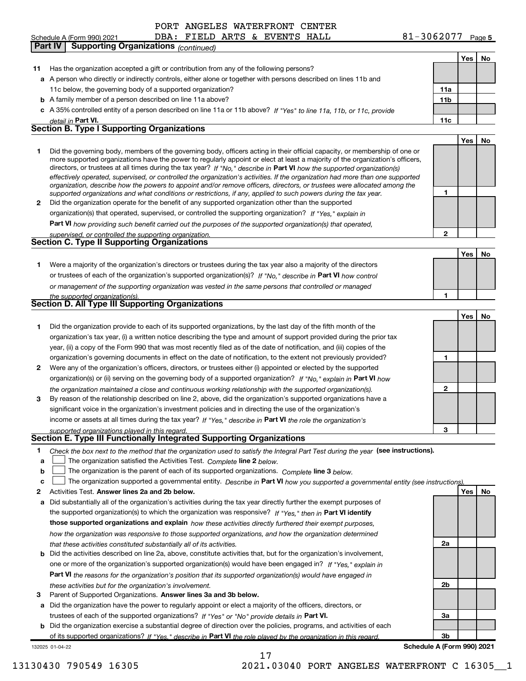$81 - 3062077$  Page 5 Yes | No 11 Has the organization accepted a gift or contribution from any of the following persons? a A person who directly or indirectly controls, either alone or together with persons described on lines 11b and b A family member of a person described on line 11a above? c A 35% controlled entity of a person described on line 11a or 11b above? If "Yes" to line 11a, 11b, or 11c, provide 11a 11b Part VI. 11c Yes | No 1 2 Did the organization operate for the benefit of any supported organization other than the supported directors, or trustees at all times during the tax year? If "No," describe in Part VI how the supported organization(s) 1 2 Part VI how providing such benefit carried out the purposes of the supported organization(s) that operated, Yes | No 1 Were a majority of the organization's directors or trustees during the tax year also a majority of the directors or trustees of each of the organization's supported organization(s)? If "No," describe in Part VI how control 1 Yes | No 1 Did the organization provide to each of its supported organizations, by the last day of the fifth month of the 2 Were any of the organization's officers, directors, or trustees either (i) appointed or elected by the supported 3 1 2 organization(s) or (ii) serving on the governing body of a supported organization? If "No," explain in Part VI how income or assets at all times during the tax year? If "Yes," describe in Part VI the role the organization's detail in **Part VI** effectively operated, supervised, or controlled the organization's activities. If the organization had more than one supported organization, describe how the powers to appoint and/or remove officers, directors, or trustees were allocated among the supported organizations and what conditions or restrictions, if any, applied to such powers during the tax year. organization(s) that operated, supervised, or controlled the supporting organization? If "Yes," explain in supervised, or controlled the supporting organization. or management of the supporting organization was vested in the same persons that controlled or managed the supported organization(s). the organization maintained a close and continuous working relationship with the supported organization(s). Schedule A (Form 990) 2021 **DBA: FIELD ARTS & EVENTS HALL**  $81-3062077$  Page 11c below, the governing body of a supported organization? Did the governing body, members of the governing body, officers acting in their official capacity, or membership of one or more supported organizations have the power to regularly appoint or elect at least a majority of the organization's officers, organization's tax year, (i) a written notice describing the type and amount of support provided during the prior tax year, (ii) a copy of the Form 990 that was most recently filed as of the date of notification, and (iii) copies of the organization's governing documents in effect on the date of notification, to the extent not previously provided? By reason of the relationship described on line 2, above, did the organization's supported organizations have a significant voice in the organization's investment policies and in directing the use of the organization's Part IV | Supporting Organizations (continued) Section B. Type I Supporting Organizations Section C. Type II Supporting Organizations Section D. All Type III Supporting Organizations

#### supported organizations played in this regard. Section E. Type III Functionally Integrated Supporting Organizations

| * Check the box next to the method that the organization used to satisfy the Integral Part Test during the year (see instructions). |  |
|-------------------------------------------------------------------------------------------------------------------------------------|--|
|-------------------------------------------------------------------------------------------------------------------------------------|--|

- a The organization satisfied the Activities Test. Complete line 2 below.  $\begin{array}{c} \hline \end{array}$
- b The organization is the parent of each of its supported organizations. Complete line 3 below.  $\begin{array}{c} \hline \end{array}$

|  |  |  | The organization supported a governmental entity. Describe in Part VI how you supported a governmental entity (see instructions). |  |
|--|--|--|-----------------------------------------------------------------------------------------------------------------------------------|--|
|--|--|--|-----------------------------------------------------------------------------------------------------------------------------------|--|

- 2 Activities Test. Answer lines 2a and 2b below. No recorded the control of the control of the control of the control of the control of the control of the control of the control of the control of the control of the contro
- a Did substantially all of the organization's activities during the tax year directly further the exempt purposes of the supported organization(s) to which the organization was responsive? If "Yes," then in Part VI identify those supported organizations and explain how these activities directly furthered their exempt purposes, how the organization was responsive to those supported organizations, and how the organization determined that these activities constituted substantially all of its activities.
- b Did the activities described on line 2a, above, constitute activities that, but for the organization's involvement, Part VI the reasons for the organization's position that its supported organization(s) would have engaged in one or more of the organization's supported organization(s) would have been engaged in? If "Yes," explain in these activities but for the organization's involvement.
- 3 Parent of Supported Organizations. Answer lines 3a and 3b below.

a Did the organization have the power to regularly appoint or elect a majority of the officers, directors, or trustees of each of the supported organizations? If "Yes" or "No" provide details in Part VI.

132025 01-04-22 b Did the organization exercise a substantial degree of direction over the policies, programs, and activities of each of its supported organizations? If "Yes," describe in Part VI the role played by the organization in this regard.

3b Schedule A (Form 990) 2021

3

2a

2b

3a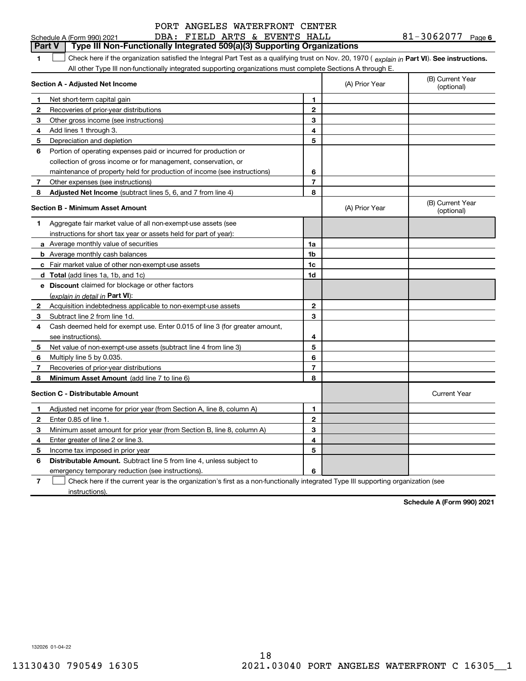| PORT ANGELES WATERFRONT CENTER |
|--------------------------------|
|--------------------------------|

|        | DBA: FIELD ARTS & EVENTS HALL<br>Schedule A (Form 990) 2021                                                                                    |                |                | 81-3062077 Page 6              |
|--------|------------------------------------------------------------------------------------------------------------------------------------------------|----------------|----------------|--------------------------------|
| Part V | Type III Non-Functionally Integrated 509(a)(3) Supporting Organizations                                                                        |                |                |                                |
| 1      | Check here if the organization satisfied the Integral Part Test as a qualifying trust on Nov. 20, 1970 (explain in Part VI). See instructions. |                |                |                                |
|        | All other Type III non-functionally integrated supporting organizations must complete Sections A through E.                                    |                |                |                                |
|        | <b>Section A - Adjusted Net Income</b>                                                                                                         |                | (A) Prior Year | (B) Current Year<br>(optional) |
| 1      | Net short-term capital gain                                                                                                                    | 1              |                |                                |
| 2      | Recoveries of prior-year distributions                                                                                                         | $\mathbf{2}$   |                |                                |
| З      | Other gross income (see instructions)                                                                                                          | 3              |                |                                |
| 4      | Add lines 1 through 3.                                                                                                                         | 4              |                |                                |
| 5      | Depreciation and depletion                                                                                                                     | 5              |                |                                |
| 6      | Portion of operating expenses paid or incurred for production or                                                                               |                |                |                                |
|        | collection of gross income or for management, conservation, or                                                                                 |                |                |                                |
|        | maintenance of property held for production of income (see instructions)                                                                       | 6              |                |                                |
| 7      | Other expenses (see instructions)                                                                                                              | $\overline{7}$ |                |                                |
| 8      | Adjusted Net Income (subtract lines 5, 6, and 7 from line 4)                                                                                   | 8              |                |                                |
|        | <b>Section B - Minimum Asset Amount</b>                                                                                                        |                | (A) Prior Year | (B) Current Year<br>(optional) |
| 1      | Aggregate fair market value of all non-exempt-use assets (see                                                                                  |                |                |                                |
|        | instructions for short tax year or assets held for part of year):                                                                              |                |                |                                |
|        | a Average monthly value of securities                                                                                                          | 1a             |                |                                |
|        | <b>b</b> Average monthly cash balances                                                                                                         | 1 <sub>b</sub> |                |                                |
|        | <b>c</b> Fair market value of other non-exempt-use assets                                                                                      | 1c             |                |                                |
|        | d Total (add lines 1a, 1b, and 1c)                                                                                                             | 1d             |                |                                |
|        | e Discount claimed for blockage or other factors                                                                                               |                |                |                                |
|        | (explain in detail in Part VI):                                                                                                                |                |                |                                |
| 2      | Acquisition indebtedness applicable to non-exempt-use assets                                                                                   | $\mathbf{2}$   |                |                                |
| 3      | Subtract line 2 from line 1d.                                                                                                                  | 3              |                |                                |
| 4      | Cash deemed held for exempt use. Enter 0.015 of line 3 (for greater amount,                                                                    |                |                |                                |
|        | see instructions).                                                                                                                             | 4              |                |                                |
| 5      | Net value of non-exempt-use assets (subtract line 4 from line 3)                                                                               | 5              |                |                                |
| 6      | Multiply line 5 by 0.035.                                                                                                                      | 6              |                |                                |
| 7      | Recoveries of prior-year distributions                                                                                                         | $\overline{7}$ |                |                                |
| 8      | Minimum Asset Amount (add line 7 to line 6)                                                                                                    | 8              |                |                                |
|        | <b>Section C - Distributable Amount</b>                                                                                                        |                |                | <b>Current Year</b>            |
|        | Adjusted net income for prior year (from Section A, line 8, column A)                                                                          | 1              |                |                                |
| 2      | Enter 0.85 of line 1.                                                                                                                          | 2              |                |                                |
| 3      | Minimum asset amount for prior year (from Section B, line 8, column A)                                                                         | 3              |                |                                |
| 4      | Enter greater of line 2 or line 3.                                                                                                             | 4              |                |                                |
| 5      | Income tax imposed in prior year                                                                                                               | 5              |                |                                |
| 6      | Distributable Amount. Subtract line 5 from line 4, unless subject to                                                                           |                |                |                                |
|        | emergency temporary reduction (see instructions).                                                                                              | 6              |                |                                |
| 7      | Check here if the current year is the organization's first as a non-functionally integrated Type III supporting organization (see              |                |                |                                |

instructions).

Schedule A (Form 990) 2021

132026 01-04-22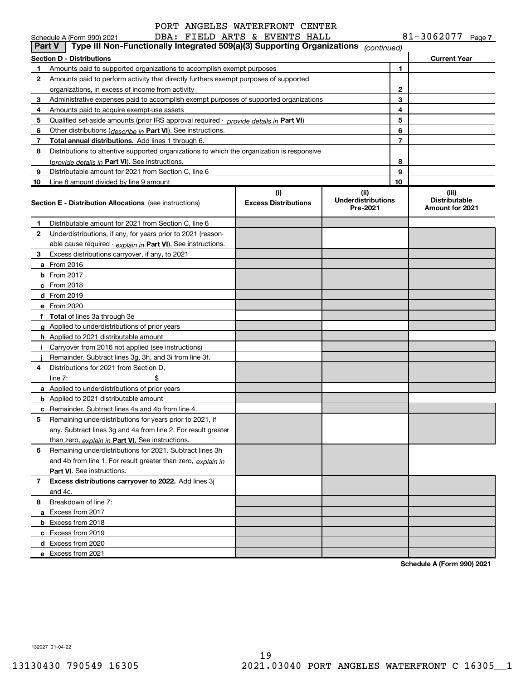| PORT ANGELES WATERFRONT CENTER |
|--------------------------------|
|--------------------------------|

| <b>Part V</b> | Schedule A (Form 990) 2021<br>Type III Non-Functionally Integrated 509(a)(3) Supporting Organizations | DBA: FIELD ARTS & EVENTS HALL      |                                               |    | 81-3062077 Page 7                                |
|---------------|-------------------------------------------------------------------------------------------------------|------------------------------------|-----------------------------------------------|----|--------------------------------------------------|
|               | <b>Section D - Distributions</b>                                                                      |                                    | (continued)                                   |    | <b>Current Year</b>                              |
| 1             | Amounts paid to supported organizations to accomplish exempt purposes                                 |                                    |                                               | 1. |                                                  |
| 2             | Amounts paid to perform activity that directly furthers exempt purposes of supported                  |                                    |                                               |    |                                                  |
|               | organizations, in excess of income from activity                                                      |                                    | 2                                             |    |                                                  |
| 3             | Administrative expenses paid to accomplish exempt purposes of supported organizations                 |                                    |                                               | 3  |                                                  |
| 4             | Amounts paid to acquire exempt-use assets                                                             |                                    |                                               | 4  |                                                  |
| 5             | Qualified set-aside amounts (prior IRS approval required - provide details in Part VI)                |                                    |                                               | 5  |                                                  |
| 6             | Other distributions ( <i>describe in</i> Part VI). See instructions.                                  |                                    |                                               | 6  |                                                  |
| 7             | <b>Total annual distributions.</b> Add lines 1 through 6.                                             |                                    |                                               | 7  |                                                  |
| 8             | Distributions to attentive supported organizations to which the organization is responsive            |                                    |                                               |    |                                                  |
|               | (provide details in Part VI). See instructions.                                                       |                                    |                                               | 8  |                                                  |
| 9             | Distributable amount for 2021 from Section C, line 6                                                  |                                    |                                               | 9  |                                                  |
| 10            | Line 8 amount divided by line 9 amount                                                                |                                    |                                               | 10 |                                                  |
|               | <b>Section E - Distribution Allocations</b> (see instructions)                                        | (i)<br><b>Excess Distributions</b> | (ii)<br><b>Underdistributions</b><br>Pre-2021 |    | (iii)<br><b>Distributable</b><br>Amount for 2021 |
| 1.            | Distributable amount for 2021 from Section C, line 6                                                  |                                    |                                               |    |                                                  |
| 2             | Underdistributions, if any, for years prior to 2021 (reason-                                          |                                    |                                               |    |                                                  |
|               | able cause required - explain in Part VI). See instructions.                                          |                                    |                                               |    |                                                  |
| 3             | Excess distributions carryover, if any, to 2021                                                       |                                    |                                               |    |                                                  |
|               | <b>a</b> From 2016                                                                                    |                                    |                                               |    |                                                  |
|               | <b>b</b> From $2017$                                                                                  |                                    |                                               |    |                                                  |
|               | $c$ From 2018                                                                                         |                                    |                                               |    |                                                  |
|               | $d$ From 2019                                                                                         |                                    |                                               |    |                                                  |
|               | e From 2020                                                                                           |                                    |                                               |    |                                                  |
|               | f Total of lines 3a through 3e                                                                        |                                    |                                               |    |                                                  |
|               | g Applied to underdistributions of prior years                                                        |                                    |                                               |    |                                                  |
|               | <b>h</b> Applied to 2021 distributable amount                                                         |                                    |                                               |    |                                                  |
| j.            | Carryover from 2016 not applied (see instructions)                                                    |                                    |                                               |    |                                                  |
|               | Remainder. Subtract lines 3g, 3h, and 3i from line 3f.                                                |                                    |                                               |    |                                                  |
| 4             | Distributions for 2021 from Section D.                                                                |                                    |                                               |    |                                                  |
|               | \$<br>line $7:$                                                                                       |                                    |                                               |    |                                                  |
|               | a Applied to underdistributions of prior years                                                        |                                    |                                               |    |                                                  |
|               | <b>b</b> Applied to 2021 distributable amount                                                         |                                    |                                               |    |                                                  |
|               | c Remainder. Subtract lines 4a and 4b from line 4.                                                    |                                    |                                               |    |                                                  |
| 5             | Remaining underdistributions for years prior to 2021, if                                              |                                    |                                               |    |                                                  |
|               | any. Subtract lines 3g and 4a from line 2. For result greater                                         |                                    |                                               |    |                                                  |
|               | than zero, explain in Part VI. See instructions.                                                      |                                    |                                               |    |                                                  |
| 6             | Remaining underdistributions for 2021. Subtract lines 3h                                              |                                    |                                               |    |                                                  |
|               | and 4b from line 1. For result greater than zero, explain in                                          |                                    |                                               |    |                                                  |
|               | Part VI. See instructions.                                                                            |                                    |                                               |    |                                                  |
| 7             | Excess distributions carryover to 2022. Add lines 3j<br>and 4c.                                       |                                    |                                               |    |                                                  |
| 8             | Breakdown of line 7:                                                                                  |                                    |                                               |    |                                                  |
|               | a Excess from 2017                                                                                    |                                    |                                               |    |                                                  |
|               | <b>b</b> Excess from 2018                                                                             |                                    |                                               |    |                                                  |
|               | c Excess from 2019                                                                                    |                                    |                                               |    |                                                  |
|               | d Excess from 2020                                                                                    |                                    |                                               |    |                                                  |
|               | e Excess from 2021                                                                                    |                                    |                                               |    |                                                  |
|               |                                                                                                       |                                    |                                               |    |                                                  |

Schedule A (Form 990) 2021

132027 01-04-22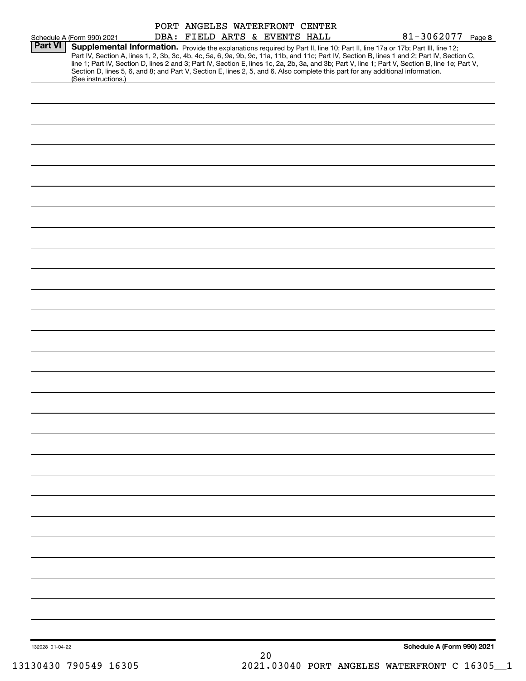|                 | Schedule A (Form 990) 2021                                                                                                                                                                                                                                                                                                                                                                                                                                                                                                                                                                  | PORT ANGELES WATERFRONT CENTER<br>DBA: FIELD ARTS & EVENTS HALL |  |  |  | 81-3062077 Page 8          |  |
|-----------------|---------------------------------------------------------------------------------------------------------------------------------------------------------------------------------------------------------------------------------------------------------------------------------------------------------------------------------------------------------------------------------------------------------------------------------------------------------------------------------------------------------------------------------------------------------------------------------------------|-----------------------------------------------------------------|--|--|--|----------------------------|--|
| <b>Part VI</b>  | Supplemental Information. Provide the explanations required by Part II, line 10; Part II, line 17a or 17b; Part III, line 12;<br>Part IV, Section A, lines 1, 2, 3b, 3c, 4b, 4c, 5a, 6, 9a, 9b, 9c, 11a, 11b, and 11c; Part IV, Section B, lines 1 and 2; Part IV, Section C,<br>line 1; Part IV, Section D, lines 2 and 3; Part IV, Section E, lines 1c, 2a, 2b, 3a, and 3b; Part V, line 1; Part V, Section B, line 1e; Part V,<br>Section D, lines 5, 6, and 8; and Part V, Section E, lines 2, 5, and 6. Also complete this part for any additional information.<br>(See instructions.) |                                                                 |  |  |  |                            |  |
|                 |                                                                                                                                                                                                                                                                                                                                                                                                                                                                                                                                                                                             |                                                                 |  |  |  |                            |  |
|                 |                                                                                                                                                                                                                                                                                                                                                                                                                                                                                                                                                                                             |                                                                 |  |  |  |                            |  |
|                 |                                                                                                                                                                                                                                                                                                                                                                                                                                                                                                                                                                                             |                                                                 |  |  |  |                            |  |
|                 |                                                                                                                                                                                                                                                                                                                                                                                                                                                                                                                                                                                             |                                                                 |  |  |  |                            |  |
|                 |                                                                                                                                                                                                                                                                                                                                                                                                                                                                                                                                                                                             |                                                                 |  |  |  |                            |  |
|                 |                                                                                                                                                                                                                                                                                                                                                                                                                                                                                                                                                                                             |                                                                 |  |  |  |                            |  |
|                 |                                                                                                                                                                                                                                                                                                                                                                                                                                                                                                                                                                                             |                                                                 |  |  |  |                            |  |
|                 |                                                                                                                                                                                                                                                                                                                                                                                                                                                                                                                                                                                             |                                                                 |  |  |  |                            |  |
|                 |                                                                                                                                                                                                                                                                                                                                                                                                                                                                                                                                                                                             |                                                                 |  |  |  |                            |  |
|                 |                                                                                                                                                                                                                                                                                                                                                                                                                                                                                                                                                                                             |                                                                 |  |  |  |                            |  |
|                 |                                                                                                                                                                                                                                                                                                                                                                                                                                                                                                                                                                                             |                                                                 |  |  |  |                            |  |
|                 |                                                                                                                                                                                                                                                                                                                                                                                                                                                                                                                                                                                             |                                                                 |  |  |  |                            |  |
|                 |                                                                                                                                                                                                                                                                                                                                                                                                                                                                                                                                                                                             |                                                                 |  |  |  |                            |  |
|                 |                                                                                                                                                                                                                                                                                                                                                                                                                                                                                                                                                                                             |                                                                 |  |  |  |                            |  |
|                 |                                                                                                                                                                                                                                                                                                                                                                                                                                                                                                                                                                                             |                                                                 |  |  |  |                            |  |
|                 |                                                                                                                                                                                                                                                                                                                                                                                                                                                                                                                                                                                             |                                                                 |  |  |  |                            |  |
|                 |                                                                                                                                                                                                                                                                                                                                                                                                                                                                                                                                                                                             |                                                                 |  |  |  |                            |  |
|                 |                                                                                                                                                                                                                                                                                                                                                                                                                                                                                                                                                                                             |                                                                 |  |  |  |                            |  |
|                 |                                                                                                                                                                                                                                                                                                                                                                                                                                                                                                                                                                                             |                                                                 |  |  |  |                            |  |
|                 |                                                                                                                                                                                                                                                                                                                                                                                                                                                                                                                                                                                             |                                                                 |  |  |  |                            |  |
|                 |                                                                                                                                                                                                                                                                                                                                                                                                                                                                                                                                                                                             |                                                                 |  |  |  |                            |  |
|                 |                                                                                                                                                                                                                                                                                                                                                                                                                                                                                                                                                                                             |                                                                 |  |  |  |                            |  |
|                 |                                                                                                                                                                                                                                                                                                                                                                                                                                                                                                                                                                                             |                                                                 |  |  |  |                            |  |
|                 |                                                                                                                                                                                                                                                                                                                                                                                                                                                                                                                                                                                             |                                                                 |  |  |  |                            |  |
|                 |                                                                                                                                                                                                                                                                                                                                                                                                                                                                                                                                                                                             |                                                                 |  |  |  |                            |  |
|                 |                                                                                                                                                                                                                                                                                                                                                                                                                                                                                                                                                                                             |                                                                 |  |  |  |                            |  |
| 132028 01-04-22 |                                                                                                                                                                                                                                                                                                                                                                                                                                                                                                                                                                                             |                                                                 |  |  |  | Schedule A (Form 990) 2021 |  |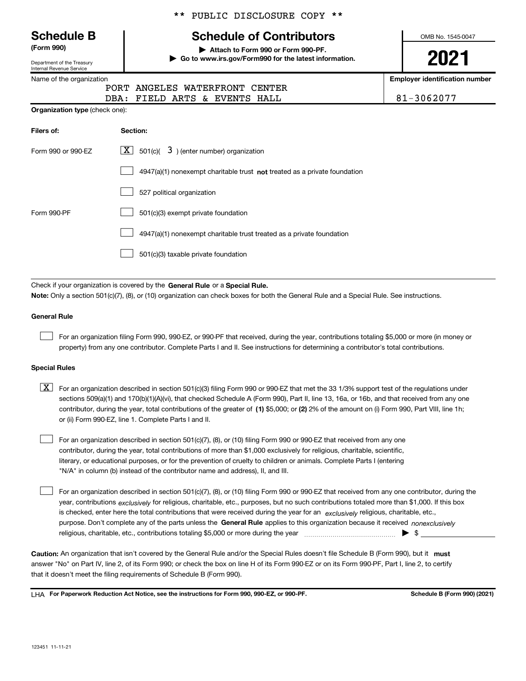123451 11-11-21

#### \*\* PUBLIC DISCLOSURE COPY \*\*

# **Schedule of Contributors**

(Form 990) | Attach to Form 990 or Form 990-PF.

| Go to www.irs.gov/Form990 for the latest information.

OMB No. 1545-0047

Employer identification number

| <b>Schedule B</b>    |  |
|----------------------|--|
| $\sim$ $\sim$ $\sim$ |  |

Department of the Treasury Internal Revenue Service

Name of the organization

| PORT ANGELES WATERFRONT CENTER |            |
|--------------------------------|------------|
| DBA: FIELD ARTS & EVENTS HALL  | 81-3062077 |

Organization type (check one):

| Filers of:         | Section:                                                                           |
|--------------------|------------------------------------------------------------------------------------|
| Form 990 or 990-EZ | $\boxed{\textbf{X}}$ 501(c)( 3) (enter number) organization                        |
|                    | $4947(a)(1)$ nonexempt charitable trust <b>not</b> treated as a private foundation |
|                    | 527 political organization                                                         |
| Form 990-PF        | 501(c)(3) exempt private foundation                                                |
|                    | 4947(a)(1) nonexempt charitable trust treated as a private foundation              |
|                    | 501(c)(3) taxable private foundation                                               |

Check if your organization is covered by the General Rule or a Special Rule. Note: Only a section 501(c)(7), (8), or (10) organization can check boxes for both the General Rule and a Special Rule. See instructions.

#### General Rule

 $\begin{array}{c} \hline \end{array}$ 

For an organization filing Form 990, 990-EZ, or 990-PF that received, during the year, contributions totaling \$5,000 or more (in money or property) from any one contributor. Complete Parts I and II. See instructions for determining a contributor's total contributions.

#### Special Rules

contributor, during the year, total contributions of the greater of (1) \$5,000; or (2) 2% of the amount on (i) Form 990, Part VIII, line 1h;  $\boxed{\textbf{X}}$  For an organization described in section 501(c)(3) filing Form 990 or 990-EZ that met the 33 1/3% support test of the regulations under sections 509(a)(1) and 170(b)(1)(A)(vi), that checked Schedule A (Form 990), Part II, line 13, 16a, or 16b, and that received from any one or (ii) Form 990-EZ, line 1. Complete Parts I and II.

For an organization described in section 501(c)(7), (8), or (10) filing Form 990 or 990-EZ that received from any one contributor, during the year, total contributions of more than \$1,000 exclusively for religious, charitable, scientific, literary, or educational purposes, or for the prevention of cruelty to children or animals. Complete Parts I (entering "N/A" in column (b) instead of the contributor name and address), II, and III.  $\begin{array}{c} \hline \end{array}$ 

purpose. Don't complete any of the parts unless the General Rule applies to this organization because it received nonexclusively year, contributions <sub>exclusively</sub> for religious, charitable, etc., purposes, but no such contributions totaled more than \$1,000. If this box is checked, enter here the total contributions that were received during the year for an exclusively religious, charitable, etc., For an organization described in section 501(c)(7), (8), or (10) filing Form 990 or 990-EZ that received from any one contributor, during the religious, charitable, etc., contributions totaling \$5,000 or more during the year  $\Box$ — $\Box$ — $\Box$  $\begin{array}{c} \hline \end{array}$ 

Caution: An organization that isn't covered by the General Rule and/or the Special Rules doesn't file Schedule B (Form 990), but it must answer "No" on Part IV, line 2, of its Form 990; or check the box on line H of its Form 990-EZ or on its Form 990-PF, Part I, line 2, to certify that it doesn't meet the filing requirements of Schedule B (Form 990).

LHA For Paperwork Reduction Act Notice, see the instructions for Form 990, 990-EZ, or 990-PF. Schedule B (Form 990) (2021) Schedule B (Form 990) (2021)

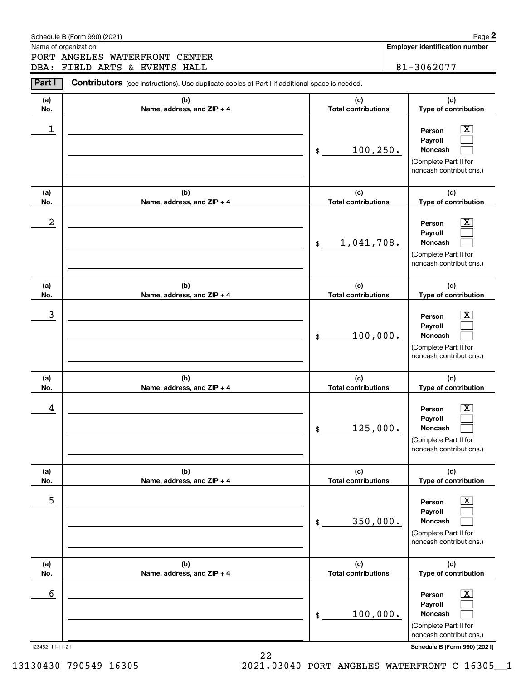| Name of organization<br>PORT ANGELES WATERFRONT CENTER<br>81-3062077<br>DBA: FIELD ARTS & EVENTS HALL<br>Part I<br><b>Contributors</b> (see instructions). Use duplicate copies of Part I if additional space is needed.<br>(b)<br>(c)<br>(d)<br>(a)<br><b>Total contributions</b><br>No.<br>Name, address, and ZIP + 4<br>Type of contribution<br>1<br>$\overline{\mathbf{X}}$<br>Person<br>Payroll<br>100, 250.<br><b>Noncash</b><br>\$<br>(Complete Part II for<br>noncash contributions.)<br>(b)<br>(c)<br>(d)<br>(a)<br><b>Total contributions</b><br>Type of contribution<br>No.<br>Name, address, and ZIP + 4<br>2<br>$\overline{\mathbf{X}}$<br>Person<br>Payroll<br>1,041,708.<br><b>Noncash</b><br>\$<br>(Complete Part II for<br>noncash contributions.)<br>(b)<br>(c)<br>(d)<br>(a)<br><b>Total contributions</b><br>Type of contribution<br>No.<br>Name, address, and ZIP + 4<br>3<br>$\overline{\mathbf{X}}$<br>Person<br>Payroll<br>100,000.<br>Noncash<br>\$<br>(Complete Part II for<br>noncash contributions.)<br>(d)<br>(b)<br>(c)<br>(a)<br><b>Total contributions</b><br>Type of contribution<br>No.<br>Name, address, and ZIP + 4<br>$\overline{\mathbf{X}}$<br>4<br>Person<br>Payroll<br>125,000.<br><b>Noncash</b><br>\$<br>(Complete Part II for<br>noncash contributions.)<br>(b)<br>(c)<br>(d)<br>(a)<br><b>Total contributions</b><br>No.<br>Name, address, and ZIP + 4<br>Type of contribution<br>5<br>$\overline{\mathbf{X}}$<br>Person<br>Payroll<br>350,000.<br><b>Noncash</b><br>$$\tilde{\phantom{a}}$$<br>(Complete Part II for<br>noncash contributions.)<br>(b)<br>(c)<br>(d)<br>(a)<br><b>Total contributions</b><br>No.<br>Name, address, and ZIP + 4<br>Type of contribution<br>6<br>$\overline{\mathbf{X}}$<br>Person<br>Payroll<br>100,000.<br><b>Noncash</b><br>\$<br>(Complete Part II for<br>noncash contributions.) | Schedule B (Form 990) (2021) | Page 2                                |
|-------------------------------------------------------------------------------------------------------------------------------------------------------------------------------------------------------------------------------------------------------------------------------------------------------------------------------------------------------------------------------------------------------------------------------------------------------------------------------------------------------------------------------------------------------------------------------------------------------------------------------------------------------------------------------------------------------------------------------------------------------------------------------------------------------------------------------------------------------------------------------------------------------------------------------------------------------------------------------------------------------------------------------------------------------------------------------------------------------------------------------------------------------------------------------------------------------------------------------------------------------------------------------------------------------------------------------------------------------------------------------------------------------------------------------------------------------------------------------------------------------------------------------------------------------------------------------------------------------------------------------------------------------------------------------------------------------------------------------------------------------------------------------------------------------------------------------------------------------------------|------------------------------|---------------------------------------|
|                                                                                                                                                                                                                                                                                                                                                                                                                                                                                                                                                                                                                                                                                                                                                                                                                                                                                                                                                                                                                                                                                                                                                                                                                                                                                                                                                                                                                                                                                                                                                                                                                                                                                                                                                                                                                                                                   |                              | <b>Employer identification number</b> |
|                                                                                                                                                                                                                                                                                                                                                                                                                                                                                                                                                                                                                                                                                                                                                                                                                                                                                                                                                                                                                                                                                                                                                                                                                                                                                                                                                                                                                                                                                                                                                                                                                                                                                                                                                                                                                                                                   |                              |                                       |
|                                                                                                                                                                                                                                                                                                                                                                                                                                                                                                                                                                                                                                                                                                                                                                                                                                                                                                                                                                                                                                                                                                                                                                                                                                                                                                                                                                                                                                                                                                                                                                                                                                                                                                                                                                                                                                                                   |                              |                                       |
|                                                                                                                                                                                                                                                                                                                                                                                                                                                                                                                                                                                                                                                                                                                                                                                                                                                                                                                                                                                                                                                                                                                                                                                                                                                                                                                                                                                                                                                                                                                                                                                                                                                                                                                                                                                                                                                                   |                              |                                       |
|                                                                                                                                                                                                                                                                                                                                                                                                                                                                                                                                                                                                                                                                                                                                                                                                                                                                                                                                                                                                                                                                                                                                                                                                                                                                                                                                                                                                                                                                                                                                                                                                                                                                                                                                                                                                                                                                   |                              |                                       |
|                                                                                                                                                                                                                                                                                                                                                                                                                                                                                                                                                                                                                                                                                                                                                                                                                                                                                                                                                                                                                                                                                                                                                                                                                                                                                                                                                                                                                                                                                                                                                                                                                                                                                                                                                                                                                                                                   |                              |                                       |
|                                                                                                                                                                                                                                                                                                                                                                                                                                                                                                                                                                                                                                                                                                                                                                                                                                                                                                                                                                                                                                                                                                                                                                                                                                                                                                                                                                                                                                                                                                                                                                                                                                                                                                                                                                                                                                                                   |                              |                                       |
|                                                                                                                                                                                                                                                                                                                                                                                                                                                                                                                                                                                                                                                                                                                                                                                                                                                                                                                                                                                                                                                                                                                                                                                                                                                                                                                                                                                                                                                                                                                                                                                                                                                                                                                                                                                                                                                                   |                              |                                       |
|                                                                                                                                                                                                                                                                                                                                                                                                                                                                                                                                                                                                                                                                                                                                                                                                                                                                                                                                                                                                                                                                                                                                                                                                                                                                                                                                                                                                                                                                                                                                                                                                                                                                                                                                                                                                                                                                   |                              |                                       |
|                                                                                                                                                                                                                                                                                                                                                                                                                                                                                                                                                                                                                                                                                                                                                                                                                                                                                                                                                                                                                                                                                                                                                                                                                                                                                                                                                                                                                                                                                                                                                                                                                                                                                                                                                                                                                                                                   |                              |                                       |
|                                                                                                                                                                                                                                                                                                                                                                                                                                                                                                                                                                                                                                                                                                                                                                                                                                                                                                                                                                                                                                                                                                                                                                                                                                                                                                                                                                                                                                                                                                                                                                                                                                                                                                                                                                                                                                                                   |                              |                                       |
|                                                                                                                                                                                                                                                                                                                                                                                                                                                                                                                                                                                                                                                                                                                                                                                                                                                                                                                                                                                                                                                                                                                                                                                                                                                                                                                                                                                                                                                                                                                                                                                                                                                                                                                                                                                                                                                                   |                              |                                       |
|                                                                                                                                                                                                                                                                                                                                                                                                                                                                                                                                                                                                                                                                                                                                                                                                                                                                                                                                                                                                                                                                                                                                                                                                                                                                                                                                                                                                                                                                                                                                                                                                                                                                                                                                                                                                                                                                   |                              |                                       |
|                                                                                                                                                                                                                                                                                                                                                                                                                                                                                                                                                                                                                                                                                                                                                                                                                                                                                                                                                                                                                                                                                                                                                                                                                                                                                                                                                                                                                                                                                                                                                                                                                                                                                                                                                                                                                                                                   |                              |                                       |
|                                                                                                                                                                                                                                                                                                                                                                                                                                                                                                                                                                                                                                                                                                                                                                                                                                                                                                                                                                                                                                                                                                                                                                                                                                                                                                                                                                                                                                                                                                                                                                                                                                                                                                                                                                                                                                                                   |                              |                                       |
|                                                                                                                                                                                                                                                                                                                                                                                                                                                                                                                                                                                                                                                                                                                                                                                                                                                                                                                                                                                                                                                                                                                                                                                                                                                                                                                                                                                                                                                                                                                                                                                                                                                                                                                                                                                                                                                                   |                              |                                       |
|                                                                                                                                                                                                                                                                                                                                                                                                                                                                                                                                                                                                                                                                                                                                                                                                                                                                                                                                                                                                                                                                                                                                                                                                                                                                                                                                                                                                                                                                                                                                                                                                                                                                                                                                                                                                                                                                   |                              |                                       |
| 123452 11-11-21                                                                                                                                                                                                                                                                                                                                                                                                                                                                                                                                                                                                                                                                                                                                                                                                                                                                                                                                                                                                                                                                                                                                                                                                                                                                                                                                                                                                                                                                                                                                                                                                                                                                                                                                                                                                                                                   |                              | Schedule B (Form 990) (2021)          |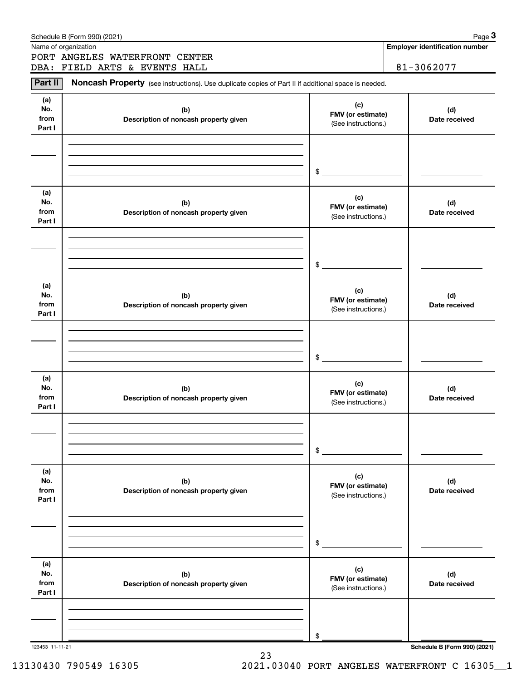|                              | Schedule B (Form 990) (2021)                                                                        |                                                 | Page 3                                |
|------------------------------|-----------------------------------------------------------------------------------------------------|-------------------------------------------------|---------------------------------------|
|                              | Name of organization                                                                                |                                                 | <b>Employer identification number</b> |
|                              | PORT ANGELES WATERFRONT CENTER<br>DBA: FIELD ARTS & EVENTS HALL                                     |                                                 | 81-3062077                            |
|                              |                                                                                                     |                                                 |                                       |
| Part II                      | Noncash Property (see instructions). Use duplicate copies of Part II if additional space is needed. |                                                 |                                       |
| (a)<br>No.<br>from<br>Part I | (b)<br>Description of noncash property given                                                        | (c)<br>FMV (or estimate)<br>(See instructions.) | (d)<br>Date received                  |
|                              |                                                                                                     |                                                 |                                       |
|                              |                                                                                                     | $\frac{1}{2}$                                   |                                       |
| (a)<br>No.<br>from<br>Part I | (b)<br>Description of noncash property given                                                        | (c)<br>FMV (or estimate)<br>(See instructions.) | (d)<br>Date received                  |
|                              |                                                                                                     |                                                 |                                       |
|                              |                                                                                                     | $\frac{1}{2}$                                   |                                       |
| (a)<br>No.<br>from<br>Part I | (b)<br>Description of noncash property given                                                        | (c)<br>FMV (or estimate)<br>(See instructions.) | (d)<br>Date received                  |
|                              |                                                                                                     |                                                 |                                       |
|                              |                                                                                                     | $\frac{1}{2}$                                   |                                       |
| (a)<br>No.<br>from<br>Part I | (b)<br>Description of noncash property given                                                        | (c)<br>FMV (or estimate)<br>(See instructions.) | (d)<br>Date received                  |
|                              |                                                                                                     |                                                 |                                       |
|                              |                                                                                                     | $\mathsf{\$}$                                   |                                       |
| (a)<br>No.<br>from<br>Part I | (b)<br>Description of noncash property given                                                        | (c)<br>FMV (or estimate)<br>(See instructions.) | (d)<br>Date received                  |
|                              |                                                                                                     |                                                 |                                       |
|                              |                                                                                                     | \$                                              |                                       |
| (a)<br>No.<br>from<br>Part I | (b)<br>Description of noncash property given                                                        | (c)<br>FMV (or estimate)<br>(See instructions.) | (d)<br>Date received                  |
|                              |                                                                                                     |                                                 |                                       |
|                              |                                                                                                     | \$                                              |                                       |
| 123453 11-11-21              |                                                                                                     |                                                 | Schedule B (Form 990) (2021)          |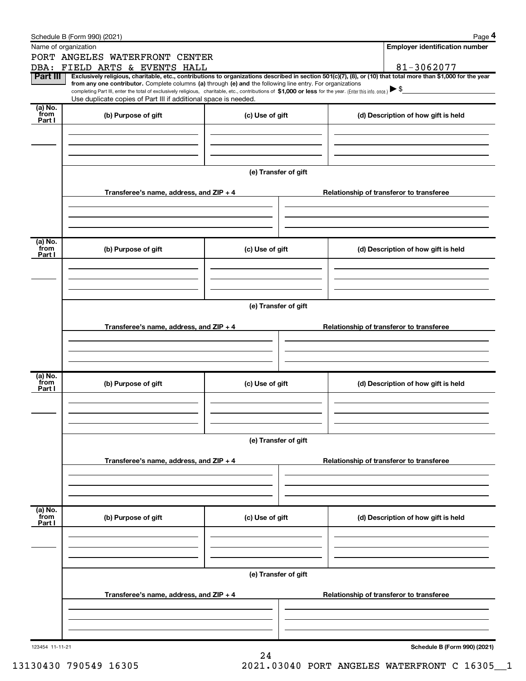|                           | Schedule B (Form 990) (2021)                                                                                                                                                                                                                                               |                      | Page 4                                                                                                                                                         |  |  |  |  |  |
|---------------------------|----------------------------------------------------------------------------------------------------------------------------------------------------------------------------------------------------------------------------------------------------------------------------|----------------------|----------------------------------------------------------------------------------------------------------------------------------------------------------------|--|--|--|--|--|
|                           | Name of organization                                                                                                                                                                                                                                                       |                      | <b>Employer identification number</b>                                                                                                                          |  |  |  |  |  |
|                           | PORT ANGELES WATERFRONT CENTER                                                                                                                                                                                                                                             |                      |                                                                                                                                                                |  |  |  |  |  |
|                           | DBA: FIELD ARTS & EVENTS HALL                                                                                                                                                                                                                                              |                      | 81-3062077                                                                                                                                                     |  |  |  |  |  |
| Part III                  | from any one contributor. Complete columns (a) through (e) and the following line entry. For organizations<br>completing Part III, enter the total of exclusively religious, charitable, etc., contributions of \$1,000 or less for the year. (Enter this info. once.) \\$ |                      | Exclusively religious, charitable, etc., contributions to organizations described in section 501(c)(7), (8), or (10) that total more than \$1,000 for the year |  |  |  |  |  |
|                           | Use duplicate copies of Part III if additional space is needed.                                                                                                                                                                                                            |                      |                                                                                                                                                                |  |  |  |  |  |
| (a) No.<br>from<br>Part I | (b) Purpose of gift                                                                                                                                                                                                                                                        | (c) Use of gift      | (d) Description of how gift is held                                                                                                                            |  |  |  |  |  |
|                           |                                                                                                                                                                                                                                                                            |                      |                                                                                                                                                                |  |  |  |  |  |
|                           |                                                                                                                                                                                                                                                                            | (e) Transfer of gift |                                                                                                                                                                |  |  |  |  |  |
|                           | Transferee's name, address, and ZIP + 4                                                                                                                                                                                                                                    |                      | Relationship of transferor to transferee                                                                                                                       |  |  |  |  |  |
|                           |                                                                                                                                                                                                                                                                            |                      |                                                                                                                                                                |  |  |  |  |  |
| (a) No.<br>from           |                                                                                                                                                                                                                                                                            |                      |                                                                                                                                                                |  |  |  |  |  |
| Part I                    | (b) Purpose of gift                                                                                                                                                                                                                                                        | (c) Use of gift      | (d) Description of how gift is held                                                                                                                            |  |  |  |  |  |
|                           |                                                                                                                                                                                                                                                                            |                      |                                                                                                                                                                |  |  |  |  |  |
|                           | (e) Transfer of gift                                                                                                                                                                                                                                                       |                      |                                                                                                                                                                |  |  |  |  |  |
|                           | Transferee's name, address, and ZIP + 4                                                                                                                                                                                                                                    |                      | Relationship of transferor to transferee                                                                                                                       |  |  |  |  |  |
|                           |                                                                                                                                                                                                                                                                            |                      |                                                                                                                                                                |  |  |  |  |  |
|                           |                                                                                                                                                                                                                                                                            |                      |                                                                                                                                                                |  |  |  |  |  |
| (a) No.<br>from<br>Part I | (b) Purpose of gift                                                                                                                                                                                                                                                        | (c) Use of gift      | (d) Description of how gift is held                                                                                                                            |  |  |  |  |  |
|                           |                                                                                                                                                                                                                                                                            |                      |                                                                                                                                                                |  |  |  |  |  |
|                           |                                                                                                                                                                                                                                                                            |                      |                                                                                                                                                                |  |  |  |  |  |
|                           | (e) Transfer of gift                                                                                                                                                                                                                                                       |                      |                                                                                                                                                                |  |  |  |  |  |
|                           | Transferee's name, address, and ZIP + 4                                                                                                                                                                                                                                    |                      | Relationship of transferor to transferee                                                                                                                       |  |  |  |  |  |
|                           |                                                                                                                                                                                                                                                                            |                      |                                                                                                                                                                |  |  |  |  |  |
|                           |                                                                                                                                                                                                                                                                            |                      |                                                                                                                                                                |  |  |  |  |  |
| (a) No.<br>from<br>Part I | (b) Purpose of gift                                                                                                                                                                                                                                                        | (c) Use of gift      | (d) Description of how gift is held                                                                                                                            |  |  |  |  |  |
|                           |                                                                                                                                                                                                                                                                            |                      |                                                                                                                                                                |  |  |  |  |  |
|                           |                                                                                                                                                                                                                                                                            | (e) Transfer of gift |                                                                                                                                                                |  |  |  |  |  |
|                           | Transferee's name, address, and ZIP + 4<br>Relationship of transferor to transferee                                                                                                                                                                                        |                      |                                                                                                                                                                |  |  |  |  |  |
|                           |                                                                                                                                                                                                                                                                            |                      |                                                                                                                                                                |  |  |  |  |  |
|                           |                                                                                                                                                                                                                                                                            |                      |                                                                                                                                                                |  |  |  |  |  |
| 123454 11-11-21           |                                                                                                                                                                                                                                                                            | 24                   | Schedule B (Form 990) (2021)                                                                                                                                   |  |  |  |  |  |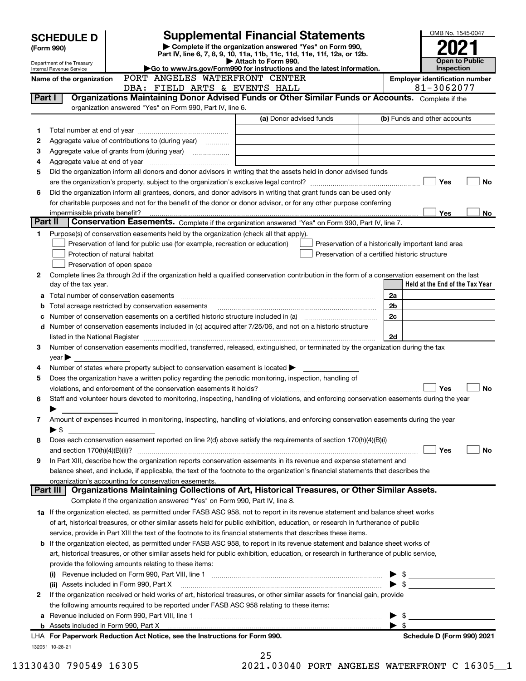| <b>Supplemental Financial Statements</b><br><b>SCHEDULE D</b> |                                                                                                                                                                                                                                                                                 |                               |                                                           |  |                                                                                                                                      | OMB No. 1545-0047       |                                                    |                          |                                                     |                       |
|---------------------------------------------------------------|---------------------------------------------------------------------------------------------------------------------------------------------------------------------------------------------------------------------------------------------------------------------------------|-------------------------------|-----------------------------------------------------------|--|--------------------------------------------------------------------------------------------------------------------------------------|-------------------------|----------------------------------------------------|--------------------------|-----------------------------------------------------|-----------------------|
|                                                               | (Form 990)                                                                                                                                                                                                                                                                      |                               |                                                           |  | Complete if the organization answered "Yes" on Form 990,<br>Part IV, line 6, 7, 8, 9, 10, 11a, 11b, 11c, 11d, 11e, 11f, 12a, or 12b. |                         |                                                    |                          |                                                     |                       |
|                                                               | Department of the Treasury                                                                                                                                                                                                                                                      |                               |                                                           |  | Attach to Form 990.                                                                                                                  |                         |                                                    |                          |                                                     | <b>Open to Public</b> |
|                                                               | Internal Revenue Service<br>Name of the organization                                                                                                                                                                                                                            |                               |                                                           |  | Go to www.irs.gov/Form990 for instructions and the latest information.<br>PORT ANGELES WATERFRONT CENTER                             |                         |                                                    |                          | Inspection<br><b>Employer identification number</b> |                       |
|                                                               |                                                                                                                                                                                                                                                                                 |                               |                                                           |  | DBA: FIELD ARTS & EVENTS HALL                                                                                                        |                         |                                                    |                          | 81-3062077                                          |                       |
| Part I                                                        |                                                                                                                                                                                                                                                                                 |                               |                                                           |  | Organizations Maintaining Donor Advised Funds or Other Similar Funds or Accounts. Complete if the                                    |                         |                                                    |                          |                                                     |                       |
|                                                               |                                                                                                                                                                                                                                                                                 |                               | organization answered "Yes" on Form 990, Part IV, line 6. |  |                                                                                                                                      |                         |                                                    |                          |                                                     |                       |
|                                                               |                                                                                                                                                                                                                                                                                 |                               |                                                           |  |                                                                                                                                      | (a) Donor advised funds |                                                    |                          | (b) Funds and other accounts                        |                       |
| 1                                                             |                                                                                                                                                                                                                                                                                 |                               |                                                           |  |                                                                                                                                      |                         |                                                    |                          |                                                     |                       |
| 2                                                             | Aggregate value of contributions to (during year)                                                                                                                                                                                                                               |                               |                                                           |  |                                                                                                                                      |                         |                                                    |                          |                                                     |                       |
| 3                                                             |                                                                                                                                                                                                                                                                                 |                               |                                                           |  |                                                                                                                                      |                         |                                                    |                          |                                                     |                       |
| 4                                                             |                                                                                                                                                                                                                                                                                 |                               |                                                           |  |                                                                                                                                      |                         |                                                    |                          |                                                     |                       |
| 5                                                             | Did the organization inform all donors and donor advisors in writing that the assets held in donor advised funds                                                                                                                                                                |                               |                                                           |  |                                                                                                                                      |                         |                                                    |                          |                                                     |                       |
|                                                               |                                                                                                                                                                                                                                                                                 |                               |                                                           |  |                                                                                                                                      |                         |                                                    |                          | Yes                                                 | No                    |
| 6                                                             | Did the organization inform all grantees, donors, and donor advisors in writing that grant funds can be used only<br>for charitable purposes and not for the benefit of the donor or donor advisor, or for any other purpose conferring                                         |                               |                                                           |  |                                                                                                                                      |                         |                                                    |                          |                                                     |                       |
|                                                               | impermissible private benefit?                                                                                                                                                                                                                                                  |                               |                                                           |  |                                                                                                                                      |                         |                                                    |                          | <b>Yes</b>                                          | No                    |
| Part II                                                       |                                                                                                                                                                                                                                                                                 |                               |                                                           |  | Conservation Easements. Complete if the organization answered "Yes" on Form 990, Part IV, line 7.                                    |                         |                                                    |                          |                                                     |                       |
| 1.                                                            | Purpose(s) of conservation easements held by the organization (check all that apply).                                                                                                                                                                                           |                               |                                                           |  |                                                                                                                                      |                         |                                                    |                          |                                                     |                       |
|                                                               |                                                                                                                                                                                                                                                                                 |                               |                                                           |  | Preservation of land for public use (for example, recreation or education)                                                           |                         | Preservation of a historically important land area |                          |                                                     |                       |
|                                                               |                                                                                                                                                                                                                                                                                 | Protection of natural habitat |                                                           |  |                                                                                                                                      |                         | Preservation of a certified historic structure     |                          |                                                     |                       |
|                                                               |                                                                                                                                                                                                                                                                                 | Preservation of open space    |                                                           |  |                                                                                                                                      |                         |                                                    |                          |                                                     |                       |
| 2                                                             | Complete lines 2a through 2d if the organization held a qualified conservation contribution in the form of a conservation easement on the last                                                                                                                                  |                               |                                                           |  |                                                                                                                                      |                         |                                                    |                          |                                                     |                       |
|                                                               | day of the tax year.                                                                                                                                                                                                                                                            |                               |                                                           |  |                                                                                                                                      |                         |                                                    |                          | Held at the End of the Tax Year                     |                       |
| а                                                             |                                                                                                                                                                                                                                                                                 |                               |                                                           |  |                                                                                                                                      |                         |                                                    | 2a                       |                                                     |                       |
| b                                                             | Total acreage restricted by conservation easements                                                                                                                                                                                                                              |                               |                                                           |  |                                                                                                                                      |                         |                                                    | 2 <sub>b</sub>           |                                                     |                       |
| с                                                             |                                                                                                                                                                                                                                                                                 |                               |                                                           |  |                                                                                                                                      |                         |                                                    | 2c                       |                                                     |                       |
| d                                                             | Number of conservation easements included in (c) acquired after 7/25/06, and not on a historic structure                                                                                                                                                                        |                               |                                                           |  |                                                                                                                                      |                         |                                                    |                          |                                                     |                       |
|                                                               |                                                                                                                                                                                                                                                                                 |                               |                                                           |  |                                                                                                                                      |                         |                                                    | 2d                       |                                                     |                       |
| 3                                                             | Number of conservation easements modified, transferred, released, extinguished, or terminated by the organization during the tax                                                                                                                                                |                               |                                                           |  |                                                                                                                                      |                         |                                                    |                          |                                                     |                       |
|                                                               | $year \blacktriangleright$                                                                                                                                                                                                                                                      |                               |                                                           |  |                                                                                                                                      |                         |                                                    |                          |                                                     |                       |
| 4                                                             | Number of states where property subject to conservation easement is located >                                                                                                                                                                                                   |                               |                                                           |  |                                                                                                                                      |                         |                                                    |                          |                                                     |                       |
| 5                                                             | Does the organization have a written policy regarding the periodic monitoring, inspection, handling of<br>violations, and enforcement of the conservation easements it holds?                                                                                                   |                               |                                                           |  |                                                                                                                                      |                         |                                                    |                          | Yes                                                 | No                    |
| 6                                                             | Staff and volunteer hours devoted to monitoring, inspecting, handling of violations, and enforcing conservation easements during the year                                                                                                                                       |                               |                                                           |  |                                                                                                                                      |                         |                                                    |                          |                                                     |                       |
|                                                               |                                                                                                                                                                                                                                                                                 |                               |                                                           |  |                                                                                                                                      |                         |                                                    |                          |                                                     |                       |
| 7                                                             | Amount of expenses incurred in monitoring, inspecting, handling of violations, and enforcing conservation easements during the year                                                                                                                                             |                               |                                                           |  |                                                                                                                                      |                         |                                                    |                          |                                                     |                       |
|                                                               | $\blacktriangleright$ \$                                                                                                                                                                                                                                                        |                               |                                                           |  |                                                                                                                                      |                         |                                                    |                          |                                                     |                       |
| 8                                                             | Does each conservation easement reported on line 2(d) above satisfy the requirements of section 170(h)(4)(B)(i)                                                                                                                                                                 |                               |                                                           |  |                                                                                                                                      |                         |                                                    |                          |                                                     |                       |
|                                                               |                                                                                                                                                                                                                                                                                 |                               |                                                           |  |                                                                                                                                      |                         |                                                    |                          | Yes                                                 | No                    |
| 9                                                             | In Part XIII, describe how the organization reports conservation easements in its revenue and expense statement and                                                                                                                                                             |                               |                                                           |  |                                                                                                                                      |                         |                                                    |                          |                                                     |                       |
|                                                               | balance sheet, and include, if applicable, the text of the footnote to the organization's financial statements that describes the                                                                                                                                               |                               |                                                           |  |                                                                                                                                      |                         |                                                    |                          |                                                     |                       |
|                                                               | organization's accounting for conservation easements.                                                                                                                                                                                                                           |                               |                                                           |  |                                                                                                                                      |                         |                                                    |                          |                                                     |                       |
|                                                               | Part III                                                                                                                                                                                                                                                                        |                               |                                                           |  | Organizations Maintaining Collections of Art, Historical Treasures, or Other Similar Assets.                                         |                         |                                                    |                          |                                                     |                       |
|                                                               |                                                                                                                                                                                                                                                                                 |                               |                                                           |  | Complete if the organization answered "Yes" on Form 990, Part IV, line 8.                                                            |                         |                                                    |                          |                                                     |                       |
|                                                               | 1a If the organization elected, as permitted under FASB ASC 958, not to report in its revenue statement and balance sheet works                                                                                                                                                 |                               |                                                           |  |                                                                                                                                      |                         |                                                    |                          |                                                     |                       |
|                                                               | of art, historical treasures, or other similar assets held for public exhibition, education, or research in furtherance of public                                                                                                                                               |                               |                                                           |  |                                                                                                                                      |                         |                                                    |                          |                                                     |                       |
|                                                               | service, provide in Part XIII the text of the footnote to its financial statements that describes these items.                                                                                                                                                                  |                               |                                                           |  |                                                                                                                                      |                         |                                                    |                          |                                                     |                       |
|                                                               | <b>b</b> If the organization elected, as permitted under FASB ASC 958, to report in its revenue statement and balance sheet works of<br>art, historical treasures, or other similar assets held for public exhibition, education, or research in furtherance of public service, |                               |                                                           |  |                                                                                                                                      |                         |                                                    |                          |                                                     |                       |
|                                                               | provide the following amounts relating to these items:                                                                                                                                                                                                                          |                               |                                                           |  |                                                                                                                                      |                         |                                                    |                          |                                                     |                       |
|                                                               |                                                                                                                                                                                                                                                                                 |                               |                                                           |  |                                                                                                                                      |                         |                                                    | - \$                     |                                                     |                       |
|                                                               | (ii) Assets included in Form 990, Part X                                                                                                                                                                                                                                        |                               |                                                           |  |                                                                                                                                      |                         |                                                    | $\blacktriangleright$ \$ |                                                     |                       |
| 2                                                             | If the organization received or held works of art, historical treasures, or other similar assets for financial gain, provide                                                                                                                                                    |                               |                                                           |  |                                                                                                                                      |                         |                                                    |                          |                                                     |                       |
|                                                               | the following amounts required to be reported under FASB ASC 958 relating to these items:                                                                                                                                                                                       |                               |                                                           |  |                                                                                                                                      |                         |                                                    |                          |                                                     |                       |
| a                                                             |                                                                                                                                                                                                                                                                                 |                               |                                                           |  |                                                                                                                                      |                         |                                                    | - \$                     |                                                     |                       |
|                                                               | <b>b</b> Assets included in Form 990, Part X                                                                                                                                                                                                                                    |                               |                                                           |  |                                                                                                                                      |                         |                                                    | -\$                      |                                                     |                       |
|                                                               | LHA For Paperwork Reduction Act Notice, see the Instructions for Form 990.                                                                                                                                                                                                      |                               |                                                           |  |                                                                                                                                      |                         |                                                    |                          | Schedule D (Form 990) 2021                          |                       |
|                                                               | 132051 10-28-21                                                                                                                                                                                                                                                                 |                               |                                                           |  |                                                                                                                                      |                         |                                                    |                          |                                                     |                       |
|                                                               |                                                                                                                                                                                                                                                                                 |                               |                                                           |  | 25                                                                                                                                   |                         |                                                    |                          |                                                     |                       |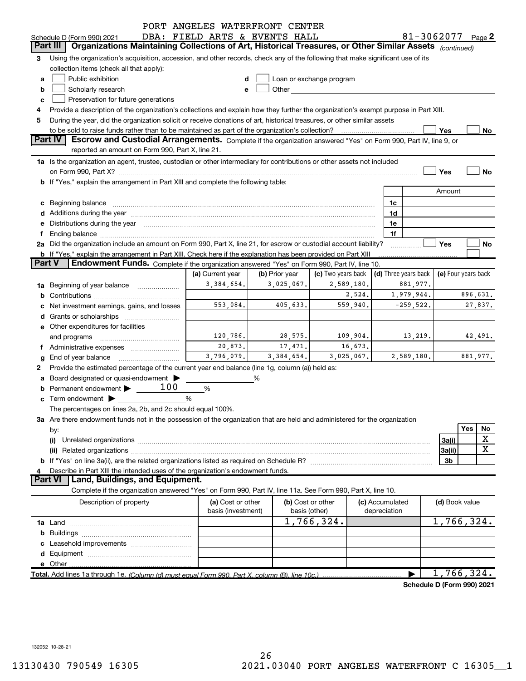|               |                                                                                                                                                                                                                                | PORT ANGELES WATERFRONT CENTER          |                |                                                                                                                                                                                                                                |                                 |                               |                         |     |          |
|---------------|--------------------------------------------------------------------------------------------------------------------------------------------------------------------------------------------------------------------------------|-----------------------------------------|----------------|--------------------------------------------------------------------------------------------------------------------------------------------------------------------------------------------------------------------------------|---------------------------------|-------------------------------|-------------------------|-----|----------|
|               | Schedule D (Form 990) 2021                                                                                                                                                                                                     | DBA: FIELD ARTS & EVENTS HALL           |                |                                                                                                                                                                                                                                |                                 | 81-3062077 $_{\text{Paqe}}$ 2 |                         |     |          |
|               | <b>Organizations Maintaining Collections of Art, Historical Treasures, or Other Similar Assets</b><br>Part III                                                                                                                 |                                         |                |                                                                                                                                                                                                                                |                                 |                               | (continued)             |     |          |
| 3             | Using the organization's acquisition, accession, and other records, check any of the following that make significant use of its                                                                                                |                                         |                |                                                                                                                                                                                                                                |                                 |                               |                         |     |          |
|               | collection items (check all that apply):                                                                                                                                                                                       |                                         |                |                                                                                                                                                                                                                                |                                 |                               |                         |     |          |
| a             | Public exhibition                                                                                                                                                                                                              |                                         |                | Loan or exchange program                                                                                                                                                                                                       |                                 |                               |                         |     |          |
| b             | Scholarly research                                                                                                                                                                                                             |                                         |                | Other and the control of the control of the control of the control of the control of the control of the control of the control of the control of the control of the control of the control of the control of the control of th |                                 |                               |                         |     |          |
| с             | Preservation for future generations                                                                                                                                                                                            |                                         |                |                                                                                                                                                                                                                                |                                 |                               |                         |     |          |
|               | Provide a description of the organization's collections and explain how they further the organization's exempt purpose in Part XIII.                                                                                           |                                         |                |                                                                                                                                                                                                                                |                                 |                               |                         |     |          |
| 5             | During the year, did the organization solicit or receive donations of art, historical treasures, or other similar assets                                                                                                       |                                         |                |                                                                                                                                                                                                                                |                                 |                               |                         |     |          |
|               | to be sold to raise funds rather than to be maintained as part of the organization's collection?                                                                                                                               |                                         |                |                                                                                                                                                                                                                                |                                 |                               | Yes                     |     | $No$     |
|               | <b>Part IV</b><br>Escrow and Custodial Arrangements. Complete if the organization answered "Yes" on Form 990, Part IV, line 9, or                                                                                              |                                         |                |                                                                                                                                                                                                                                |                                 |                               |                         |     |          |
|               | reported an amount on Form 990, Part X, line 21.                                                                                                                                                                               |                                         |                |                                                                                                                                                                                                                                |                                 |                               |                         |     |          |
|               | 1a Is the organization an agent, trustee, custodian or other intermediary for contributions or other assets not included                                                                                                       |                                         |                |                                                                                                                                                                                                                                |                                 |                               |                         |     |          |
|               |                                                                                                                                                                                                                                |                                         |                |                                                                                                                                                                                                                                |                                 |                               | Yes                     |     | No       |
|               | b If "Yes," explain the arrangement in Part XIII and complete the following table:                                                                                                                                             |                                         |                |                                                                                                                                                                                                                                |                                 |                               |                         |     |          |
|               |                                                                                                                                                                                                                                |                                         |                |                                                                                                                                                                                                                                |                                 |                               | Amount                  |     |          |
|               | c Beginning balance measurements and the state of the state of the state of the state of the state of the state of the state of the state of the state of the state of the state of the state of the state of the state of the |                                         |                |                                                                                                                                                                                                                                | 1c                              |                               |                         |     |          |
|               | d Additions during the year measurements are all an according to the year.                                                                                                                                                     |                                         |                |                                                                                                                                                                                                                                | 1d                              |                               |                         |     |          |
|               | e Distributions during the year manufactured and continuum and control of the control of the control of the control of the control of the control of the control of the control of the control of the control of the control o |                                         |                |                                                                                                                                                                                                                                | 1e                              |                               |                         |     |          |
|               |                                                                                                                                                                                                                                |                                         |                |                                                                                                                                                                                                                                | 1f                              |                               |                         |     |          |
|               | 2a Did the organization include an amount on Form 990, Part X, line 21, for escrow or custodial account liability?                                                                                                             |                                         |                |                                                                                                                                                                                                                                |                                 | .                             | Yes                     |     | No       |
|               | <b>b</b> If "Yes," explain the arrangement in Part XIII. Check here if the explanation has been provided on Part XIII                                                                                                          |                                         |                |                                                                                                                                                                                                                                |                                 |                               |                         |     |          |
| <b>Part V</b> | Endowment Funds. Complete if the organization answered "Yes" on Form 990, Part IV, line 10.                                                                                                                                    |                                         |                |                                                                                                                                                                                                                                |                                 |                               |                         |     |          |
|               |                                                                                                                                                                                                                                | (a) Current year                        | (b) Prior year | (c) Two years back                                                                                                                                                                                                             |                                 | (d) Three years back          | (e) Four years back     |     |          |
|               | 1a Beginning of year balance                                                                                                                                                                                                   | 3,384,654.                              | 3,025,067.     | 2,589,180.                                                                                                                                                                                                                     |                                 | 881,977.                      |                         |     |          |
|               |                                                                                                                                                                                                                                |                                         |                | 2,524.                                                                                                                                                                                                                         |                                 | 1,979,944.                    |                         |     | 896,631. |
|               | Net investment earnings, gains, and losses                                                                                                                                                                                     | 553,084.                                | 405,633.       | 559,940.                                                                                                                                                                                                                       |                                 | $-259,522.$                   |                         |     | 27,837.  |
|               |                                                                                                                                                                                                                                |                                         |                |                                                                                                                                                                                                                                |                                 |                               |                         |     |          |
|               | e Other expenditures for facilities                                                                                                                                                                                            |                                         |                |                                                                                                                                                                                                                                |                                 |                               |                         |     |          |
|               | and programs                                                                                                                                                                                                                   | 120,786.                                | 28,575.        | 109,904.                                                                                                                                                                                                                       |                                 | 13,219.                       |                         |     | 42,491.  |
|               | f Administrative expenses <i>manually communicative</i>                                                                                                                                                                        | 20,873.                                 | 17,471.        | 16,673.                                                                                                                                                                                                                        |                                 |                               |                         |     |          |
|               | <b>g</b> End of year balance $\ldots$                                                                                                                                                                                          | 3,796,079.                              | 3, 384, 654.   | 3,025,067.                                                                                                                                                                                                                     |                                 | 2,589,180.                    |                         |     | 881,977. |
| 2             | Provide the estimated percentage of the current year end balance (line 1g, column (a)) held as:                                                                                                                                |                                         |                |                                                                                                                                                                                                                                |                                 |                               |                         |     |          |
|               | a Board designated or quasi-endowment >                                                                                                                                                                                        |                                         | %              |                                                                                                                                                                                                                                |                                 |                               |                         |     |          |
|               | Permanent endowment $\blacktriangleright$ __ 100                                                                                                                                                                               | %                                       |                |                                                                                                                                                                                                                                |                                 |                               |                         |     |          |
|               | $\mathbf c$ Term endowment $\blacktriangleright$                                                                                                                                                                               | %                                       |                |                                                                                                                                                                                                                                |                                 |                               |                         |     |          |
|               | The percentages on lines 2a, 2b, and 2c should equal 100%.                                                                                                                                                                     |                                         |                |                                                                                                                                                                                                                                |                                 |                               |                         |     |          |
|               | 3a Are there endowment funds not in the possession of the organization that are held and administered for the organization                                                                                                     |                                         |                |                                                                                                                                                                                                                                |                                 |                               |                         |     |          |
|               | by:                                                                                                                                                                                                                            |                                         |                |                                                                                                                                                                                                                                |                                 |                               |                         | Yes | No       |
|               | (i)                                                                                                                                                                                                                            |                                         |                |                                                                                                                                                                                                                                |                                 |                               | 3a(i)                   |     | X        |
|               |                                                                                                                                                                                                                                |                                         |                |                                                                                                                                                                                                                                |                                 |                               | 3a(ii)                  |     | X        |
|               |                                                                                                                                                                                                                                |                                         |                |                                                                                                                                                                                                                                |                                 |                               | 3b                      |     |          |
|               | Describe in Part XIII the intended uses of the organization's endowment funds.                                                                                                                                                 |                                         |                |                                                                                                                                                                                                                                |                                 |                               |                         |     |          |
|               | Land, Buildings, and Equipment.<br><b>Part VI</b>                                                                                                                                                                              |                                         |                |                                                                                                                                                                                                                                |                                 |                               |                         |     |          |
|               | Complete if the organization answered "Yes" on Form 990, Part IV, line 11a. See Form 990, Part X, line 10.                                                                                                                     |                                         |                |                                                                                                                                                                                                                                |                                 |                               |                         |     |          |
|               | Description of property                                                                                                                                                                                                        | (a) Cost or other<br>basis (investment) | basis (other)  | (b) Cost or other                                                                                                                                                                                                              | (c) Accumulated<br>depreciation |                               | (d) Book value          |     |          |
|               |                                                                                                                                                                                                                                |                                         |                | 1,766,324.                                                                                                                                                                                                                     |                                 |                               | $\overline{1,}766,324.$ |     |          |
|               |                                                                                                                                                                                                                                |                                         |                |                                                                                                                                                                                                                                |                                 |                               |                         |     |          |
|               |                                                                                                                                                                                                                                |                                         |                |                                                                                                                                                                                                                                |                                 |                               |                         |     |          |
|               |                                                                                                                                                                                                                                |                                         |                |                                                                                                                                                                                                                                |                                 |                               |                         |     |          |
|               | e Other                                                                                                                                                                                                                        |                                         |                |                                                                                                                                                                                                                                |                                 |                               |                         |     |          |
|               | Total. Add lines 1a through 1e. (Column (d) must equal Form 990. Part X, column (B), line 10c.)                                                                                                                                |                                         |                |                                                                                                                                                                                                                                |                                 |                               | 1,766,324.              |     |          |
|               |                                                                                                                                                                                                                                |                                         |                |                                                                                                                                                                                                                                |                                 |                               |                         |     |          |

Schedule D (Form 990) 2021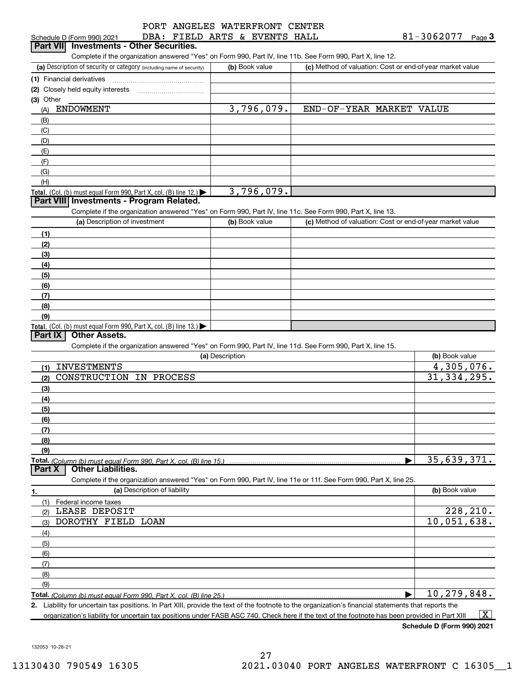|  |  |                               | PORT ANGELES WATERFRONT CENTER |
|--|--|-------------------------------|--------------------------------|
|  |  | DBA: FIELD ARTS & EVENTS HALL |                                |

| DBA: FIELD ARTS & EVENTS HALL<br>Schedule D (Form 990) 2021                                                            |                 |                |                                                    | 81-3062077<br>Page $3$                                    |
|------------------------------------------------------------------------------------------------------------------------|-----------------|----------------|----------------------------------------------------|-----------------------------------------------------------|
| <b>Investments - Other Securities.</b><br>  Part VIII                                                                  |                 |                |                                                    |                                                           |
| Complete if the organization answered "Yes" on Form 990, Part IV, line 11b. See Form 990, Part X, line 12.             |                 |                |                                                    |                                                           |
| (a) Description of security or category (including name of security)                                                   |                 | (b) Book value |                                                    | (c) Method of valuation: Cost or end-of-year market value |
| (1) Financial derivatives                                                                                              |                 |                |                                                    |                                                           |
| (2) Closely held equity interests [11] [12] Closely held equity interests                                              |                 |                |                                                    |                                                           |
| (3) Other<br><b>ENDOWMENT</b>                                                                                          |                 | 3,796,079.     | END-OF-YEAR MARKET VALUE                           |                                                           |
| (A)                                                                                                                    |                 |                |                                                    |                                                           |
| (B)<br>(C)                                                                                                             |                 |                |                                                    |                                                           |
| (D)                                                                                                                    |                 |                |                                                    |                                                           |
| (E)                                                                                                                    |                 |                |                                                    |                                                           |
| (F)                                                                                                                    |                 |                |                                                    |                                                           |
| (G)                                                                                                                    |                 |                |                                                    |                                                           |
| (H)                                                                                                                    |                 |                |                                                    |                                                           |
| Total. (Col. (b) must equal Form 990, Part X, col. (B) line 12.)                                                       |                 | 3,796,079.     |                                                    |                                                           |
| Part VIII Investments - Program Related.                                                                               |                 |                |                                                    |                                                           |
| Complete if the organization answered "Yes" on Form 990, Part IV, line 11c. See Form 990, Part X, line 13.             |                 |                |                                                    |                                                           |
| (a) Description of investment                                                                                          |                 | (b) Book value |                                                    | (c) Method of valuation: Cost or end-of-year market value |
| (1)                                                                                                                    |                 |                |                                                    |                                                           |
| (2)                                                                                                                    |                 |                |                                                    |                                                           |
| (3)                                                                                                                    |                 |                |                                                    |                                                           |
| (4)                                                                                                                    |                 |                |                                                    |                                                           |
| (5)                                                                                                                    |                 |                |                                                    |                                                           |
| (6)                                                                                                                    |                 |                |                                                    |                                                           |
| (7)                                                                                                                    |                 |                |                                                    |                                                           |
| (8)                                                                                                                    |                 |                |                                                    |                                                           |
| (9)                                                                                                                    |                 |                |                                                    |                                                           |
| Total. (Col. (b) must equal Form 990, Part X, col. (B) line 13.)<br>Part IX<br><b>Other Assets.</b>                    |                 |                |                                                    |                                                           |
| Complete if the organization answered "Yes" on Form 990, Part IV, line 11d. See Form 990, Part X, line 15.             |                 |                |                                                    |                                                           |
|                                                                                                                        | (a) Description |                |                                                    | (b) Book value                                            |
| <b>INVESTMENTS</b>                                                                                                     |                 |                |                                                    | 4,305,076.                                                |
| (1)<br>CONSTRUCTION<br>IN PROCESS<br>(2)                                                                               |                 |                |                                                    | 31, 334, 295.                                             |
| (3)                                                                                                                    |                 |                |                                                    |                                                           |
| (4)                                                                                                                    |                 |                |                                                    |                                                           |
| (5)                                                                                                                    |                 |                |                                                    |                                                           |
| (6)                                                                                                                    |                 |                |                                                    |                                                           |
| (7)                                                                                                                    |                 |                |                                                    |                                                           |
| (8)                                                                                                                    |                 |                |                                                    |                                                           |
| (9)                                                                                                                    |                 |                |                                                    |                                                           |
| Total. (Column (b) must equal Form 990, Part X, col. (B) line 15.)                                                     |                 |                |                                                    | 35,639,371.                                               |
| <b>Other Liabilities.</b><br>Part X                                                                                    |                 |                |                                                    |                                                           |
| Complete if the organization answered "Yes" on Form 990, Part IV, line 11e or 11f. See Form 990, Part X, line 25.      |                 |                |                                                    |                                                           |
| (a) Description of liability<br>1.                                                                                     |                 |                |                                                    | (b) Book value                                            |
| (1)<br>Federal income taxes                                                                                            |                 |                |                                                    |                                                           |
| LEASE DEPOSIT<br>(2)                                                                                                   |                 |                |                                                    | 228, 210.                                                 |
| DOROTHY FIELD LOAN<br>(3)                                                                                              |                 |                |                                                    | 10,051,638.                                               |
| (4)                                                                                                                    |                 |                |                                                    |                                                           |
| (5)                                                                                                                    |                 |                |                                                    |                                                           |
| (6)                                                                                                                    |                 |                |                                                    |                                                           |
| (7)                                                                                                                    |                 |                |                                                    |                                                           |
| (8)                                                                                                                    |                 |                |                                                    |                                                           |
| (9)                                                                                                                    |                 |                |                                                    |                                                           |
| Total. (Column (b) must equal Form 990. Part X, col. (B) line 25.)<br>toin toy positions In Dart VIII provide the toyt |                 |                | conjustion's financial etatomonte that roporte the | 10,279,848.                                               |

2. Liability for uncertain tax positions. In Part XIII, provide the text of the footnote to the organization's financial statements that reports the organization's liability for uncertain tax positions under FASB ASC 740. Check here if the text of the footnote has been provided in Part XIII  $\boxed{\text{X}}$ 

Schedule D (Form 990) 2021

132053 10-28-21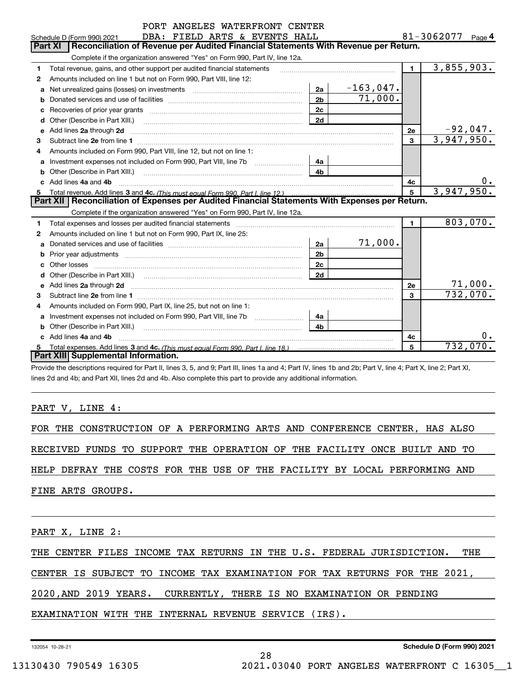|        | PORT ANGELLS WATERFRONT CENTER                                                                                                                                                                                                       |                      |                        |                      |                          |
|--------|--------------------------------------------------------------------------------------------------------------------------------------------------------------------------------------------------------------------------------------|----------------------|------------------------|----------------------|--------------------------|
|        | DBA: FIELD ARTS & EVENTS HALL<br>Schedule D (Form 990) 2021<br>Reconciliation of Revenue per Audited Financial Statements With Revenue per Return.<br>Part XI                                                                        |                      |                        | 81-3062077<br>Page 4 |                          |
|        |                                                                                                                                                                                                                                      |                      |                        |                      |                          |
|        | Complete if the organization answered "Yes" on Form 990, Part IV, line 12a.                                                                                                                                                          |                      |                        | $\blacksquare$       | 3,855,903.               |
| 1      | Total revenue, gains, and other support per audited financial statements                                                                                                                                                             |                      |                        |                      |                          |
| 2      | Amounts included on line 1 but not on Form 990, Part VIII, line 12:                                                                                                                                                                  |                      |                        |                      |                          |
| a      |                                                                                                                                                                                                                                      | 2a<br>2 <sub>b</sub> | $-163,047.$<br>71,000. |                      |                          |
| b      |                                                                                                                                                                                                                                      |                      |                        |                      |                          |
| с      |                                                                                                                                                                                                                                      | 2c<br>2d             |                        |                      |                          |
| d      | Other (Describe in Part XIII.) <b>Construction Contract Construction</b> Chemistry Chemistry Chemistry Chemistry Chemistry<br>Add lines 2a through 2d                                                                                |                      |                        | 2e                   |                          |
| е<br>з |                                                                                                                                                                                                                                      |                      |                        | 3                    | $-92,047.$ 3,947,950.    |
| 4      | Amounts included on Form 990, Part VIII, line 12, but not on line 1:                                                                                                                                                                 |                      |                        |                      |                          |
| a      |                                                                                                                                                                                                                                      | 4a                   |                        |                      |                          |
| b      | Other (Describe in Part XIII.)                                                                                                                                                                                                       | 4 <sub>b</sub>       |                        |                      |                          |
| c.     | Add lines 4a and 4b                                                                                                                                                                                                                  |                      |                        | 4с                   |                          |
|        | Total revenue. Add lines 3 and 4c. (This must equal Form 990. Part I. line 12.)                                                                                                                                                      |                      |                        | 5                    | 3,947,950.               |
|        | Part XII   Reconciliation of Expenses per Audited Financial Statements With Expenses per Return.                                                                                                                                     |                      |                        |                      |                          |
|        | Complete if the organization answered "Yes" on Form 990, Part IV, line 12a.                                                                                                                                                          |                      |                        |                      |                          |
| 1      | Total expenses and losses per audited financial statements                                                                                                                                                                           |                      |                        | $\blacksquare$       | 803,070.                 |
| 2      | Amounts included on line 1 but not on Form 990, Part IX, line 25:                                                                                                                                                                    |                      |                        |                      |                          |
| a      |                                                                                                                                                                                                                                      | 2a                   | 71,000.                |                      |                          |
| b      |                                                                                                                                                                                                                                      | 2 <sub>b</sub>       |                        |                      |                          |
|        | Other losses                                                                                                                                                                                                                         | 2 <sub>c</sub>       |                        |                      |                          |
|        |                                                                                                                                                                                                                                      | 2d                   |                        |                      |                          |
| е      | Add lines 2a through 2d <b>contained a manufacture of the contract of the contract of the contract of the contract of the contract of the contract of the contract of the contract of the contract of the contract of the contra</b> |                      |                        | 2e                   | $\frac{71,000}{732,070}$ |
| 3      |                                                                                                                                                                                                                                      |                      |                        | 3                    |                          |
| 4      | Amounts included on Form 990, Part IX, line 25, but not on line 1:                                                                                                                                                                   |                      |                        |                      |                          |
| a      | Investment expenses not included on Form 990, Part VIII, line 7b [1000111111111111111111111111111111                                                                                                                                 | 4a                   |                        |                      |                          |
| b      | Other (Describe in Part XIII.) <b>COLOGIST:</b> (2010)                                                                                                                                                                               | 4 <sub>b</sub>       |                        |                      |                          |
|        | Add lines 4a and 4b                                                                                                                                                                                                                  |                      |                        | 4c                   | 0.                       |
|        |                                                                                                                                                                                                                                      |                      |                        | 5                    | 732,070.                 |
|        | Part XIII Supplemental Information.                                                                                                                                                                                                  |                      |                        |                      |                          |

Provide the descriptions required for Part II, lines 3, 5, and 9; Part III, lines 1a and 4; Part IV, lines 1b and 2b; Part V, line 4; Part X, line 2; Part XI, lines 2d and 4b; and Part XII, lines 2d and 4b. Also complete this part to provide any additional information.

PART V, LINE 4:

FOR THE CONSTRUCTION OF A PERFORMING ARTS AND CONFERENCE CENTER, HAS ALSO

RECEIVED FUNDS TO SUPPORT THE OPERATION OF THE FACILITY ONCE BUILT AND TO

HELP DEFRAY THE COSTS FOR THE USE OF THE FACILITY BY LOCAL PERFORMING AND

FINE ARTS GROUPS.

PART X, LINE 2:

THE CENTER FILES INCOME TAX RETURNS IN THE U.S. FEDERAL JURISDICTION. THE

28

CENTER IS SUBJECT TO INCOME TAX EXAMINATION FOR TAX RETURNS FOR THE 2021,

2020,AND 2019 YEARS. CURRENTLY, THERE IS NO EXAMINATION OR PENDING

EXAMINATION WITH THE INTERNAL REVENUE SERVICE (IRS).

132054 10-28-21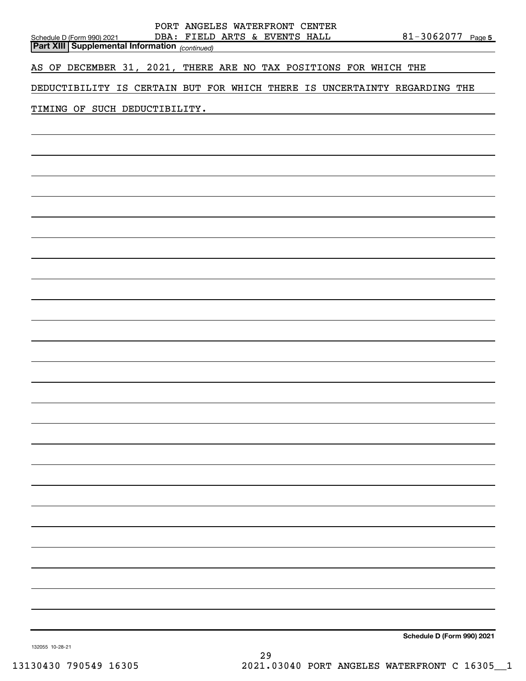| PORT ANGELES WATERFRONT CENTER<br>DBA: FIELD ARTS & EVENTS HALL<br>Schedule D (Form 990) 2021<br><b>Part XIII Supplemental Information</b> (continued) | $81 - 3062077$ Page 5      |
|--------------------------------------------------------------------------------------------------------------------------------------------------------|----------------------------|
| AS OF DECEMBER 31, 2021, THERE ARE NO TAX POSITIONS FOR WHICH THE                                                                                      |                            |
| DEDUCTIBILITY IS CERTAIN BUT FOR WHICH THERE IS UNCERTAINTY REGARDING THE                                                                              |                            |
| TIMING OF SUCH DEDUCTIBILITY.                                                                                                                          |                            |
|                                                                                                                                                        |                            |
|                                                                                                                                                        |                            |
|                                                                                                                                                        |                            |
|                                                                                                                                                        |                            |
|                                                                                                                                                        |                            |
|                                                                                                                                                        |                            |
|                                                                                                                                                        |                            |
|                                                                                                                                                        |                            |
|                                                                                                                                                        |                            |
|                                                                                                                                                        |                            |
|                                                                                                                                                        |                            |
|                                                                                                                                                        |                            |
|                                                                                                                                                        |                            |
|                                                                                                                                                        |                            |
|                                                                                                                                                        |                            |
|                                                                                                                                                        |                            |
|                                                                                                                                                        |                            |
|                                                                                                                                                        |                            |
|                                                                                                                                                        |                            |
|                                                                                                                                                        |                            |
|                                                                                                                                                        |                            |
|                                                                                                                                                        |                            |
|                                                                                                                                                        |                            |
|                                                                                                                                                        |                            |
|                                                                                                                                                        |                            |
|                                                                                                                                                        | Schedule D (Form 990) 2021 |

132055 10-28-21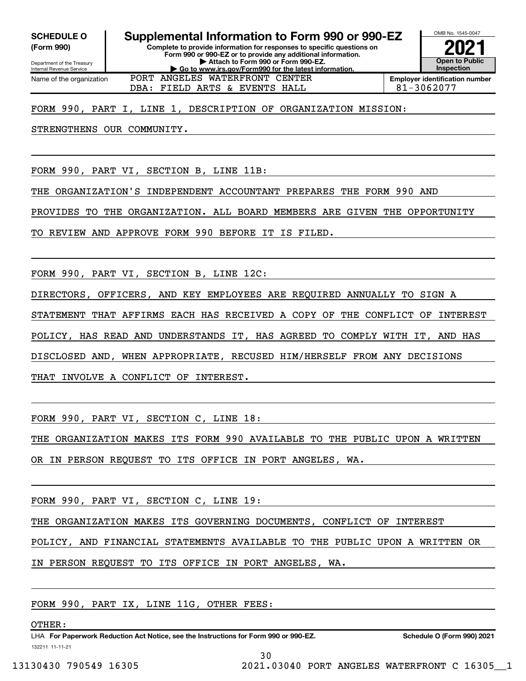(Form 990)

Department of the Treasury Internal Revenue Service

Name of the organization

Complete to provide information for responses to specific questions on Form 990 or 990-EZ or to provide any additional information. | Attach to Form 990 or Form 990-EZ. | Go to www.irs.gov/Form990 for the latest information. SCHEDULE 0 | Supplemental Information to Form 990 or 990-EZ



DBA: FIELD ARTS & EVENTS HALL 81-3062077 PORT ANGELES WATERFRONT CENTER

Employer identification number

### FORM 990, PART I, LINE 1, DESCRIPTION OF ORGANIZATION MISSION:

STRENGTHENS OUR COMMUNITY.

FORM 990, PART VI, SECTION B, LINE 11B:

THE ORGANIZATION'S INDEPENDENT ACCOUNTANT PREPARES THE FORM 990 AND

PROVIDES TO THE ORGANIZATION. ALL BOARD MEMBERS ARE GIVEN THE OPPORTUNITY

TO REVIEW AND APPROVE FORM 990 BEFORE IT IS FILED.

FORM 990, PART VI, SECTION B, LINE 12C:

DIRECTORS, OFFICERS, AND KEY EMPLOYEES ARE REQUIRED ANNUALLY TO SIGN A STATEMENT THAT AFFIRMS EACH HAS RECEIVED A COPY OF THE CONFLICT OF INTEREST POLICY, HAS READ AND UNDERSTANDS IT, HAS AGREED TO COMPLY WITH IT, AND HAS DISCLOSED AND, WHEN APPROPRIATE, RECUSED HIM/HERSELF FROM ANY DECISIONS THAT INVOLVE A CONFLICT OF INTEREST.

FORM 990, PART VI, SECTION C, LINE 18:

THE ORGANIZATION MAKES ITS FORM 990 AVAILABLE TO THE PUBLIC UPON A WRITTEN

OR IN PERSON REQUEST TO ITS OFFICE IN PORT ANGELES, WA.

FORM 990, PART VI, SECTION C, LINE 19:

THE ORGANIZATION MAKES ITS GOVERNING DOCUMENTS, CONFLICT OF INTEREST

POLICY, AND FINANCIAL STATEMENTS AVAILABLE TO THE PUBLIC UPON A WRITTEN OR

IN PERSON REQUEST TO ITS OFFICE IN PORT ANGELES, WA.

FORM 990, PART IX, LINE 11G, OTHER FEES:

OTHER:

132211 11-11-21 LHA For Paperwork Reduction Act Notice, see the Instructions for Form 990 or 990-EZ. Schedule O (Form 990) 2021